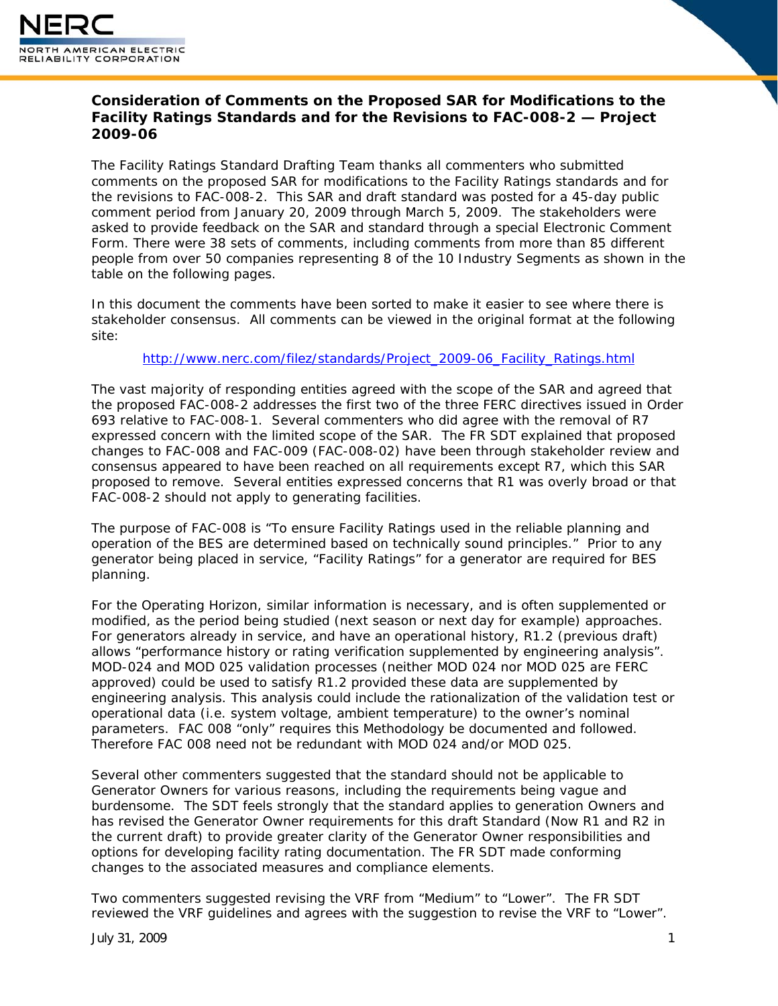

# **Consideration of Comments on the Proposed SAR for Modifications to the Facility Ratings Standards and for the Revisions to FAC-008-2 — Project 2009-06**

The Facility Ratings Standard Drafting Team thanks all commenters who submitted comments on the proposed SAR for modifications to the Facility Ratings standards and for the revisions to FAC-008-2. This SAR and draft standard was posted for a 45-day public comment period from January 20, 2009 through March 5, 2009. The stakeholders were asked to provide feedback on the SAR and standard through a special Electronic Comment Form. There were 38 sets of comments, including comments from more than 85 different people from over 50 companies representing 8 of the 10 Industry Segments as shown in the table on the following pages.

In this document the comments have been sorted to make it easier to see where there is stakeholder consensus. All comments can be viewed in the original format at the following site:

[http://www.nerc.com/filez/standards/Project\\_2009-06\\_Facility\\_Ratings.html](http://www.nerc.com/filez/standards/Project_2009-06_Facility_Ratings.html)

The vast majority of responding entities agreed with the scope of the SAR and agreed that the proposed FAC-008-2 addresses the first two of the three FERC directives issued in Order 693 relative to FAC-008-1. Several commenters who did agree with the removal of R7 expressed concern with the limited scope of the SAR. The FR SDT explained that proposed changes to FAC-008 and FAC-009 (FAC-008-02) have been through stakeholder review and consensus appeared to have been reached on all requirements except R7, which this SAR proposed to remove. Several entities expressed concerns that R1 was overly broad or that FAC-008-2 should not apply to generating facilities.

The purpose of FAC-008 is "To ensure Facility Ratings used in the reliable planning and operation of the BES are determined based on technically sound principles." Prior to any generator being placed in service, "Facility Ratings" for a generator are required for BES planning.

For the Operating Horizon, similar information is necessary, and is often supplemented or modified, as the period being studied (next season or next day for example) approaches. For generators already in service, and have an operational history, R1.2 (previous draft) allows "performance history or rating verification supplemented by engineering analysis". MOD-024 and MOD 025 validation processes (neither MOD 024 nor MOD 025 are FERC approved) could be used to satisfy R1.2 provided these data are supplemented by engineering analysis. This analysis could include the rationalization of the validation test or operational data (i.e. system voltage, ambient temperature) to the owner's nominal parameters. FAC 008 "only" requires this Methodology be documented and followed. Therefore FAC 008 need not be redundant with MOD 024 and/or MOD 025.

Several other commenters suggested that the standard should not be applicable to Generator Owners for various reasons, including the requirements being vague and burdensome. The SDT feels strongly that the standard applies to generation Owners and has revised the Generator Owner requirements for this draft Standard (Now R1 and R2 in the current draft) to provide greater clarity of the Generator Owner responsibilities and options for developing facility rating documentation. The FR SDT made conforming changes to the associated measures and compliance elements.

Two commenters suggested revising the VRF from "Medium" to "Lower". The FR SDT reviewed the VRF guidelines and agrees with the suggestion to revise the VRF to "Lower".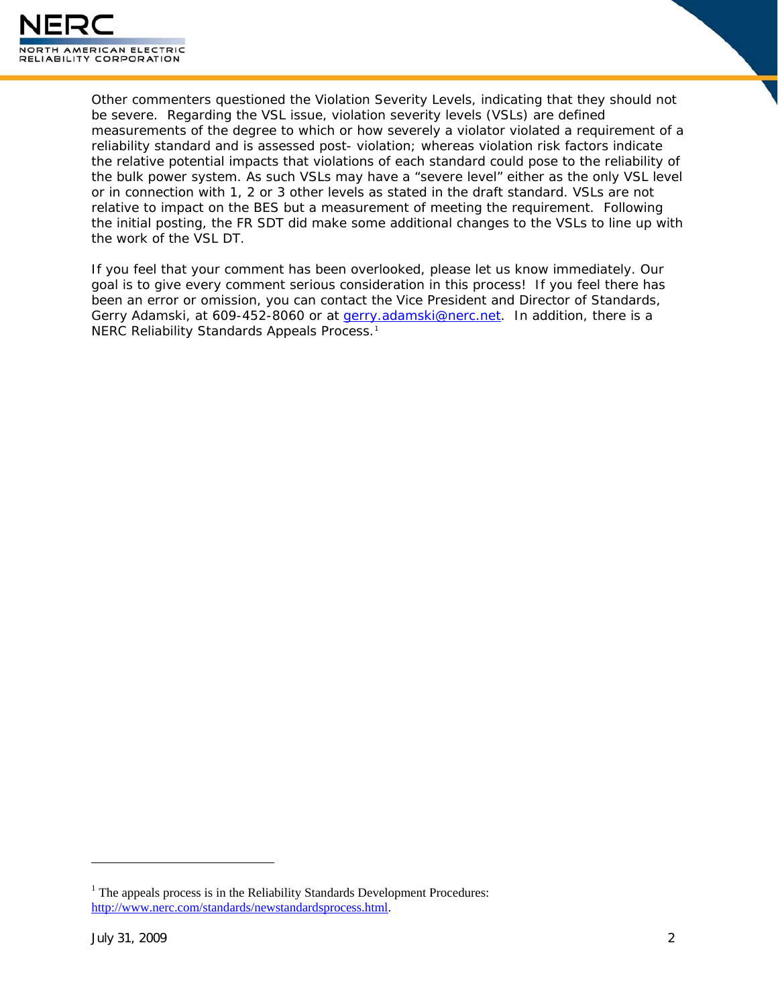

Other commenters questioned the Violation Severity Levels, indicating that they should not be severe. Regarding the VSL issue, violation severity levels (VSLs) are defined measurements of the degree to which or how severely a violator violated a requirement of a reliability standard and is assessed post- violation; whereas violation risk factors indicate the relative potential impacts that violations of each standard could pose to the reliability of the bulk power system. As such VSLs may have a "severe level" either as the only VSL level or in connection with 1, 2 or 3 other levels as stated in the draft standard. VSLs are not relative to impact on the BES but a measurement of meeting the requirement. Following the initial posting, the FR SDT did make some additional changes to the VSLs to line up with the work of the VSL DT.

If you feel that your comment has been overlooked, please let us know immediately. Our goal is to give every comment serious consideration in this process! If you feel there has been an error or omission, you can contact the Vice President and Director of Standards, Gerry Adamski, at 609-452-8060 or at [gerry.adamski@nerc.net](mailto:gerry.adamski@nerc.net). In addition, there is a NERC Reliability Standards Appeals Process.<sup>[1](#page-1-0)</sup>

 $\overline{a}$ 

<span id="page-1-0"></span><sup>&</sup>lt;sup>1</sup> The appeals process is in the Reliability Standards Development Procedures: http://www.nerc.com/standards/newstandardsprocess.html.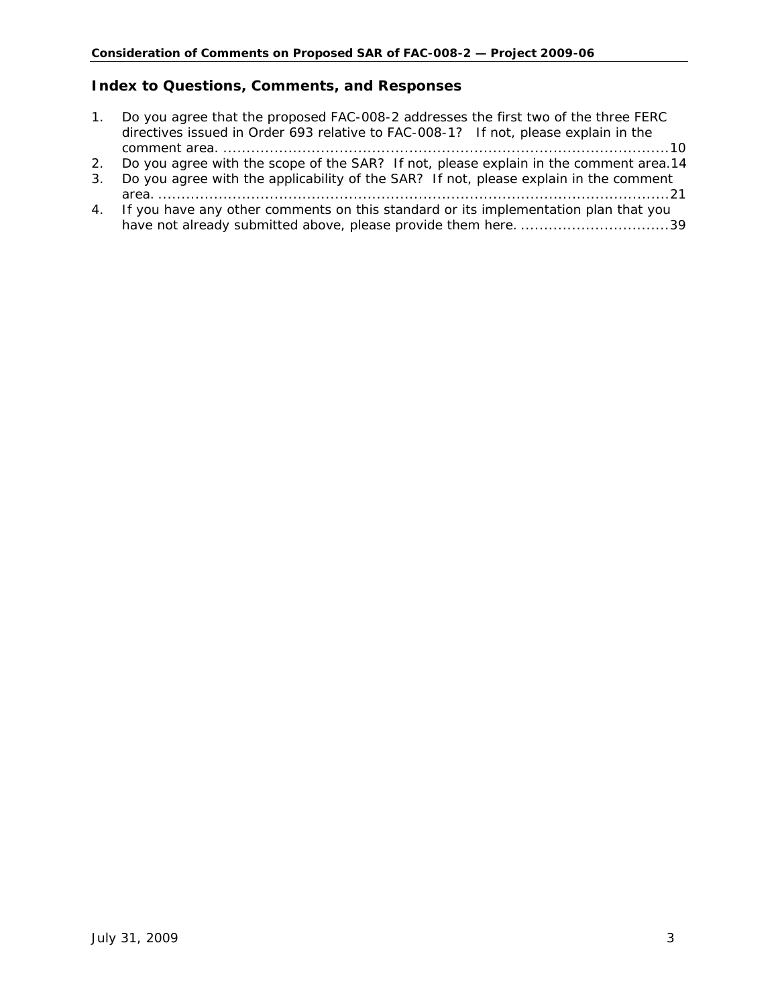### **Index to Questions, Comments, and Responses**

- [1.](#page-9-0) [................................................................................................10](#page-9-0) comment area. [Do you agree that the proposed FAC-008-2 addresses the first two of the three FERC](#page-9-0)  [directives issued in Order 693 relative to FAC-008-1? If not, please explain in the](#page-9-0)
- [2.](#page-13-0) [Do you agree with the scope of the SAR? If not, please explain in the comment area.14](#page-13-0)
- [3.](#page-20-0) [..............................................................................................................21](#page-20-0) area. [Do you agree with the applicability of the SAR? If not, please explain in the comment](#page-20-0)
- [4.](#page-38-0) have not already submitted above, please provide them here. ..............................3[9](#page-38-0) [If you have any other comments on this standard or its implementation plan that you](#page-38-0)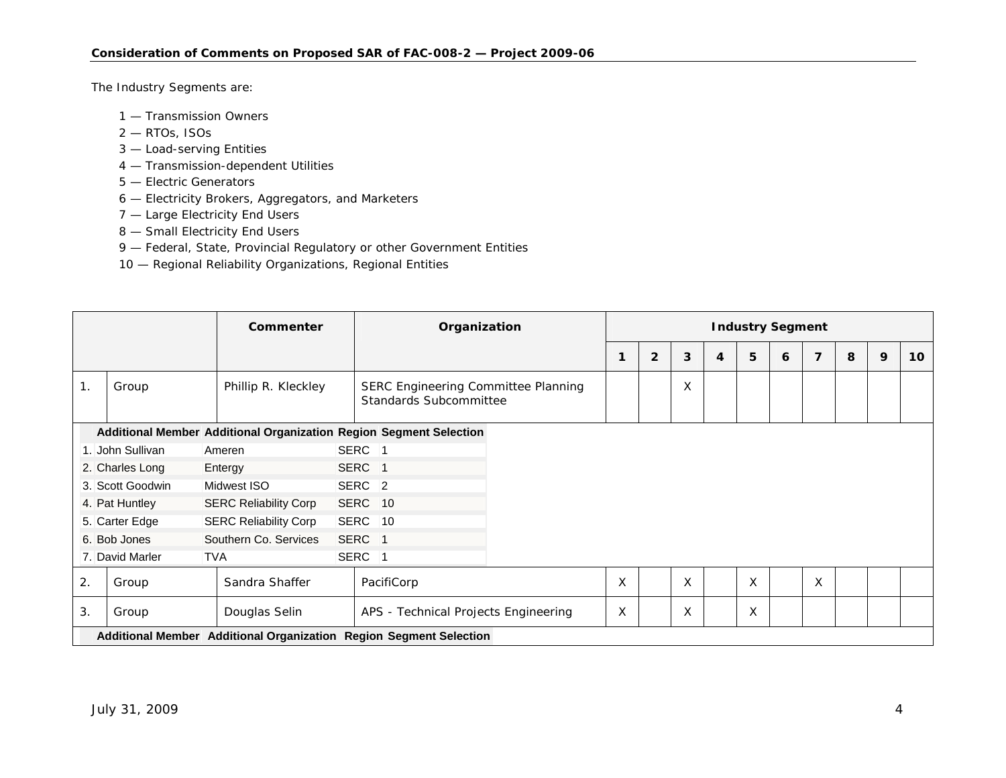The Industry Segments are:

- 1 Transmission Owners
- 2 RTOs, ISOs
- 3 Load-serving Entities
- 4 Transmission-dependent Utilities
- 5 Electric Generators
- 6 Electricity Brokers, Aggregators, and Marketers
- 7 Large Electricity End Users
- 8 Small Electricity End Users
- 9 Federal, State, Provincial Regulatory or other Government Entities
- 10 Regional Reliability Organizations, Regional Entities

|                |                                                                    |                   | Commenter                    |                                                     | Organization                                                         |  | <b>Industry Segment</b> |                |   |   |   |   |   |   |   |                 |  |
|----------------|--------------------------------------------------------------------|-------------------|------------------------------|-----------------------------------------------------|----------------------------------------------------------------------|--|-------------------------|----------------|---|---|---|---|---|---|---|-----------------|--|
|                |                                                                    |                   |                              |                                                     |                                                                      |  | 1                       | $\overline{2}$ | 3 | 4 | 5 | 6 | 7 | 8 | 9 | 10 <sup>°</sup> |  |
| $\mathbf{1}$ . | Group                                                              |                   | Phillip R. Kleckley          |                                                     | SERC Engineering Committee Planning<br><b>Standards Subcommittee</b> |  |                         |                | X |   |   |   |   |   |   |                 |  |
|                | Additional Member Additional Organization Region Segment Selection |                   |                              |                                                     |                                                                      |  |                         |                |   |   |   |   |   |   |   |                 |  |
|                | 1. John Sullivan                                                   | Ameren            |                              |                                                     | SERC <sub>1</sub>                                                    |  |                         |                |   |   |   |   |   |   |   |                 |  |
|                | 2. Charles Long                                                    | SERC 1<br>Entergy |                              |                                                     |                                                                      |  |                         |                |   |   |   |   |   |   |   |                 |  |
|                | 3. Scott Goodwin                                                   |                   | Midwest ISO                  |                                                     | SERC <sub>2</sub>                                                    |  |                         |                |   |   |   |   |   |   |   |                 |  |
|                | 4. Pat Huntley                                                     |                   | <b>SERC Reliability Corp</b> |                                                     | SERC 10                                                              |  |                         |                |   |   |   |   |   |   |   |                 |  |
|                | 5. Carter Edge                                                     |                   | <b>SERC Reliability Corp</b> |                                                     | SERC 10                                                              |  |                         |                |   |   |   |   |   |   |   |                 |  |
|                | 6. Bob Jones                                                       |                   | Southern Co. Services        |                                                     | SERC 1                                                               |  |                         |                |   |   |   |   |   |   |   |                 |  |
|                | 7. David Marler                                                    | <b>TVA</b>        |                              |                                                     | SERC <sub>1</sub>                                                    |  |                         |                |   |   |   |   |   |   |   |                 |  |
| 2.             | Group                                                              |                   | Sandra Shaffer               |                                                     | PacifiCorp                                                           |  | X                       |                | X |   | X |   | X |   |   |                 |  |
| 3.             | Group                                                              |                   | Douglas Selin                | X<br>X<br>APS - Technical Projects Engineering<br>X |                                                                      |  |                         |                |   |   |   |   |   |   |   |                 |  |
|                | Additional Member Additional Organization Region Segment Selection |                   |                              |                                                     |                                                                      |  |                         |                |   |   |   |   |   |   |   |                 |  |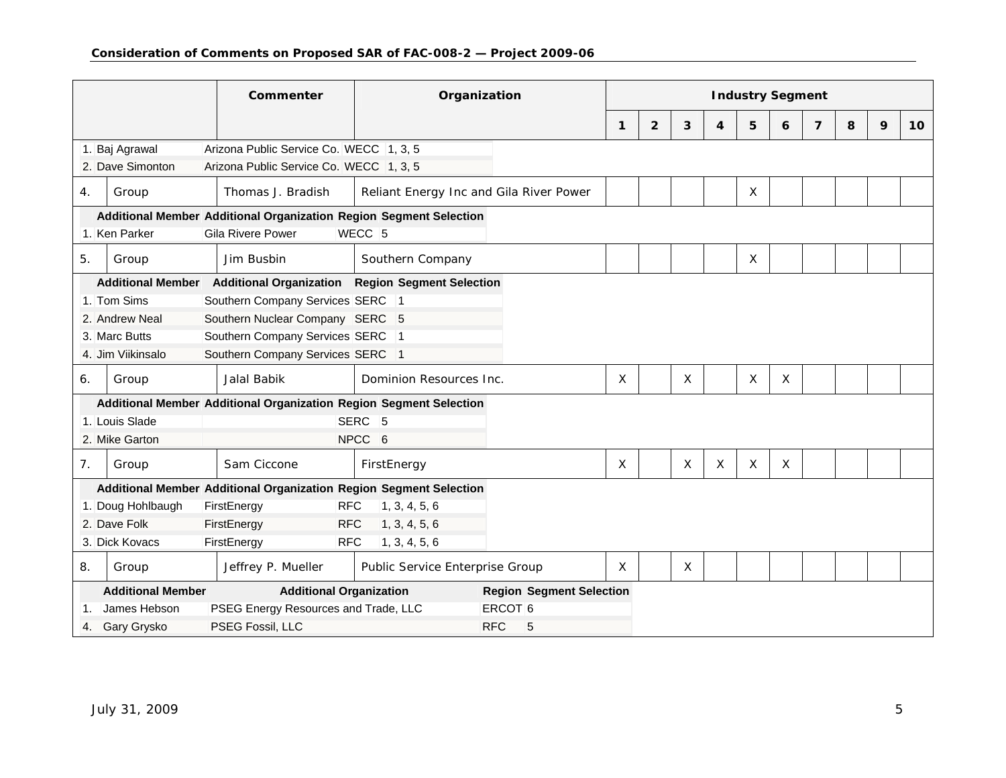|                                                                    |                                                      |                                 | Commenter                                                          | Organization                            |                    | <b>Industry Segment</b> |                |   |                  |              |   |                |   |   |    |
|--------------------------------------------------------------------|------------------------------------------------------|---------------------------------|--------------------------------------------------------------------|-----------------------------------------|--------------------|-------------------------|----------------|---|------------------|--------------|---|----------------|---|---|----|
|                                                                    |                                                      |                                 |                                                                    |                                         |                    | $\mathbf{1}$            | $\overline{2}$ | 3 | $\boldsymbol{4}$ | 5            | 6 | $\overline{7}$ | 8 | 9 | 10 |
|                                                                    | 1. Baj Agrawal                                       |                                 | Arizona Public Service Co. WECC 1, 3, 5                            |                                         |                    |                         |                |   |                  |              |   |                |   |   |    |
|                                                                    | 2. Dave Simonton                                     |                                 | Arizona Public Service Co. WECC 1, 3, 5                            |                                         |                    |                         |                |   |                  |              |   |                |   |   |    |
| 4.                                                                 | Group                                                |                                 | Thomas J. Bradish                                                  | Reliant Energy Inc and Gila River Power |                    |                         |                |   |                  | $\times$     |   |                |   |   |    |
| Additional Member Additional Organization Region Segment Selection |                                                      |                                 |                                                                    |                                         |                    |                         |                |   |                  |              |   |                |   |   |    |
|                                                                    | 1. Ken Parker                                        |                                 | <b>Gila Rivere Power</b>                                           | WECC <sub>5</sub>                       |                    |                         |                |   |                  |              |   |                |   |   |    |
| 5.                                                                 | Group                                                |                                 | Jim Busbin                                                         | Southern Company                        |                    |                         |                |   |                  | $\sf X$      |   |                |   |   |    |
|                                                                    | <b>Additional Member</b>                             |                                 | <b>Additional Organization</b>                                     | <b>Region Segment Selection</b>         |                    |                         |                |   |                  |              |   |                |   |   |    |
| Southern Company Services SERC 1<br>1. Tom Sims                    |                                                      |                                 |                                                                    |                                         |                    |                         |                |   |                  |              |   |                |   |   |    |
| 2. Andrew Neal<br>Southern Nuclear Company SERC 5                  |                                                      |                                 |                                                                    |                                         |                    |                         |                |   |                  |              |   |                |   |   |    |
| Southern Company Services SERC 1<br>3. Marc Butts                  |                                                      |                                 |                                                                    |                                         |                    |                         |                |   |                  |              |   |                |   |   |    |
| Southern Company Services SERC 1<br>4. Jim Viikinsalo              |                                                      |                                 |                                                                    |                                         |                    |                         |                |   |                  |              |   |                |   |   |    |
| 6.                                                                 | Group                                                |                                 | Jalal Babik                                                        | Dominion Resources Inc.                 |                    | Χ                       |                | X |                  | X            | X |                |   |   |    |
|                                                                    |                                                      |                                 | Additional Member Additional Organization Region Segment Selection |                                         |                    |                         |                |   |                  |              |   |                |   |   |    |
|                                                                    | 1. Louis Slade                                       |                                 |                                                                    | SERC <sub>5</sub>                       |                    |                         |                |   |                  |              |   |                |   |   |    |
|                                                                    | 2. Mike Garton                                       |                                 |                                                                    | NPCC 6                                  |                    |                         |                |   |                  |              |   |                |   |   |    |
| 7.                                                                 | Group                                                |                                 | Sam Ciccone                                                        | FirstEnergy                             |                    | $\mathsf{x}$            |                | X | $\times$         | $\mathsf{X}$ | X |                |   |   |    |
|                                                                    |                                                      |                                 | Additional Member Additional Organization Region Segment Selection |                                         |                    |                         |                |   |                  |              |   |                |   |   |    |
|                                                                    | 1. Doug Hohlbaugh                                    |                                 | FirstEnergy<br><b>RFC</b>                                          | 1, 3, 4, 5, 6                           |                    |                         |                |   |                  |              |   |                |   |   |    |
|                                                                    | 2. Dave Folk<br>FirstEnergy                          |                                 |                                                                    |                                         |                    |                         |                |   |                  |              |   |                |   |   |    |
|                                                                    | 3. Dick Kovacs                                       |                                 | <b>RFC</b><br>FirstEnergy                                          |                                         |                    |                         |                |   |                  |              |   |                |   |   |    |
| 8.                                                                 | Group                                                |                                 | Jeffrey P. Mueller                                                 | Public Service Enterprise Group         | $\times$           |                         | Χ              |   |                  |              |   |                |   |   |    |
|                                                                    | <b>Additional Member</b>                             | <b>Region Segment Selection</b> |                                                                    |                                         |                    |                         |                |   |                  |              |   |                |   |   |    |
|                                                                    | James Hebson<br>PSEG Energy Resources and Trade, LLC |                                 |                                                                    |                                         | ERCOT <sub>6</sub> |                         |                |   |                  |              |   |                |   |   |    |
| Gary Grysko<br>PSEG Fossil, LLC<br>4.                              |                                                      |                                 |                                                                    |                                         | <b>RFC</b><br>5    |                         |                |   |                  |              |   |                |   |   |    |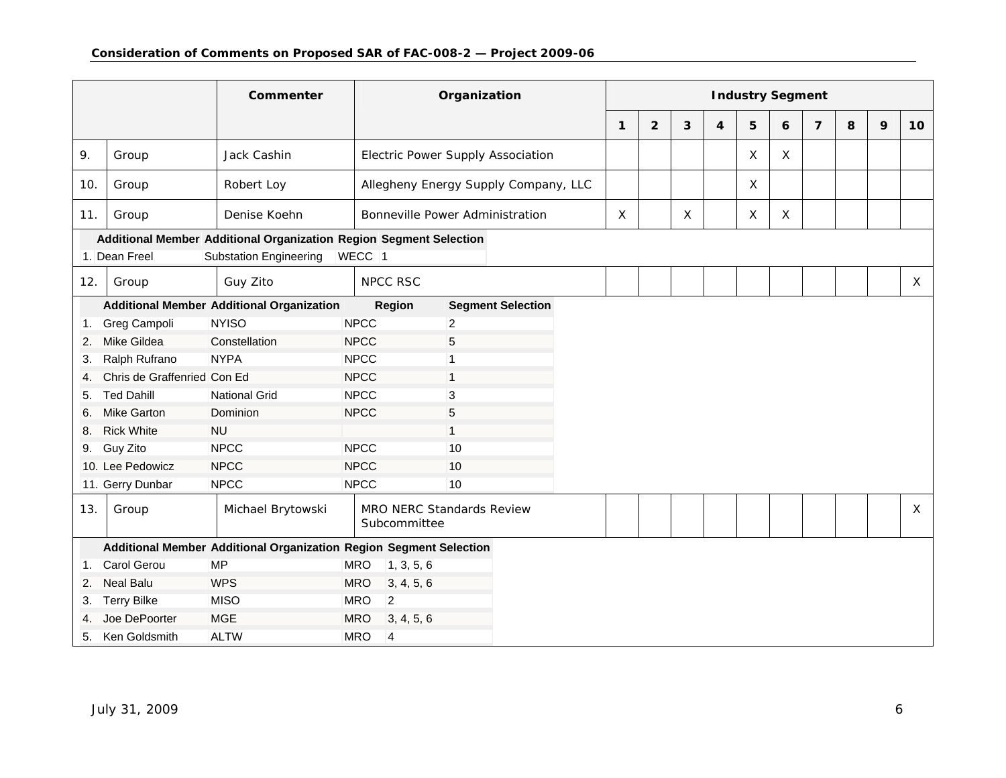|     |                                                                    | Commenter                                                          | Organization             |                                          |              |                |              |   | <b>Industry Segment</b> |              |                |   |   |              |
|-----|--------------------------------------------------------------------|--------------------------------------------------------------------|--------------------------|------------------------------------------|--------------|----------------|--------------|---|-------------------------|--------------|----------------|---|---|--------------|
|     |                                                                    |                                                                    |                          |                                          | $\mathbf{1}$ | $\overline{2}$ | 3            | 4 | 5                       | 6            | $\overline{7}$ | 8 | 9 | 10           |
| 9.  | Group                                                              | Jack Cashin                                                        |                          | <b>Electric Power Supply Association</b> |              |                |              |   | X                       | $\mathsf{X}$ |                |   |   |              |
| 10. | Group                                                              | Robert Loy                                                         |                          | Allegheny Energy Supply Company, LLC     |              |                |              |   | X                       |              |                |   |   |              |
| 11. | Group                                                              | Denise Koehn                                                       |                          | <b>Bonneville Power Administration</b>   | $\sf X$      |                | $\mathsf{X}$ |   | X                       | $\mathsf{X}$ |                |   |   |              |
|     |                                                                    | Additional Member Additional Organization Region Segment Selection |                          |                                          |              |                |              |   |                         |              |                |   |   |              |
|     | 1. Dean Freel                                                      | <b>Substation Engineering</b>                                      | WECC <sub>1</sub>        |                                          |              |                |              |   |                         |              |                |   |   |              |
| 12. | Group                                                              | Guy Zito                                                           | <b>NPCC RSC</b>          |                                          |              |                |              |   |                         |              |                |   |   | $\mathsf{X}$ |
|     | <b>Additional Member Additional Organization</b>                   |                                                                    | <b>Region</b>            | <b>Segment Selection</b>                 |              |                |              |   |                         |              |                |   |   |              |
| 1.  | <b>NYISO</b><br>Greg Campoli                                       |                                                                    | <b>NPCC</b>              | $\overline{a}$                           |              |                |              |   |                         |              |                |   |   |              |
| 2.  | Mike Gildea<br>Constellation                                       |                                                                    | <b>NPCC</b>              | 5                                        |              |                |              |   |                         |              |                |   |   |              |
| 3.  | <b>NYPA</b><br>Ralph Rufrano                                       |                                                                    | <b>NPCC</b>              | $\mathbf 1$                              |              |                |              |   |                         |              |                |   |   |              |
| 4.  | Chris de Graffenried Con Ed                                        |                                                                    | <b>NPCC</b>              | $\mathbf{1}$                             |              |                |              |   |                         |              |                |   |   |              |
| 5.  | <b>Ted Dahill</b>                                                  | <b>National Grid</b>                                               | <b>NPCC</b>              | 3                                        |              |                |              |   |                         |              |                |   |   |              |
| 6.  | <b>Mike Garton</b>                                                 | Dominion                                                           | <b>NPCC</b>              | 5                                        |              |                |              |   |                         |              |                |   |   |              |
| 8.  | <b>Rick White</b>                                                  | <b>NU</b>                                                          |                          | $\mathbf{1}$                             |              |                |              |   |                         |              |                |   |   |              |
| 9.  | Guy Zito                                                           | <b>NPCC</b>                                                        | <b>NPCC</b>              | 10                                       |              |                |              |   |                         |              |                |   |   |              |
|     | 10. Lee Pedowicz                                                   | <b>NPCC</b>                                                        | <b>NPCC</b>              | 10                                       |              |                |              |   |                         |              |                |   |   |              |
|     | 11. Gerry Dunbar                                                   | <b>NPCC</b>                                                        | <b>NPCC</b>              | 10                                       |              |                |              |   |                         |              |                |   |   |              |
| 13. | Group                                                              | Michael Brytowski                                                  | Subcommittee             | <b>MRO NERC Standards Review</b>         |              |                |              |   |                         |              |                |   |   | $\mathsf{X}$ |
|     | Additional Member Additional Organization Region Segment Selection |                                                                    |                          |                                          |              |                |              |   |                         |              |                |   |   |              |
| 1.  | Carol Gerou                                                        | <b>MP</b>                                                          | 1, 3, 5, 6<br><b>MRO</b> |                                          |              |                |              |   |                         |              |                |   |   |              |
| 2.  | <b>Neal Balu</b>                                                   | <b>WPS</b>                                                         | <b>MRO</b><br>3, 4, 5, 6 |                                          |              |                |              |   |                         |              |                |   |   |              |
| 3.  | <b>Terry Bilke</b>                                                 | <b>MISO</b><br><b>MRO</b><br>2                                     |                          |                                          |              |                |              |   |                         |              |                |   |   |              |
| 4.  | Joe DePoorter                                                      | <b>MGE</b>                                                         | <b>MRO</b><br>3, 4, 5, 6 |                                          |              |                |              |   |                         |              |                |   |   |              |
| 5.  | <b>ALTW</b><br><b>MRO</b><br>Ken Goldsmith<br>$\overline{4}$       |                                                                    |                          |                                          |              |                |              |   |                         |              |                |   |   |              |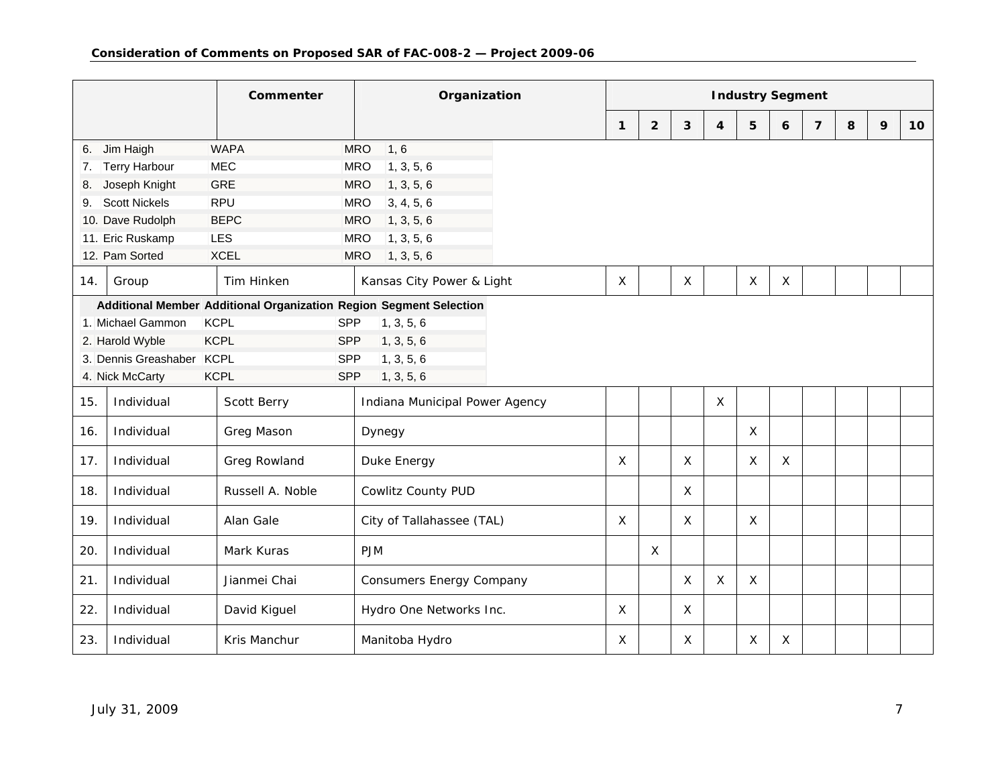|                                                                    |                                                       | Commenter          | Organization                    |              | <b>Industry Segment</b> |             |                         |              |             |                |   |   |                 |
|--------------------------------------------------------------------|-------------------------------------------------------|--------------------|---------------------------------|--------------|-------------------------|-------------|-------------------------|--------------|-------------|----------------|---|---|-----------------|
|                                                                    |                                                       |                    |                                 | $\mathbf{1}$ | $\overline{2}$          | 3           | $\overline{\mathbf{4}}$ | 5            | 6           | $\overline{7}$ | 8 | 9 | 10 <sup>1</sup> |
| 6.                                                                 | Jim Haigh                                             | <b>WAPA</b>        | <b>MRO</b><br>1, 6              |              |                         |             |                         |              |             |                |   |   |                 |
| 7.                                                                 | <b>Terry Harbour</b>                                  | <b>MEC</b>         | <b>MRO</b><br>1, 3, 5, 6        |              |                         |             |                         |              |             |                |   |   |                 |
| 8.                                                                 | Joseph Knight                                         | <b>GRE</b>         | 1, 3, 5, 6<br><b>MRO</b>        |              |                         |             |                         |              |             |                |   |   |                 |
| 9.                                                                 | <b>Scott Nickels</b>                                  | <b>RPU</b>         | 3, 4, 5, 6<br><b>MRO</b>        |              |                         |             |                         |              |             |                |   |   |                 |
|                                                                    | 10. Dave Rudolph                                      | <b>BEPC</b>        | 1, 3, 5, 6<br><b>MRO</b>        |              |                         |             |                         |              |             |                |   |   |                 |
|                                                                    | 11. Eric Ruskamp                                      | LES                | 1, 3, 5, 6<br><b>MRO</b>        |              |                         |             |                         |              |             |                |   |   |                 |
|                                                                    | 12. Pam Sorted                                        | <b>XCEL</b>        | 1, 3, 5, 6<br><b>MRO</b>        |              |                         |             |                         |              |             |                |   |   |                 |
| 14.                                                                | Group                                                 | Tim Hinken         | Kansas City Power & Light       | X            |                         | $\mathsf X$ |                         | X            | X           |                |   |   |                 |
| Additional Member Additional Organization Region Segment Selection |                                                       |                    |                                 |              |                         |             |                         |              |             |                |   |   |                 |
|                                                                    | <b>KCPL</b><br>SPP<br>1, 3, 5, 6<br>1. Michael Gammon |                    |                                 |              |                         |             |                         |              |             |                |   |   |                 |
| <b>KCPL</b><br>1, 3, 5, 6<br>2. Harold Wyble<br>SPP                |                                                       |                    |                                 |              |                         |             |                         |              |             |                |   |   |                 |
| 1, 3, 5, 6<br>3. Dennis Greashaber<br><b>KCPL</b><br>SPP           |                                                       |                    |                                 |              |                         |             |                         |              |             |                |   |   |                 |
|                                                                    | 4. Nick McCarty                                       | <b>KCPL</b><br>SPP | 1, 3, 5, 6                      |              |                         |             |                         |              |             |                |   |   |                 |
| 15.                                                                | Individual                                            | Scott Berry        | Indiana Municipal Power Agency  |              |                         |             | $\mathsf{X}$            |              |             |                |   |   |                 |
| 16.                                                                | Individual                                            | Greg Mason         | Dynegy                          |              |                         |             |                         | X            |             |                |   |   |                 |
| 17.                                                                | Individual                                            | Greg Rowland       | Duke Energy                     | $\mathsf{X}$ |                         | X           |                         | $\mathsf{X}$ | $\mathsf X$ |                |   |   |                 |
| 18.                                                                | Individual                                            | Russell A. Noble   | Cowlitz County PUD              |              |                         | X           |                         |              |             |                |   |   |                 |
| 19.                                                                | Individual                                            | Alan Gale          | City of Tallahassee (TAL)       | X            |                         | X           |                         | X            |             |                |   |   |                 |
| 20.                                                                | Individual                                            | Mark Kuras         | <b>PJM</b>                      |              | $\times$                |             |                         |              |             |                |   |   |                 |
| 21.                                                                | Individual                                            | Jianmei Chai       | <b>Consumers Energy Company</b> |              |                         | X           | $\mathsf{X}$            | X            |             |                |   |   |                 |
| 22.                                                                | Individual                                            | David Kiguel       | Hydro One Networks Inc.         | X            |                         | X           |                         |              |             |                |   |   |                 |
| 23.                                                                | Individual                                            | Kris Manchur       | Manitoba Hydro                  | X            |                         | X           |                         | X            | X           |                |   |   |                 |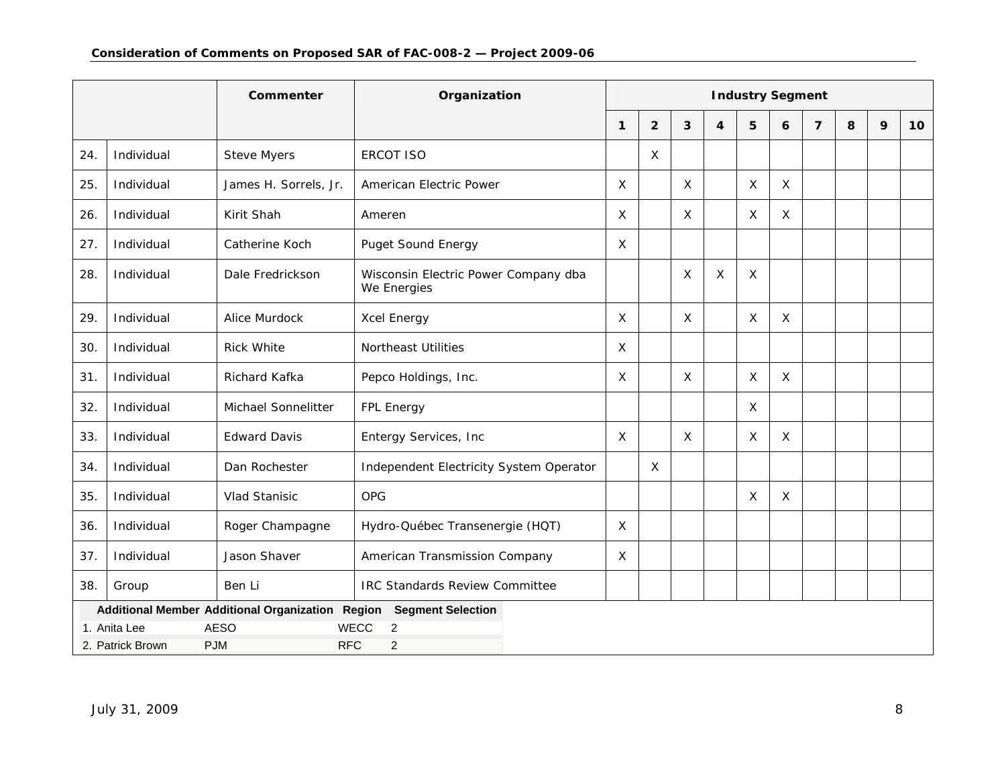| Commenter |                                                                              |                           | Organization                                        | <b>Industry Segment</b> |                |   |                         |   |              |                |   |   |    |
|-----------|------------------------------------------------------------------------------|---------------------------|-----------------------------------------------------|-------------------------|----------------|---|-------------------------|---|--------------|----------------|---|---|----|
|           |                                                                              |                           |                                                     | $\mathbf{1}$            | $\overline{2}$ | 3 | $\overline{\mathbf{4}}$ | 5 | 6            | $\overline{7}$ | 8 | 9 | 10 |
| 24.       | Individual                                                                   | <b>Steve Myers</b>        | <b>ERCOT ISO</b>                                    |                         | X              |   |                         |   |              |                |   |   |    |
| 25.       | Individual                                                                   | James H. Sorrels, Jr.     | American Electric Power                             | $\times$                |                | X |                         | X | $\mathsf{X}$ |                |   |   |    |
| 26.       | Individual                                                                   | Kirit Shah                | Ameren                                              | $\times$                |                | X |                         | X | $\mathsf{X}$ |                |   |   |    |
| 27.       | Individual                                                                   | Catherine Koch            | <b>Puget Sound Energy</b>                           | $\times$                |                |   |                         |   |              |                |   |   |    |
| 28.       | Individual                                                                   | Dale Fredrickson          | Wisconsin Electric Power Company dba<br>We Energies |                         |                | X | X                       | Χ |              |                |   |   |    |
| 29.       | Individual                                                                   | Alice Murdock             | Xcel Energy                                         | $\times$                |                | X |                         | X | $\times$     |                |   |   |    |
| 30.       | Individual                                                                   | <b>Rick White</b>         | <b>Northeast Utilities</b>                          | X                       |                |   |                         |   |              |                |   |   |    |
| 31.       | Individual                                                                   | Richard Kafka             | Pepco Holdings, Inc.                                | X                       |                | X |                         | X | X            |                |   |   |    |
| 32.       | Individual                                                                   | Michael Sonnelitter       | FPL Energy                                          |                         |                |   |                         | X |              |                |   |   |    |
| 33.       | Individual                                                                   | <b>Edward Davis</b>       | Entergy Services, Inc                               | X                       |                | X |                         | X | X            |                |   |   |    |
| 34.       | Individual                                                                   | Dan Rochester             | Independent Electricity System Operator             |                         | X              |   |                         |   |              |                |   |   |    |
| 35        | Individual                                                                   | Vlad Stanisic             | <b>OPG</b>                                          |                         |                |   |                         | X | X            |                |   |   |    |
| 36.       | Individual                                                                   | Roger Champagne           | Hydro-Québec Transenergie (HQT)                     | X                       |                |   |                         |   |              |                |   |   |    |
| 37.       | Individual                                                                   | Jason Shaver              | American Transmission Company                       | $\times$                |                |   |                         |   |              |                |   |   |    |
| 38.       | Group                                                                        | Ben Li                    | <b>IRC Standards Review Committee</b>               |                         |                |   |                         |   |              |                |   |   |    |
|           | Additional Member Additional Organization Region<br><b>Segment Selection</b> |                           |                                                     |                         |                |   |                         |   |              |                |   |   |    |
|           | 1. Anita Lee<br><b>PJM</b><br>2. Patrick Brown                               | <b>AESO</b><br><b>RFC</b> | <b>WECC</b><br>2<br>$\overline{2}$                  |                         |                |   |                         |   |              |                |   |   |    |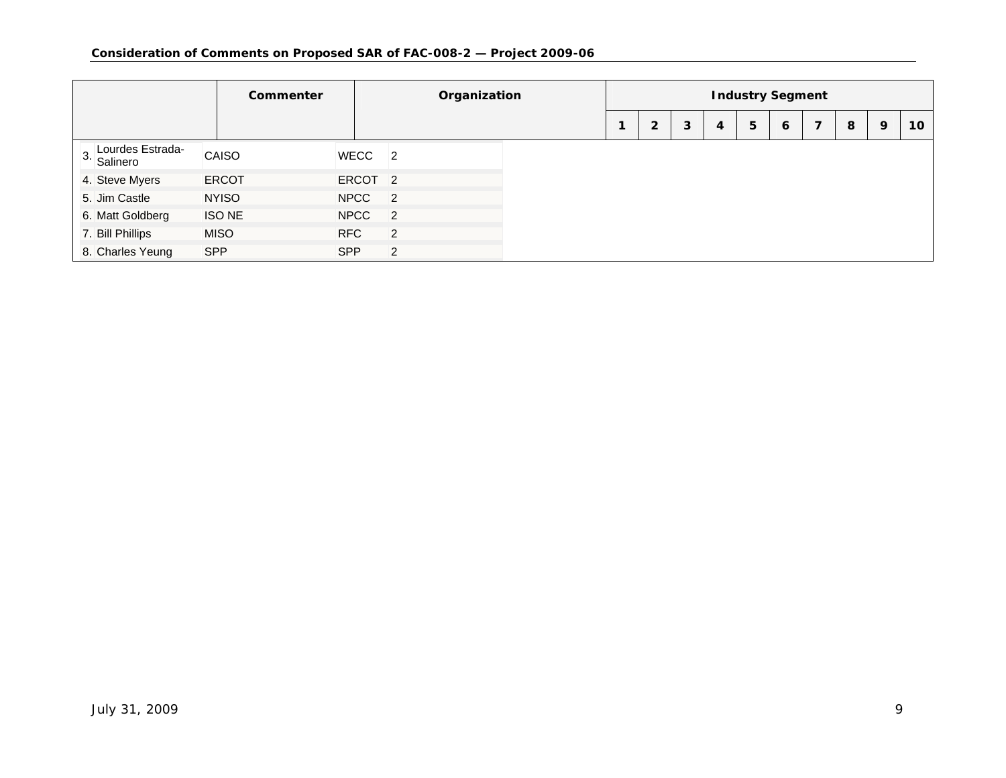|                                    | <b>Commenter</b> |               |                    |                | Organization   | <b>Industry Segment</b> |                |   |   |   |   |   |   |   |                 |  |
|------------------------------------|------------------|---------------|--------------------|----------------|----------------|-------------------------|----------------|---|---|---|---|---|---|---|-----------------|--|
|                                    |                  |               |                    |                |                |                         | $\overline{2}$ | 3 | 4 | 5 | 6 | 7 | 8 | 9 | 10 <sup>°</sup> |  |
| Lourdes Estrada-<br>3.<br>Salinero |                  | CAISO         | WECC 2             |                |                |                         |                |   |   |   |   |   |   |   |                 |  |
| 4. Steve Myers                     |                  | <b>ERCOT</b>  | ERCOT <sub>2</sub> |                |                |                         |                |   |   |   |   |   |   |   |                 |  |
| 5. Jim Castle                      |                  | <b>NYISO</b>  | NPCC 2             |                |                |                         |                |   |   |   |   |   |   |   |                 |  |
| 6. Matt Goldberg                   |                  | <b>ISO NE</b> | <b>NPCC</b>        | $\overline{2}$ |                |                         |                |   |   |   |   |   |   |   |                 |  |
| 7. Bill Phillips                   |                  | <b>MISO</b>   | <b>RFC</b>         |                | $\overline{2}$ |                         |                |   |   |   |   |   |   |   |                 |  |
| 8. Charles Yeung                   | <b>SPP</b>       |               | SPP                |                | 2              |                         |                |   |   |   |   |   |   |   |                 |  |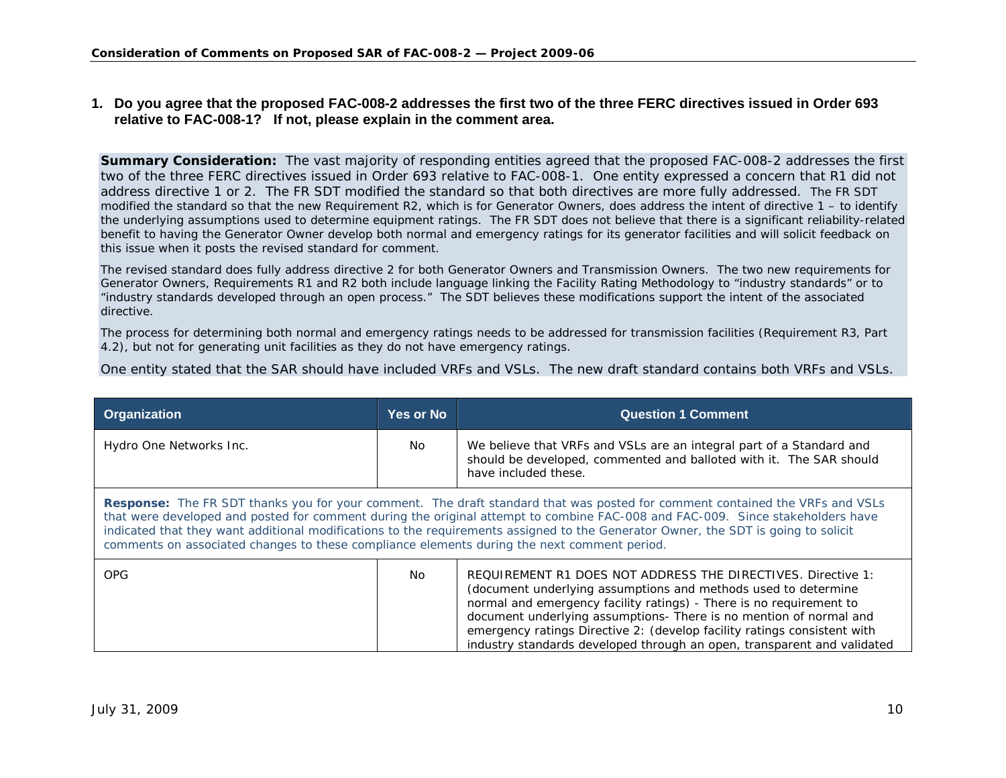### **1. Do you agree that the proposed FAC-008-2 addresses the first two of the three FERC directives issued in Order 693 relative to FAC-008-1? If not, please explain in the comment area.**

**Summary Consideration:** The vast majority of responding entities agreed that the proposed FAC-008-2 addresses the first two of the three FERC directives issued in Order 693 relative to FAC-008-1. One entity expressed a concern that R1 did not address directive 1 or 2. The FR SDT modified the standard so that both directives are more fully addressed. The FR SDT modified the standard so that the new Requirement R2, which is for Generator Owners, does address the intent of directive  $1 -$  to identify the underlying assumptions used to determine equipment ratings. The FR SDT does not believe that there is a significant reliability-related benefit to having the Generator Owner develop both normal and emergency ratings for its generator facilities and will solicit feedback on this issue when it posts the revised standard for comment.

The revised standard does fully address directive 2 for both Generator Owners and Transmission Owners. The two new requirements for Generator Owners, Requirements R1 and R2 both include language linking the Facility Rating Methodology to "industry standards" or to "industry standards developed through an open process." The SDT believes these modifications support the intent of the associated directive.

The process for determining both normal and emergency ratings needs to be addressed for transmission facilities (Requirement R3, Part 4.2), but not for generating unit facilities as they do not have emergency ratings.

One entity stated that the SAR should have included VRFs and VSLs. The new draft standard contains both VRFs and VSLs.

<span id="page-9-0"></span>

| <b>Organization</b>                                                                                                                                                                                                                                                                                                                                                                                                                                                                                        | <b>Yes or No</b> | <b>Question 1 Comment</b>                                                                                                                                                                                                                                                                                                                                                                                                          |  |  |  |  |  |  |
|------------------------------------------------------------------------------------------------------------------------------------------------------------------------------------------------------------------------------------------------------------------------------------------------------------------------------------------------------------------------------------------------------------------------------------------------------------------------------------------------------------|------------------|------------------------------------------------------------------------------------------------------------------------------------------------------------------------------------------------------------------------------------------------------------------------------------------------------------------------------------------------------------------------------------------------------------------------------------|--|--|--|--|--|--|
| Hydro One Networks Inc.                                                                                                                                                                                                                                                                                                                                                                                                                                                                                    | No.              | We believe that VRFs and VSLs are an integral part of a Standard and<br>should be developed, commented and balloted with it. The SAR should<br>have included these.                                                                                                                                                                                                                                                                |  |  |  |  |  |  |
| <b>Response:</b> The FR SDT thanks you for your comment. The draft standard that was posted for comment contained the VRFs and VSLs<br>that were developed and posted for comment during the original attempt to combine FAC-008 and FAC-009. Since stakeholders have<br>indicated that they want additional modifications to the requirements assigned to the Generator Owner, the SDT is going to solicit<br>comments on associated changes to these compliance elements during the next comment period. |                  |                                                                                                                                                                                                                                                                                                                                                                                                                                    |  |  |  |  |  |  |
| <b>OPG</b>                                                                                                                                                                                                                                                                                                                                                                                                                                                                                                 | No.              | REQUIREMENT R1 DOES NOT ADDRESS THE DIRECTIVES. Directive 1:<br>(document underlying assumptions and methods used to determine<br>normal and emergency facility ratings) - There is no requirement to<br>document underlying assumptions- There is no mention of normal and<br>emergency ratings Directive 2: (develop facility ratings consistent with<br>industry standards developed through an open, transparent and validated |  |  |  |  |  |  |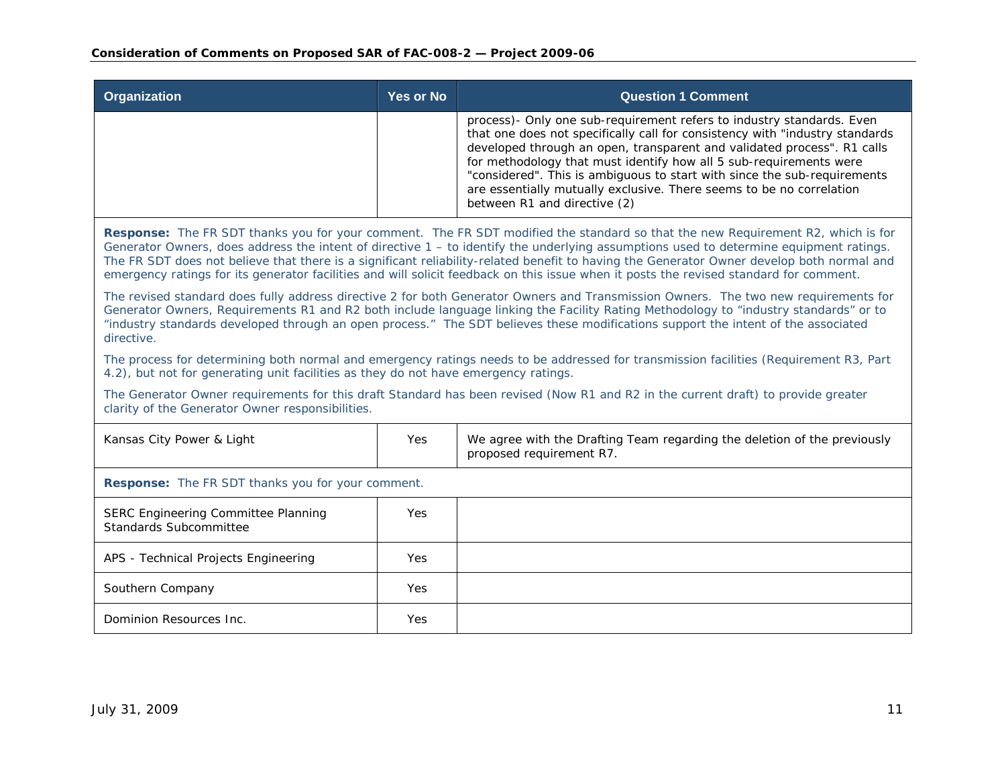| <b>Organization</b> | Yes or No | <b>Question 1 Comment</b>                                                                                                                                                                                                                                                                                                                                                                                                                                                                    |
|---------------------|-----------|----------------------------------------------------------------------------------------------------------------------------------------------------------------------------------------------------------------------------------------------------------------------------------------------------------------------------------------------------------------------------------------------------------------------------------------------------------------------------------------------|
|                     |           | process) - Only one sub-requirement refers to industry standards. Even<br>that one does not specifically call for consistency with "industry standards"<br>developed through an open, transparent and validated process". R1 calls<br>for methodology that must identify how all 5 sub-requirements were<br>"considered". This is ambiguous to start with since the sub-requirements<br>are essentially mutually exclusive. There seems to be no correlation<br>between R1 and directive (2) |

**Response:** The FR SDT thanks you for your comment. The FR SDT modified the standard so that the new Requirement R2, which is for Generator Owners, does address the intent of directive 1 – to identify the underlying assumptions used to determine equipment ratings. The FR SDT does not believe that there is a significant reliability-related benefit to having the Generator Owner develop both normal and emergency ratings for its generator facilities and will solicit feedback on this issue when it posts the revised standard for comment.

The revised standard does fully address directive 2 for both Generator Owners and Transmission Owners. The two new requirements for Generator Owners, Requirements R1 and R2 both include language linking the Facility Rating Methodology to "industry standards" or to "industry standards developed through an open process." The SDT believes these modifications support the intent of the associated directive.

The process for determining both normal and emergency ratings needs to be addressed for transmission facilities (Requirement R3, Part 4.2), but not for generating unit facilities as they do not have emergency ratings.

The Generator Owner requirements for this draft Standard has been revised (Now R1 and R2 in the current draft) to provide greater clarity of the Generator Owner responsibilities.

| Kansas City Power & Light                                     | Yes | We agree with the Drafting Team regarding the deletion of the previously<br>proposed requirement R7. |  |  |  |  |
|---------------------------------------------------------------|-----|------------------------------------------------------------------------------------------------------|--|--|--|--|
| <b>Response:</b> The FR SDT thanks you for your comment.      |     |                                                                                                      |  |  |  |  |
| SERC Engineering Committee Planning<br>Standards Subcommittee | Yes |                                                                                                      |  |  |  |  |
| APS - Technical Projects Engineering                          | Yes |                                                                                                      |  |  |  |  |
| Southern Company                                              | Yes |                                                                                                      |  |  |  |  |
| Dominion Resources Inc.                                       | Yes |                                                                                                      |  |  |  |  |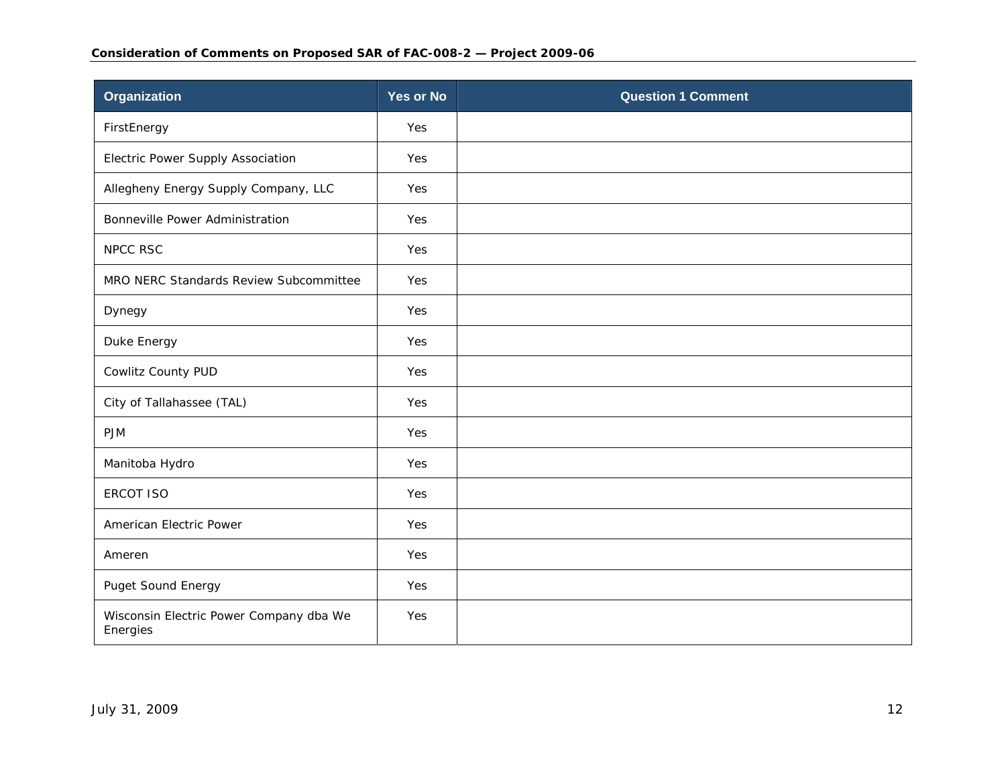| <b>Organization</b>                                 | <b>Yes or No</b> | <b>Question 1 Comment</b> |
|-----------------------------------------------------|------------------|---------------------------|
| FirstEnergy                                         | Yes              |                           |
| Electric Power Supply Association                   | Yes              |                           |
| Allegheny Energy Supply Company, LLC                | Yes              |                           |
| Bonneville Power Administration                     | Yes              |                           |
| NPCC RSC                                            | Yes              |                           |
| MRO NERC Standards Review Subcommittee              | Yes              |                           |
| Dynegy                                              | Yes              |                           |
| Duke Energy                                         | Yes              |                           |
| Cowlitz County PUD                                  | Yes              |                           |
| City of Tallahassee (TAL)                           | Yes              |                           |
| <b>PJM</b>                                          | Yes              |                           |
| Manitoba Hydro                                      | Yes              |                           |
| <b>ERCOT ISO</b>                                    | Yes              |                           |
| American Electric Power                             | Yes              |                           |
| Ameren                                              | Yes              |                           |
| Puget Sound Energy                                  | Yes              |                           |
| Wisconsin Electric Power Company dba We<br>Energies | Yes              |                           |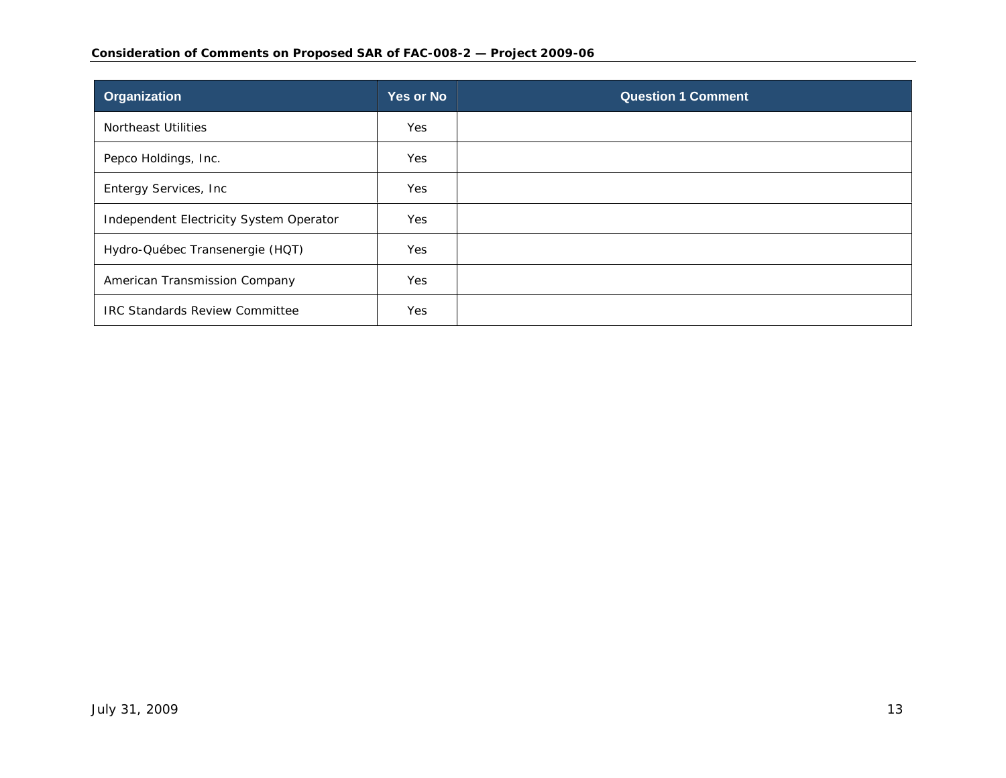#### **Consideration of Comments on Proposed SAR of FAC-008-2 — Project 2009-06**

| Organization                            | <b>Yes or No</b> | <b>Question 1 Comment</b> |
|-----------------------------------------|------------------|---------------------------|
| <b>Northeast Utilities</b>              | Yes              |                           |
| Pepco Holdings, Inc.                    | <b>Yes</b>       |                           |
| Entergy Services, Inc                   | Yes              |                           |
| Independent Electricity System Operator | Yes              |                           |
| Hydro-Québec Transenergie (HQT)         | Yes              |                           |
| American Transmission Company           | Yes              |                           |
| <b>IRC Standards Review Committee</b>   | <b>Yes</b>       |                           |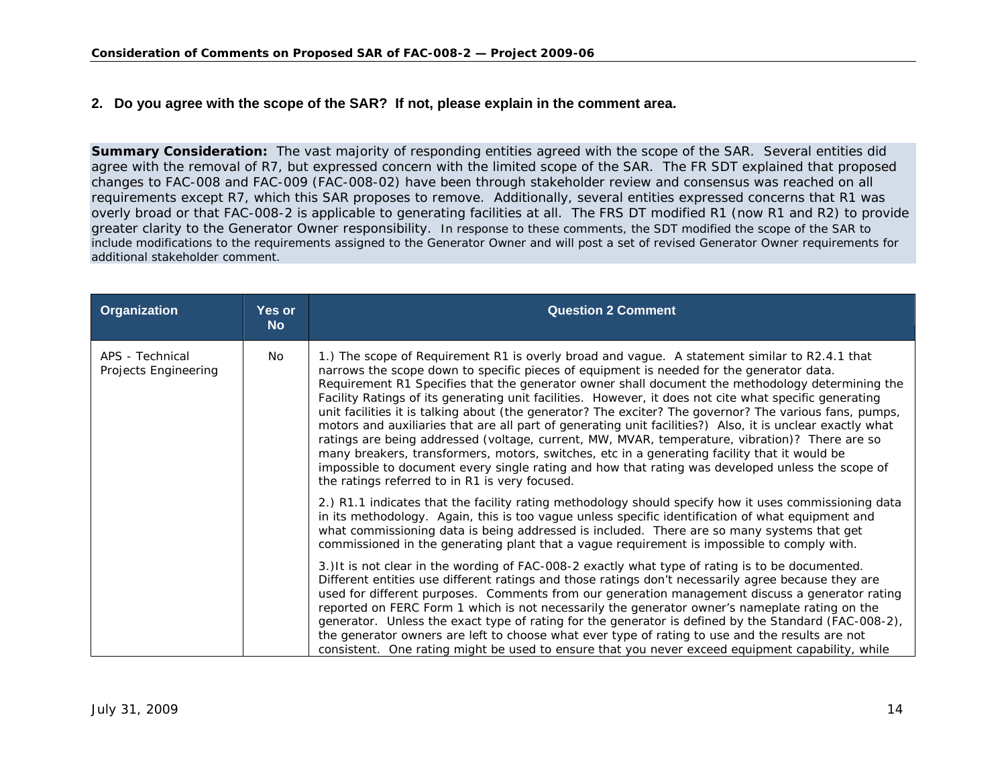### **2. Do you agree with the scope of the SAR? If not, please explain in the comment area.**

**Summary Consideration:** The vast majority of responding entities agreed with the scope of the SAR. Several entities did agree with the removal of R7, but expressed concern with the limited scope of the SAR. The FR SDT explained that proposed changes to FAC-008 and FAC-009 (FAC-008-02) have been through stakeholder review and consensus was reached on all requirements except R7, which this SAR proposes to remove. Additionally, several entities expressed concerns that R1 was overly broad or that FAC-008-2 is applicable to generating facilities at all. The FRS DT modified R1 (now R1 and R2) to provide greater clarity to the Generator Owner responsibility. In response to these comments, the SDT modified the scope of the SAR to include modifications to the requirements assigned to the Generator Owner and will post a set of revised Generator Owner requirements for additional stakeholder comment.

<span id="page-13-0"></span>

| Organization                            | <b>Yes or</b><br><b>No</b> | <b>Question 2 Comment</b>                                                                                                                                                                                                                                                                                                                                                                                                                                                                                                                                                                                                                                                                                                                                                                                                                                                                                                                                                               |
|-----------------------------------------|----------------------------|-----------------------------------------------------------------------------------------------------------------------------------------------------------------------------------------------------------------------------------------------------------------------------------------------------------------------------------------------------------------------------------------------------------------------------------------------------------------------------------------------------------------------------------------------------------------------------------------------------------------------------------------------------------------------------------------------------------------------------------------------------------------------------------------------------------------------------------------------------------------------------------------------------------------------------------------------------------------------------------------|
| APS - Technical<br>Projects Engineering | No.                        | 1.) The scope of Requirement R1 is overly broad and vague. A statement similar to R2.4.1 that<br>narrows the scope down to specific pieces of equipment is needed for the generator data.<br>Requirement R1 Specifies that the generator owner shall document the methodology determining the<br>Facility Ratings of its generating unit facilities. However, it does not cite what specific generating<br>unit facilities it is talking about (the generator? The exciter? The governor? The various fans, pumps,<br>motors and auxiliaries that are all part of generating unit facilities?) Also, it is unclear exactly what<br>ratings are being addressed (voltage, current, MW, MVAR, temperature, vibration)? There are so<br>many breakers, transformers, motors, switches, etc in a generating facility that it would be<br>impossible to document every single rating and how that rating was developed unless the scope of<br>the ratings referred to in R1 is very focused. |
|                                         |                            | 2.) R1.1 indicates that the facility rating methodology should specify how it uses commissioning data<br>in its methodology. Again, this is too vague unless specific identification of what equipment and<br>what commissioning data is being addressed is included. There are so many systems that get<br>commissioned in the generating plant that a vague requirement is impossible to comply with.                                                                                                                                                                                                                                                                                                                                                                                                                                                                                                                                                                                 |
|                                         |                            | 3.) It is not clear in the wording of FAC-008-2 exactly what type of rating is to be documented.<br>Different entities use different ratings and those ratings don't necessarily agree because they are<br>used for different purposes. Comments from our generation management discuss a generator rating<br>reported on FERC Form 1 which is not necessarily the generator owner's nameplate rating on the<br>generator. Unless the exact type of rating for the generator is defined by the Standard (FAC-008-2),<br>the generator owners are left to choose what ever type of rating to use and the results are not<br>consistent. One rating might be used to ensure that you never exceed equipment capability, while                                                                                                                                                                                                                                                             |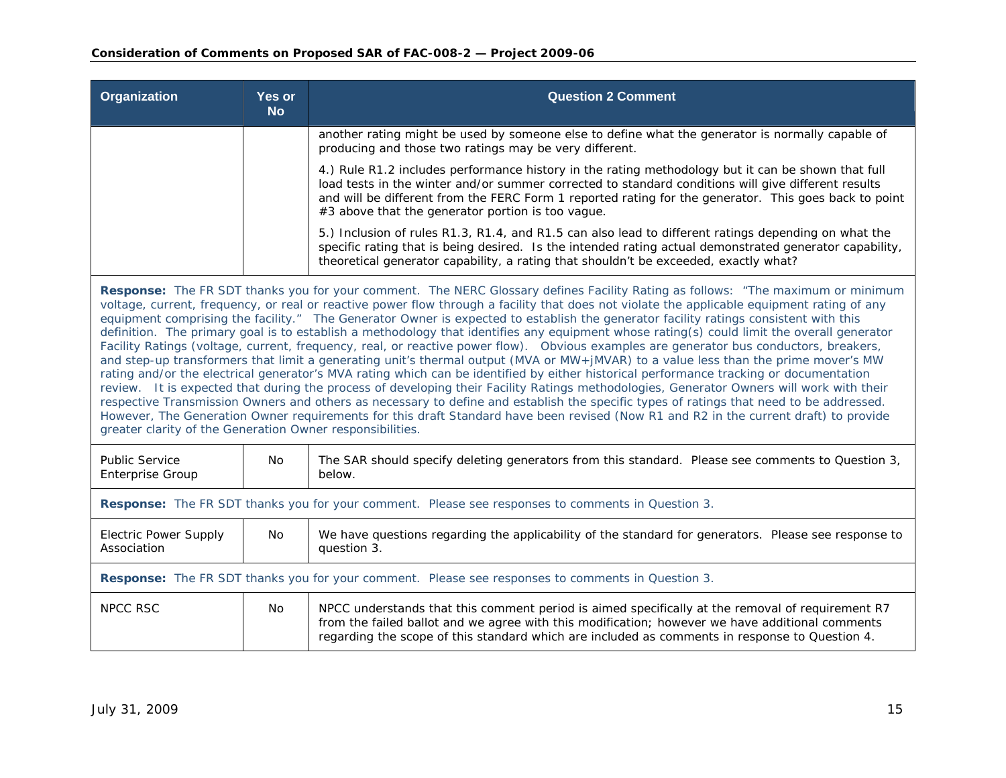| Organization                                                                                                                                                                                                                                                                                                                                                                                                                                                                                                                                                                                                                                                                                                                                                                                                                                                                                                                                                                                                                                                                                                                                                                                                                                                                                                                                                                                                                                                                               | <b>Yes or</b><br><b>No</b>                                                                        | <b>Question 2 Comment</b>                                                                                                                                                                                                                                                                                                                                               |
|--------------------------------------------------------------------------------------------------------------------------------------------------------------------------------------------------------------------------------------------------------------------------------------------------------------------------------------------------------------------------------------------------------------------------------------------------------------------------------------------------------------------------------------------------------------------------------------------------------------------------------------------------------------------------------------------------------------------------------------------------------------------------------------------------------------------------------------------------------------------------------------------------------------------------------------------------------------------------------------------------------------------------------------------------------------------------------------------------------------------------------------------------------------------------------------------------------------------------------------------------------------------------------------------------------------------------------------------------------------------------------------------------------------------------------------------------------------------------------------------|---------------------------------------------------------------------------------------------------|-------------------------------------------------------------------------------------------------------------------------------------------------------------------------------------------------------------------------------------------------------------------------------------------------------------------------------------------------------------------------|
|                                                                                                                                                                                                                                                                                                                                                                                                                                                                                                                                                                                                                                                                                                                                                                                                                                                                                                                                                                                                                                                                                                                                                                                                                                                                                                                                                                                                                                                                                            |                                                                                                   | another rating might be used by someone else to define what the generator is normally capable of<br>producing and those two ratings may be very different.                                                                                                                                                                                                              |
|                                                                                                                                                                                                                                                                                                                                                                                                                                                                                                                                                                                                                                                                                                                                                                                                                                                                                                                                                                                                                                                                                                                                                                                                                                                                                                                                                                                                                                                                                            |                                                                                                   | 4.) Rule R1.2 includes performance history in the rating methodology but it can be shown that full<br>load tests in the winter and/or summer corrected to standard conditions will give different results<br>and will be different from the FERC Form 1 reported rating for the generator. This goes back to point<br>#3 above that the generator portion is too vague. |
|                                                                                                                                                                                                                                                                                                                                                                                                                                                                                                                                                                                                                                                                                                                                                                                                                                                                                                                                                                                                                                                                                                                                                                                                                                                                                                                                                                                                                                                                                            |                                                                                                   | 5.) Inclusion of rules R1.3, R1.4, and R1.5 can also lead to different ratings depending on what the<br>specific rating that is being desired. Is the intended rating actual demonstrated generator capability,<br>theoretical generator capability, a rating that shouldn't be exceeded, exactly what?                                                                 |
| Response: The FR SDT thanks you for your comment. The NERC Glossary defines Facility Rating as follows: "The maximum or minimum<br>voltage, current, frequency, or real or reactive power flow through a facility that does not violate the applicable equipment rating of any<br>equipment comprising the facility." The Generator Owner is expected to establish the generator facility ratings consistent with this<br>definition. The primary goal is to establish a methodology that identifies any equipment whose rating(s) could limit the overall generator<br>Facility Ratings (voltage, current, frequency, real, or reactive power flow). Obvious examples are generator bus conductors, breakers,<br>and step-up transformers that limit a generating unit's thermal output (MVA or MW+jMVAR) to a value less than the prime mover's MW<br>rating and/or the electrical generator's MVA rating which can be identified by either historical performance tracking or documentation<br>review. It is expected that during the process of developing their Facility Ratings methodologies, Generator Owners will work with their<br>respective Transmission Owners and others as necessary to define and establish the specific types of ratings that need to be addressed.<br>However, The Generation Owner requirements for this draft Standard have been revised (Now R1 and R2 in the current draft) to provide<br>greater clarity of the Generation Owner responsibilities. |                                                                                                   |                                                                                                                                                                                                                                                                                                                                                                         |
| <b>Public Service</b><br><b>Enterprise Group</b>                                                                                                                                                                                                                                                                                                                                                                                                                                                                                                                                                                                                                                                                                                                                                                                                                                                                                                                                                                                                                                                                                                                                                                                                                                                                                                                                                                                                                                           | <b>No</b>                                                                                         | The SAR should specify deleting generators from this standard. Please see comments to Question 3,<br>below.                                                                                                                                                                                                                                                             |
|                                                                                                                                                                                                                                                                                                                                                                                                                                                                                                                                                                                                                                                                                                                                                                                                                                                                                                                                                                                                                                                                                                                                                                                                                                                                                                                                                                                                                                                                                            | Response: The FR SDT thanks you for your comment. Please see responses to comments in Question 3. |                                                                                                                                                                                                                                                                                                                                                                         |
| <b>Electric Power Supply</b><br>Association                                                                                                                                                                                                                                                                                                                                                                                                                                                                                                                                                                                                                                                                                                                                                                                                                                                                                                                                                                                                                                                                                                                                                                                                                                                                                                                                                                                                                                                | No                                                                                                | We have questions regarding the applicability of the standard for generators. Please see response to<br>question 3.                                                                                                                                                                                                                                                     |
|                                                                                                                                                                                                                                                                                                                                                                                                                                                                                                                                                                                                                                                                                                                                                                                                                                                                                                                                                                                                                                                                                                                                                                                                                                                                                                                                                                                                                                                                                            |                                                                                                   | Response: The FR SDT thanks you for your comment. Please see responses to comments in Question 3.                                                                                                                                                                                                                                                                       |
| <b>NPCC RSC</b>                                                                                                                                                                                                                                                                                                                                                                                                                                                                                                                                                                                                                                                                                                                                                                                                                                                                                                                                                                                                                                                                                                                                                                                                                                                                                                                                                                                                                                                                            | No.                                                                                               | NPCC understands that this comment period is aimed specifically at the removal of requirement R7<br>from the failed ballot and we agree with this modification; however we have additional comments<br>regarding the scope of this standard which are included as comments in response to Question 4.                                                                   |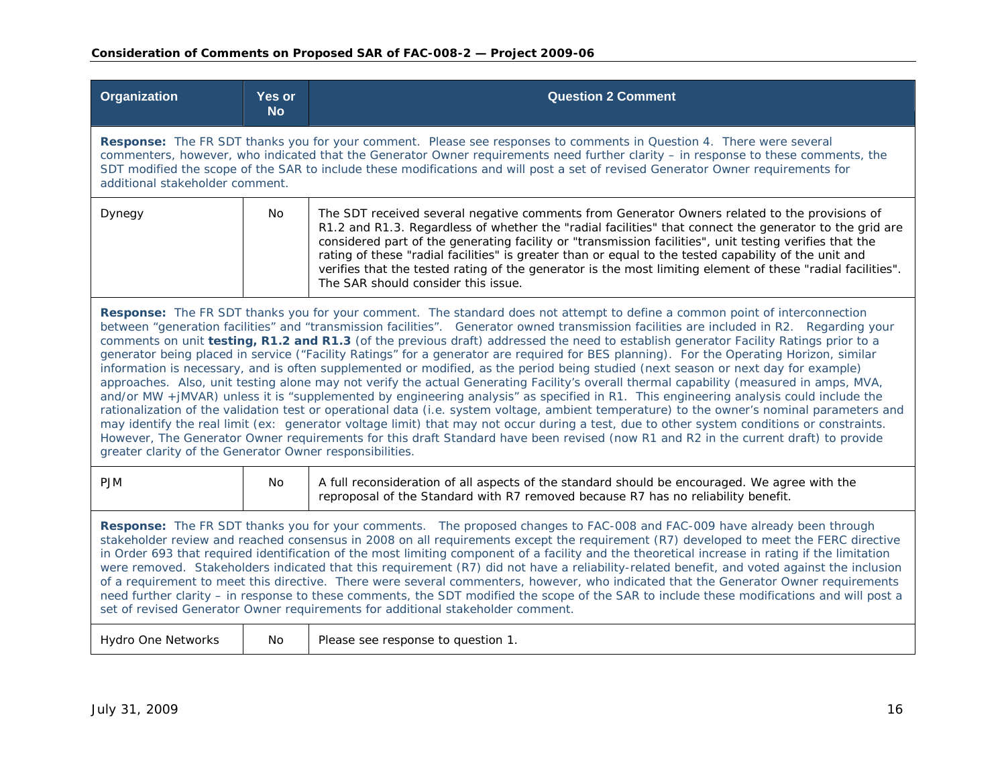| Organization                                                                                                                                                                                                                                                                                                                                                                                                                                                                                                                                                                                                                                                                                                                                                                                                                                                                                                                                                                                                                                                                                                                                                                                                                                                                                                                                                                                                                                                                            | <b>Yes or</b><br><b>No</b>                                                                                                                                                                                                                                                                                                                                                                                                        | <b>Question 2 Comment</b>                                                                                                                                                                                                                                                                                                                                                                                                                                                                                                                                                          |  |
|-----------------------------------------------------------------------------------------------------------------------------------------------------------------------------------------------------------------------------------------------------------------------------------------------------------------------------------------------------------------------------------------------------------------------------------------------------------------------------------------------------------------------------------------------------------------------------------------------------------------------------------------------------------------------------------------------------------------------------------------------------------------------------------------------------------------------------------------------------------------------------------------------------------------------------------------------------------------------------------------------------------------------------------------------------------------------------------------------------------------------------------------------------------------------------------------------------------------------------------------------------------------------------------------------------------------------------------------------------------------------------------------------------------------------------------------------------------------------------------------|-----------------------------------------------------------------------------------------------------------------------------------------------------------------------------------------------------------------------------------------------------------------------------------------------------------------------------------------------------------------------------------------------------------------------------------|------------------------------------------------------------------------------------------------------------------------------------------------------------------------------------------------------------------------------------------------------------------------------------------------------------------------------------------------------------------------------------------------------------------------------------------------------------------------------------------------------------------------------------------------------------------------------------|--|
|                                                                                                                                                                                                                                                                                                                                                                                                                                                                                                                                                                                                                                                                                                                                                                                                                                                                                                                                                                                                                                                                                                                                                                                                                                                                                                                                                                                                                                                                                         | Response: The FR SDT thanks you for your comment. Please see responses to comments in Question 4. There were several<br>commenters, however, who indicated that the Generator Owner requirements need further clarity - in response to these comments, the<br>SDT modified the scope of the SAR to include these modifications and will post a set of revised Generator Owner requirements for<br>additional stakeholder comment. |                                                                                                                                                                                                                                                                                                                                                                                                                                                                                                                                                                                    |  |
| Dynegy                                                                                                                                                                                                                                                                                                                                                                                                                                                                                                                                                                                                                                                                                                                                                                                                                                                                                                                                                                                                                                                                                                                                                                                                                                                                                                                                                                                                                                                                                  | No.                                                                                                                                                                                                                                                                                                                                                                                                                               | The SDT received several negative comments from Generator Owners related to the provisions of<br>R1.2 and R1.3. Regardless of whether the "radial facilities" that connect the generator to the grid are<br>considered part of the generating facility or "transmission facilities", unit testing verifies that the<br>rating of these "radial facilities" is greater than or equal to the tested capability of the unit and<br>verifies that the tested rating of the generator is the most limiting element of these "radial facilities".<br>The SAR should consider this issue. |  |
| Response: The FR SDT thanks you for your comment. The standard does not attempt to define a common point of interconnection<br>between "generation facilities" and "transmission facilities". Generator owned transmission facilities are included in R2. Regarding your<br>comments on unit testing, R1.2 and R1.3 (of the previous draft) addressed the need to establish generator Facility Ratings prior to a<br>generator being placed in service ("Facility Ratings" for a generator are required for BES planning). For the Operating Horizon, similar<br>information is necessary, and is often supplemented or modified, as the period being studied (next season or next day for example)<br>approaches. Also, unit testing alone may not verify the actual Generating Facility's overall thermal capability (measured in amps, MVA,<br>and/or MW +jMVAR) unless it is "supplemented by engineering analysis" as specified in R1. This engineering analysis could include the<br>rationalization of the validation test or operational data (i.e. system voltage, ambient temperature) to the owner's nominal parameters and<br>may identify the real limit (ex: generator voltage limit) that may not occur during a test, due to other system conditions or constraints.<br>However, The Generator Owner requirements for this draft Standard have been revised (now R1 and R2 in the current draft) to provide<br>greater clarity of the Generator Owner responsibilities. |                                                                                                                                                                                                                                                                                                                                                                                                                                   |                                                                                                                                                                                                                                                                                                                                                                                                                                                                                                                                                                                    |  |
| <b>PJM</b>                                                                                                                                                                                                                                                                                                                                                                                                                                                                                                                                                                                                                                                                                                                                                                                                                                                                                                                                                                                                                                                                                                                                                                                                                                                                                                                                                                                                                                                                              | No                                                                                                                                                                                                                                                                                                                                                                                                                                | A full reconsideration of all aspects of the standard should be encouraged. We agree with the<br>reproposal of the Standard with R7 removed because R7 has no reliability benefit.                                                                                                                                                                                                                                                                                                                                                                                                 |  |
| Response: The FR SDT thanks you for your comments. The proposed changes to FAC-008 and FAC-009 have already been through<br>stakeholder review and reached consensus in 2008 on all requirements except the requirement (R7) developed to meet the FERC directive<br>in Order 693 that required identification of the most limiting component of a facility and the theoretical increase in rating if the limitation<br>were removed. Stakeholders indicated that this requirement (R7) did not have a reliability-related benefit, and voted against the inclusion<br>of a requirement to meet this directive. There were several commenters, however, who indicated that the Generator Owner requirements<br>need further clarity - in response to these comments, the SDT modified the scope of the SAR to include these modifications and will post a<br>set of revised Generator Owner requirements for additional stakeholder comment.                                                                                                                                                                                                                                                                                                                                                                                                                                                                                                                                            |                                                                                                                                                                                                                                                                                                                                                                                                                                   |                                                                                                                                                                                                                                                                                                                                                                                                                                                                                                                                                                                    |  |
| <b>Hydro One Networks</b>                                                                                                                                                                                                                                                                                                                                                                                                                                                                                                                                                                                                                                                                                                                                                                                                                                                                                                                                                                                                                                                                                                                                                                                                                                                                                                                                                                                                                                                               | No.                                                                                                                                                                                                                                                                                                                                                                                                                               | Please see response to question 1.                                                                                                                                                                                                                                                                                                                                                                                                                                                                                                                                                 |  |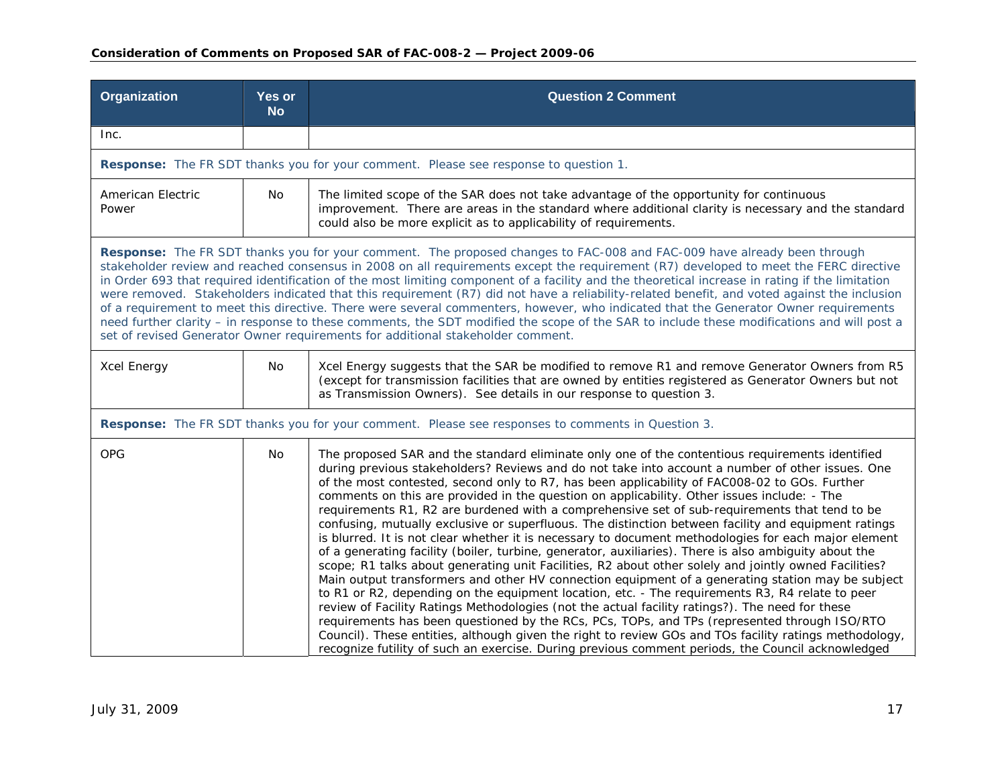| Organization                                                                                                                                                                                                                                                                                                                                                                                                                                                                                                                                                                                                                                                                                                                                                                                                                                                                                                                                | <b>Yes or</b><br><b>No</b> | <b>Question 2 Comment</b>                                                                                                                                                                                                                                                                                                                                                                                                                                                                                                                                                                                                                                                                                                                                                                                                                                                                                                                                                                                                                                                                                                                                                                                                                                                                                                                                                                                                                                                                                                                                        |
|---------------------------------------------------------------------------------------------------------------------------------------------------------------------------------------------------------------------------------------------------------------------------------------------------------------------------------------------------------------------------------------------------------------------------------------------------------------------------------------------------------------------------------------------------------------------------------------------------------------------------------------------------------------------------------------------------------------------------------------------------------------------------------------------------------------------------------------------------------------------------------------------------------------------------------------------|----------------------------|------------------------------------------------------------------------------------------------------------------------------------------------------------------------------------------------------------------------------------------------------------------------------------------------------------------------------------------------------------------------------------------------------------------------------------------------------------------------------------------------------------------------------------------------------------------------------------------------------------------------------------------------------------------------------------------------------------------------------------------------------------------------------------------------------------------------------------------------------------------------------------------------------------------------------------------------------------------------------------------------------------------------------------------------------------------------------------------------------------------------------------------------------------------------------------------------------------------------------------------------------------------------------------------------------------------------------------------------------------------------------------------------------------------------------------------------------------------------------------------------------------------------------------------------------------------|
| Inc.                                                                                                                                                                                                                                                                                                                                                                                                                                                                                                                                                                                                                                                                                                                                                                                                                                                                                                                                        |                            |                                                                                                                                                                                                                                                                                                                                                                                                                                                                                                                                                                                                                                                                                                                                                                                                                                                                                                                                                                                                                                                                                                                                                                                                                                                                                                                                                                                                                                                                                                                                                                  |
|                                                                                                                                                                                                                                                                                                                                                                                                                                                                                                                                                                                                                                                                                                                                                                                                                                                                                                                                             |                            | Response: The FR SDT thanks you for your comment. Please see response to question 1.                                                                                                                                                                                                                                                                                                                                                                                                                                                                                                                                                                                                                                                                                                                                                                                                                                                                                                                                                                                                                                                                                                                                                                                                                                                                                                                                                                                                                                                                             |
| American Electric<br>Power                                                                                                                                                                                                                                                                                                                                                                                                                                                                                                                                                                                                                                                                                                                                                                                                                                                                                                                  | No                         | The limited scope of the SAR does not take advantage of the opportunity for continuous<br>improvement. There are areas in the standard where additional clarity is necessary and the standard<br>could also be more explicit as to applicability of requirements.                                                                                                                                                                                                                                                                                                                                                                                                                                                                                                                                                                                                                                                                                                                                                                                                                                                                                                                                                                                                                                                                                                                                                                                                                                                                                                |
| Response: The FR SDT thanks you for your comment. The proposed changes to FAC-008 and FAC-009 have already been through<br>stakeholder review and reached consensus in 2008 on all requirements except the requirement (R7) developed to meet the FERC directive<br>in Order 693 that required identification of the most limiting component of a facility and the theoretical increase in rating if the limitation<br>were removed. Stakeholders indicated that this requirement (R7) did not have a reliability-related benefit, and voted against the inclusion<br>of a requirement to meet this directive. There were several commenters, however, who indicated that the Generator Owner requirements<br>need further clarity - in response to these comments, the SDT modified the scope of the SAR to include these modifications and will post a<br>set of revised Generator Owner requirements for additional stakeholder comment. |                            |                                                                                                                                                                                                                                                                                                                                                                                                                                                                                                                                                                                                                                                                                                                                                                                                                                                                                                                                                                                                                                                                                                                                                                                                                                                                                                                                                                                                                                                                                                                                                                  |
| Xcel Energy                                                                                                                                                                                                                                                                                                                                                                                                                                                                                                                                                                                                                                                                                                                                                                                                                                                                                                                                 | No                         | Xcel Energy suggests that the SAR be modified to remove R1 and remove Generator Owners from R5<br>(except for transmission facilities that are owned by entities registered as Generator Owners but not<br>as Transmission Owners). See details in our response to question 3.                                                                                                                                                                                                                                                                                                                                                                                                                                                                                                                                                                                                                                                                                                                                                                                                                                                                                                                                                                                                                                                                                                                                                                                                                                                                                   |
| Response: The FR SDT thanks you for your comment. Please see responses to comments in Question 3.                                                                                                                                                                                                                                                                                                                                                                                                                                                                                                                                                                                                                                                                                                                                                                                                                                           |                            |                                                                                                                                                                                                                                                                                                                                                                                                                                                                                                                                                                                                                                                                                                                                                                                                                                                                                                                                                                                                                                                                                                                                                                                                                                                                                                                                                                                                                                                                                                                                                                  |
| <b>OPG</b>                                                                                                                                                                                                                                                                                                                                                                                                                                                                                                                                                                                                                                                                                                                                                                                                                                                                                                                                  | No.                        | The proposed SAR and the standard eliminate only one of the contentious requirements identified<br>during previous stakeholders? Reviews and do not take into account a number of other issues. One<br>of the most contested, second only to R7, has been applicability of FAC008-02 to GOs. Further<br>comments on this are provided in the question on applicability. Other issues include: - The<br>requirements R1, R2 are burdened with a comprehensive set of sub-requirements that tend to be<br>confusing, mutually exclusive or superfluous. The distinction between facility and equipment ratings<br>is blurred. It is not clear whether it is necessary to document methodologies for each major element<br>of a generating facility (boiler, turbine, generator, auxiliaries). There is also ambiguity about the<br>scope; R1 talks about generating unit Facilities, R2 about other solely and jointly owned Facilities?<br>Main output transformers and other HV connection equipment of a generating station may be subject<br>to R1 or R2, depending on the equipment location, etc. - The requirements R3, R4 relate to peer<br>review of Facility Ratings Methodologies (not the actual facility ratings?). The need for these<br>requirements has been questioned by the RCs, PCs, TOPs, and TPs (represented through ISO/RTO<br>Council). These entities, although given the right to review GOs and TOs facility ratings methodology,<br>recognize futility of such an exercise. During previous comment periods, the Council acknowledged |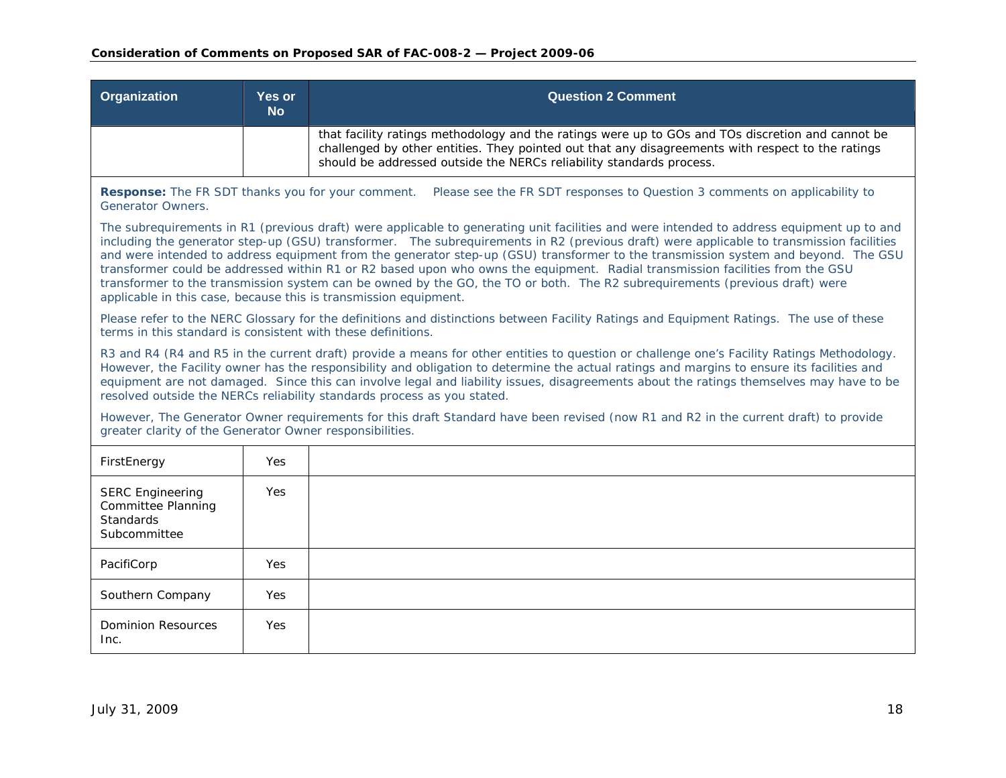| Organization                                                                                                                                                                                                                                                                                                                                                                                                                                                                                                   | <b>Yes or</b><br><b>No</b>                                                                                                                                                                                                                                                                                                                                                                                                                                                                                                                                                                                                                                                                                                                                      | <b>Question 2 Comment</b>                                                                                                                                                                                                                                                      |  |
|----------------------------------------------------------------------------------------------------------------------------------------------------------------------------------------------------------------------------------------------------------------------------------------------------------------------------------------------------------------------------------------------------------------------------------------------------------------------------------------------------------------|-----------------------------------------------------------------------------------------------------------------------------------------------------------------------------------------------------------------------------------------------------------------------------------------------------------------------------------------------------------------------------------------------------------------------------------------------------------------------------------------------------------------------------------------------------------------------------------------------------------------------------------------------------------------------------------------------------------------------------------------------------------------|--------------------------------------------------------------------------------------------------------------------------------------------------------------------------------------------------------------------------------------------------------------------------------|--|
|                                                                                                                                                                                                                                                                                                                                                                                                                                                                                                                |                                                                                                                                                                                                                                                                                                                                                                                                                                                                                                                                                                                                                                                                                                                                                                 | that facility ratings methodology and the ratings were up to GOs and TOs discretion and cannot be<br>challenged by other entities. They pointed out that any disagreements with respect to the ratings<br>should be addressed outside the NERCs reliability standards process. |  |
| <b>Response:</b> The FR SDT thanks you for your comment.<br>Generator Owners.                                                                                                                                                                                                                                                                                                                                                                                                                                  |                                                                                                                                                                                                                                                                                                                                                                                                                                                                                                                                                                                                                                                                                                                                                                 | Please see the FR SDT responses to Question 3 comments on applicability to                                                                                                                                                                                                     |  |
|                                                                                                                                                                                                                                                                                                                                                                                                                                                                                                                | The subrequirements in R1 (previous draft) were applicable to generating unit facilities and were intended to address equipment up to and<br>including the generator step-up (GSU) transformer. The subrequirements in R2 (previous draft) were applicable to transmission facilities<br>and were intended to address equipment from the generator step-up (GSU) transformer to the transmission system and beyond. The GSU<br>transformer could be addressed within R1 or R2 based upon who owns the equipment. Radial transmission facilities from the GSU<br>transformer to the transmission system can be owned by the GO, the TO or both. The R2 subrequirements (previous draft) were<br>applicable in this case, because this is transmission equipment. |                                                                                                                                                                                                                                                                                |  |
| terms in this standard is consistent with these definitions.                                                                                                                                                                                                                                                                                                                                                                                                                                                   |                                                                                                                                                                                                                                                                                                                                                                                                                                                                                                                                                                                                                                                                                                                                                                 | Please refer to the NERC Glossary for the definitions and distinctions between Facility Ratings and Equipment Ratings. The use of these                                                                                                                                        |  |
| R3 and R4 (R4 and R5 in the current draft) provide a means for other entities to question or challenge one's Facility Ratings Methodology.<br>However, the Facility owner has the responsibility and obligation to determine the actual ratings and margins to ensure its facilities and<br>equipment are not damaged. Since this can involve legal and liability issues, disagreements about the ratings themselves may have to be<br>resolved outside the NERCs reliability standards process as you stated. |                                                                                                                                                                                                                                                                                                                                                                                                                                                                                                                                                                                                                                                                                                                                                                 |                                                                                                                                                                                                                                                                                |  |
| However, The Generator Owner requirements for this draft Standard have been revised (now R1 and R2 in the current draft) to provide<br>greater clarity of the Generator Owner responsibilities.                                                                                                                                                                                                                                                                                                                |                                                                                                                                                                                                                                                                                                                                                                                                                                                                                                                                                                                                                                                                                                                                                                 |                                                                                                                                                                                                                                                                                |  |
| FirstEnergy                                                                                                                                                                                                                                                                                                                                                                                                                                                                                                    | <b>Yes</b>                                                                                                                                                                                                                                                                                                                                                                                                                                                                                                                                                                                                                                                                                                                                                      |                                                                                                                                                                                                                                                                                |  |
| <b>SERC Engineering</b><br>Committee Planning<br><b>Standards</b><br>Subcommittee                                                                                                                                                                                                                                                                                                                                                                                                                              | Yes                                                                                                                                                                                                                                                                                                                                                                                                                                                                                                                                                                                                                                                                                                                                                             |                                                                                                                                                                                                                                                                                |  |
| PacifiCorp                                                                                                                                                                                                                                                                                                                                                                                                                                                                                                     | Yes                                                                                                                                                                                                                                                                                                                                                                                                                                                                                                                                                                                                                                                                                                                                                             |                                                                                                                                                                                                                                                                                |  |
| Southern Company                                                                                                                                                                                                                                                                                                                                                                                                                                                                                               | Yes                                                                                                                                                                                                                                                                                                                                                                                                                                                                                                                                                                                                                                                                                                                                                             |                                                                                                                                                                                                                                                                                |  |
| <b>Dominion Resources</b><br>Inc.                                                                                                                                                                                                                                                                                                                                                                                                                                                                              | Yes                                                                                                                                                                                                                                                                                                                                                                                                                                                                                                                                                                                                                                                                                                                                                             |                                                                                                                                                                                                                                                                                |  |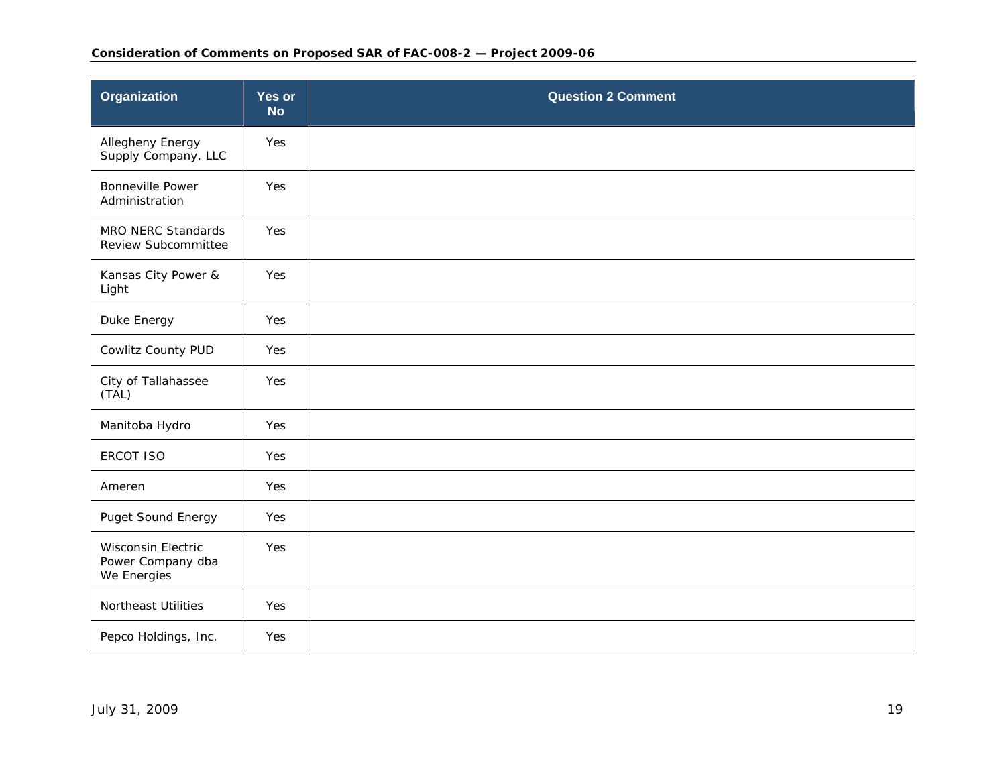| <b>Organization</b>                                    | Yes or<br><b>No</b> | <b>Question 2 Comment</b> |
|--------------------------------------------------------|---------------------|---------------------------|
| Allegheny Energy<br>Supply Company, LLC                | Yes                 |                           |
| <b>Bonneville Power</b><br>Administration              | Yes                 |                           |
| MRO NERC Standards<br>Review Subcommittee              | Yes                 |                           |
| Kansas City Power &<br>Light                           | Yes                 |                           |
| Duke Energy                                            | Yes                 |                           |
| Cowlitz County PUD                                     | Yes                 |                           |
| City of Tallahassee<br>(TAL)                           | Yes                 |                           |
| Manitoba Hydro                                         | Yes                 |                           |
| <b>ERCOT ISO</b>                                       | Yes                 |                           |
| Ameren                                                 | Yes                 |                           |
| Puget Sound Energy                                     | Yes                 |                           |
| Wisconsin Electric<br>Power Company dba<br>We Energies | Yes                 |                           |
| <b>Northeast Utilities</b>                             | Yes                 |                           |
| Pepco Holdings, Inc.                                   | Yes                 |                           |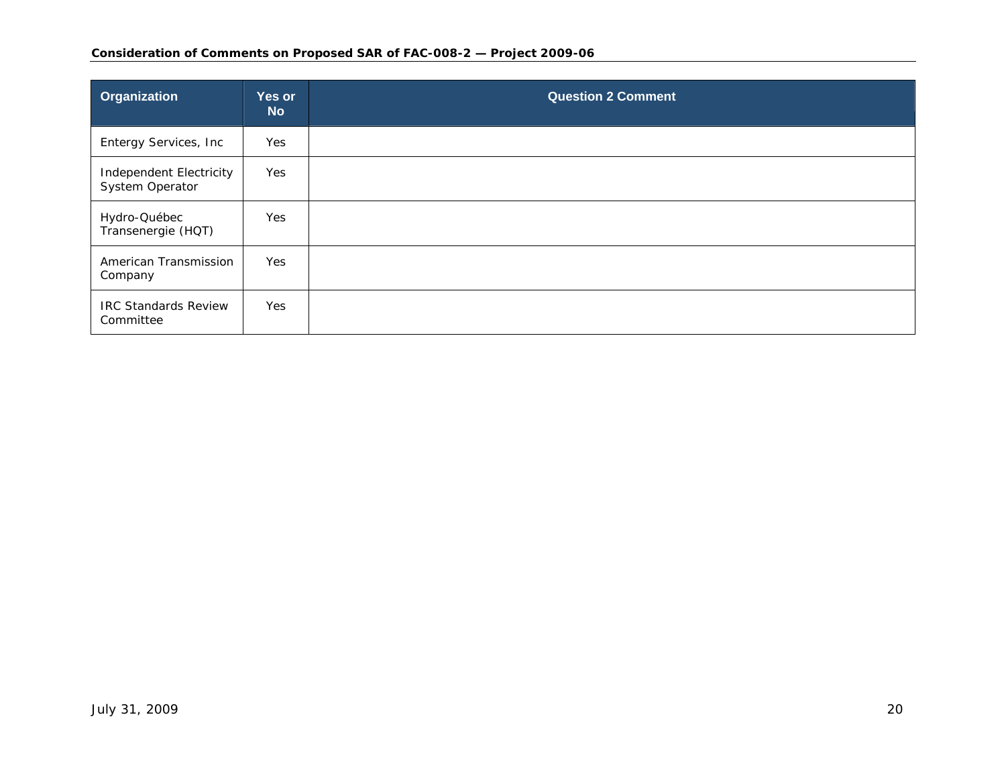| Organization                               | Yes or<br><b>No</b> | <b>Question 2 Comment</b> |
|--------------------------------------------|---------------------|---------------------------|
| Entergy Services, Inc                      | Yes                 |                           |
| Independent Electricity<br>System Operator | Yes                 |                           |
| Hydro-Québec<br>Transenergie (HQT)         | Yes                 |                           |
| American Transmission<br>Company           | Yes                 |                           |
| <b>IRC Standards Review</b><br>Committee   | Yes                 |                           |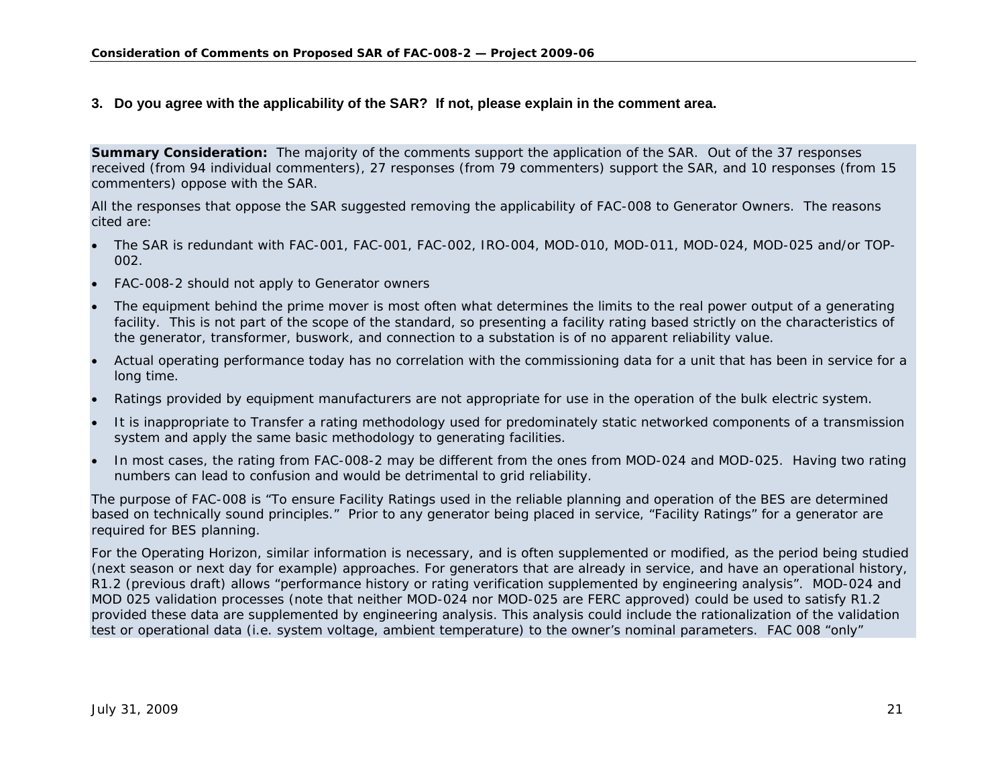### **3. Do you agree with the applicability of the SAR? If not, please explain in the comment area.**

**Summary Consideration:** The majority of the comments support the application of the SAR. Out of the 37 responses received (from 94 individual commenters), 27 responses (from 79 commenters) support the SAR, and 10 responses (from 15 commenters) oppose with the SAR.

All the responses that oppose the SAR suggested removing the applicability of FAC-008 to Generator Owners. The reasons cited are:

- c The SAR is redundant with FAC-001, FAC-001, FAC-002, IRO-004, MOD-010, MOD-011, MOD-024, MOD-025 and/or TOP-002.
- c FAC-008-2 should not apply to Generator owners
- c The equipment behind the prime mover is most often what determines the limits to the real power output of a generating facility. This is not part of the scope of the standard, so presenting a facility rating based strictly on the characteristics of the generator, transformer, buswork, and connection to a substation is of no apparent reliability value.
- e Actual operating performance today has no correlation with the commissioning data for a unit that has been in service for a long time.
- c Ratings provided by equipment manufacturers are not appropriate for use in the operation of the bulk electric system.
- It is inappropriate to Transfer a rating methodology used for predominately static networked components of a transmission system and apply the same basic methodology to generating facilities.
- e In most cases, the rating from FAC-008-2 may be different from the ones from MOD-024 and MOD-025. Having two rating numbers can lead to confusion and would be detrimental to grid reliability.

The purpose of FAC-008 is "To ensure Facility Ratings used in the reliable planning and operation of the BES are determined based on technically sound principles." Prior to any generator being placed in service, "Facility Ratings" for a generator are required for BES planning.

<span id="page-20-0"></span>For the Operating Horizon, similar information is necessary, and is often supplemented or modified, as the period being studied (next season or next day for example) approaches. For generators that are already in service, and have an operational history, R1.2 (previous draft) allows "performance history or rating verification supplemented by engineering analysis". MOD-024 and MOD 025 validation processes (note that neither MOD-024 nor MOD-025 are FERC approved) could be used to satisfy R1.2 provided these data are supplemented by engineering analysis. This analysis could include the rationalization of the validation test or operational data (i.e. system voltage, ambient temperature) to the owner's nominal parameters. FAC 008 "only"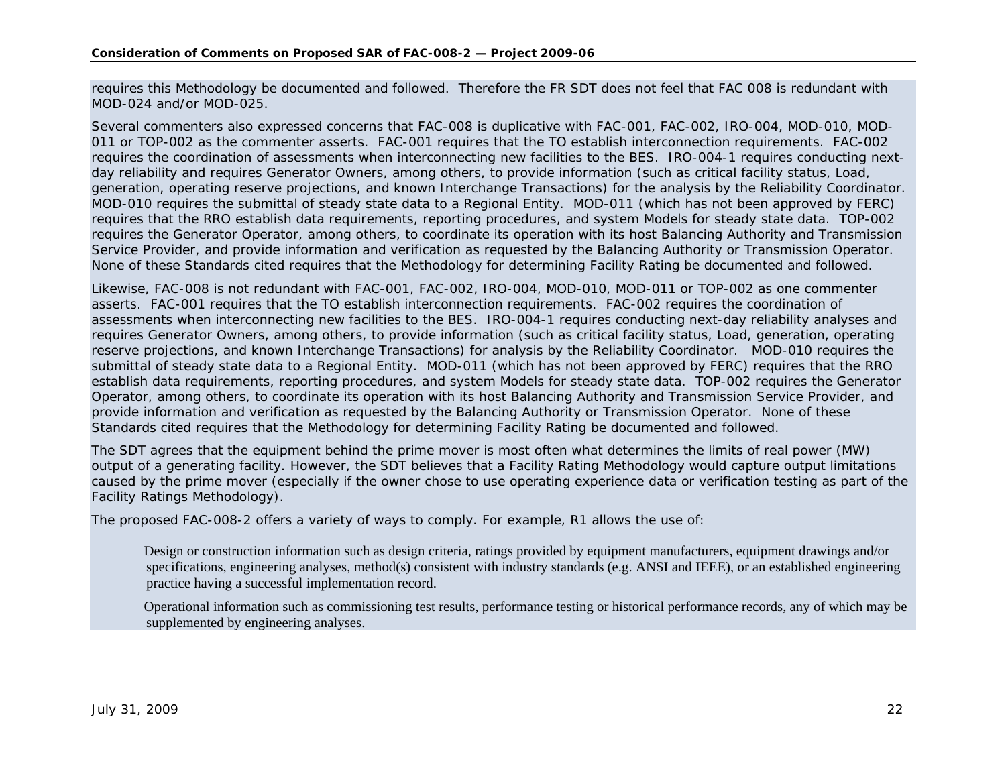requires this Methodology be documented and followed. Therefore the FR SDT does not feel that FAC 008 is redundant with MOD-024 and/or MOD-025.

Several commenters also expressed concerns that FAC-008 is duplicative with FAC-001, FAC-002, IRO-004, MOD-010, MOD-011 or TOP-002 as the commenter asserts. FAC-001 requires that the TO establish interconnection requirements. FAC-002 requires the coordination of assessments when interconnecting new facilities to the BES. IRO-004-1 requires conducting nextday reliability and requires Generator Owners, among others, to provide information (such as critical facility status, Load, generation, operating reserve projections, and known Interchange Transactions) for the analysis by the Reliability Coordinator. MOD-010 requires the submittal of steady state data to a Regional Entity. MOD-011 (which has not been approved by FERC) requires that the RRO establish data requirements, reporting procedures, and system Models for steady state data. TOP-002 requires the Generator Operator, among others, to coordinate its operation with its host Balancing Authority and Transmission Service Provider, and provide information and verification as requested by the Balancing Authority or Transmission Operator. None of these Standards cited requires that the Methodology for determining Facility Rating be documented and followed.

Likewise, FAC-008 is not redundant with FAC-001, FAC-002, IRO-004, MOD-010, MOD-011 or TOP-002 as one commenter asserts. FAC-001 requires that the TO establish interconnection requirements. FAC-002 requires the coordination of assessments when interconnecting new facilities to the BES. IRO-004-1 requires conducting next-day reliability analyses and requires Generator Owners, among others, to provide information (such as critical facility status, Load, generation, operating reserve projections, and known Interchange Transactions) for analysis by the Reliability Coordinator. MOD-010 requires the submittal of steady state data to a Regional Entity. MOD-011 (which has not been approved by FERC) requires that the RRO establish data requirements, reporting procedures, and system Models for steady state data. TOP-002 requires the Generator Operator, among others, to coordinate its operation with its host Balancing Authority and Transmission Service Provider, and provide information and verification as requested by the Balancing Authority or Transmission Operator. None of these Standards cited requires that the Methodology for determining Facility Rating be documented and followed.

The SDT agrees that the equipment behind the prime mover is most often what determines the limits of real power (MW) output of a generating facility. However, the SDT believes that a Facility Rating Methodology would capture output limitations caused by the prime mover (especially if the owner chose to use operating experience data or verification testing as part of the Facility Ratings Methodology).

The proposed FAC-008-2 offers a variety of ways to comply. For example, R1 allows the use of:

 Design or construction information such as design criteria, ratings provided by equipment manufacturers, equipment drawings and/or specifications, engineering analyses, method(s) consistent with industry standards (e.g. ANSI and IEEE), or an established engineering practice having a successful implementation record.

 Operational information such as commissioning test results, performance testing or historical performance records, any of which may be supplemented by engineering analyses.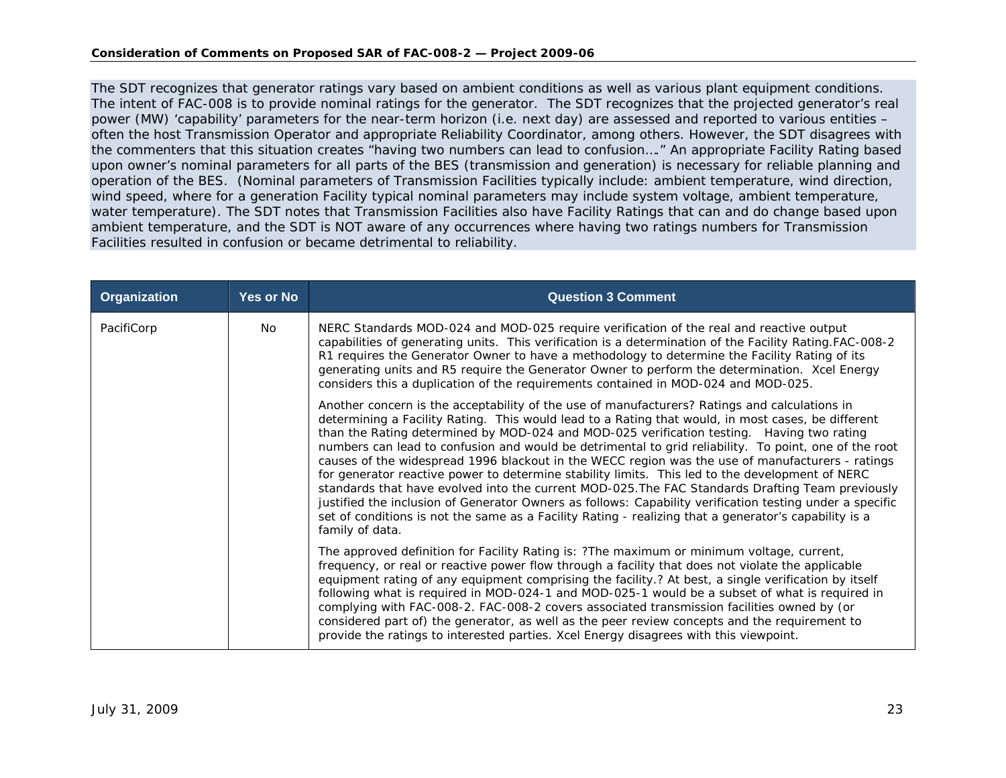The SDT recognizes that generator ratings vary based on ambient conditions as well as various plant equipment conditions. The intent of FAC-008 is to provide nominal ratings for the generator. The SDT recognizes that the projected generator's real power (MW) 'capability' parameters for the near-term horizon (i.e. next day) are assessed and reported to various entities – often the host Transmission Operator and appropriate Reliability Coordinator, among others. However, the SDT disagrees with the commenters that this situation creates "having two numbers can lead to confusion…." An appropriate Facility Rating based upon owner's nominal parameters for all parts of the BES (transmission and generation) is necessary for reliable planning and operation of the BES. (Nominal parameters of Transmission Facilities typically include: ambient temperature, wind direction, wind speed, where for a generation Facility typical nominal parameters may include system voltage, ambient temperature, water temperature). The SDT notes that Transmission Facilities also have Facility Ratings that can and do change based upon ambient temperature, and the SDT is NOT aware of any occurrences where having two ratings numbers for Transmission Facilities resulted in confusion or became detrimental to reliability.

| <b>Organization</b> | Yes or No | <b>Question 3 Comment</b>                                                                                                                                                                                                                                                                                                                                                                                                                                                                                                                                                                                                                                                                                                                                                                                                                                                                                                                                    |
|---------------------|-----------|--------------------------------------------------------------------------------------------------------------------------------------------------------------------------------------------------------------------------------------------------------------------------------------------------------------------------------------------------------------------------------------------------------------------------------------------------------------------------------------------------------------------------------------------------------------------------------------------------------------------------------------------------------------------------------------------------------------------------------------------------------------------------------------------------------------------------------------------------------------------------------------------------------------------------------------------------------------|
| PacifiCorp          | No.       | NERC Standards MOD-024 and MOD-025 require verification of the real and reactive output<br>capabilities of generating units. This verification is a determination of the Facility Rating FAC-008-2<br>R1 requires the Generator Owner to have a methodology to determine the Facility Rating of its<br>generating units and R5 require the Generator Owner to perform the determination. Xcel Energy<br>considers this a duplication of the requirements contained in MOD-024 and MOD-025.                                                                                                                                                                                                                                                                                                                                                                                                                                                                   |
|                     |           | Another concern is the acceptability of the use of manufacturers? Ratings and calculations in<br>determining a Facility Rating. This would lead to a Rating that would, in most cases, be different<br>than the Rating determined by MOD-024 and MOD-025 verification testing. Having two rating<br>numbers can lead to confusion and would be detrimental to grid reliability. To point, one of the root<br>causes of the widespread 1996 blackout in the WECC region was the use of manufacturers - ratings<br>for generator reactive power to determine stability limits. This led to the development of NERC<br>standards that have evolved into the current MOD-025. The FAC Standards Drafting Team previously<br>justified the inclusion of Generator Owners as follows: Capability verification testing under a specific<br>set of conditions is not the same as a Facility Rating - realizing that a generator's capability is a<br>family of data. |
|                     |           | The approved definition for Facility Rating is: ?The maximum or minimum voltage, current,<br>frequency, or real or reactive power flow through a facility that does not violate the applicable<br>equipment rating of any equipment comprising the facility.? At best, a single verification by itself<br>following what is required in MOD-024-1 and MOD-025-1 would be a subset of what is required in<br>complying with FAC-008-2. FAC-008-2 covers associated transmission facilities owned by (or<br>considered part of) the generator, as well as the peer review concepts and the requirement to<br>provide the ratings to interested parties. Xcel Energy disagrees with this viewpoint.                                                                                                                                                                                                                                                             |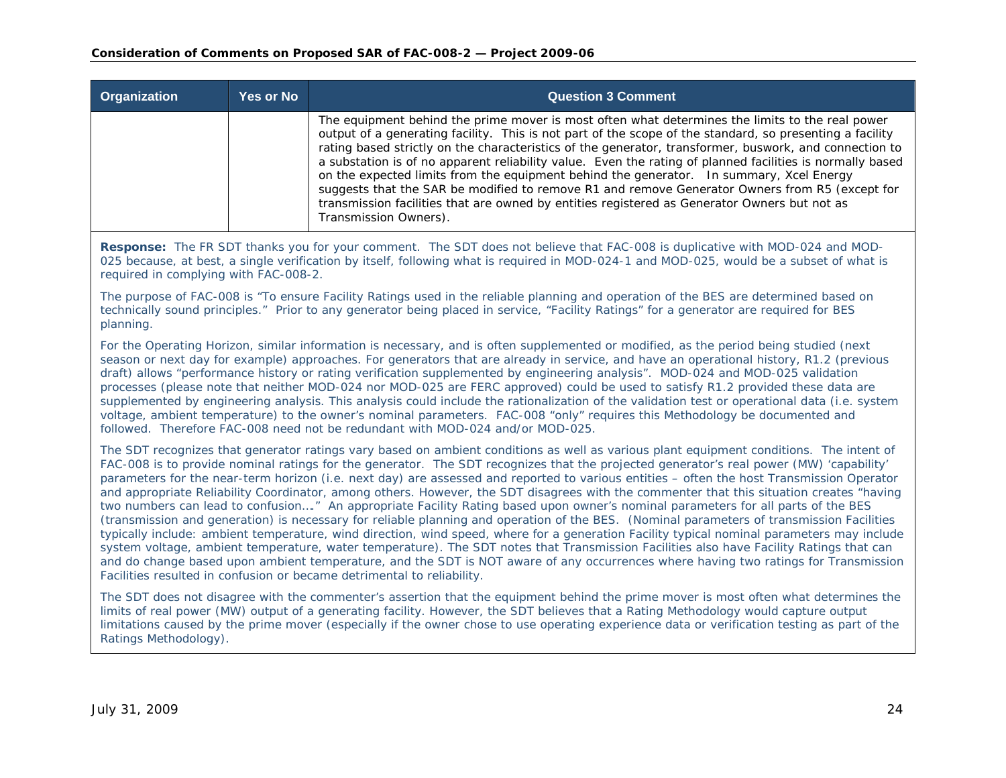| <b>Organization</b> | <b>Yes or No</b> | <b>Question 3 Comment</b>                                                                                                                                                                                                                                                                                                                                                                                                                                                                                                                                                                                                                                                                                                                                |
|---------------------|------------------|----------------------------------------------------------------------------------------------------------------------------------------------------------------------------------------------------------------------------------------------------------------------------------------------------------------------------------------------------------------------------------------------------------------------------------------------------------------------------------------------------------------------------------------------------------------------------------------------------------------------------------------------------------------------------------------------------------------------------------------------------------|
|                     |                  | The equipment behind the prime mover is most often what determines the limits to the real power<br>output of a generating facility. This is not part of the scope of the standard, so presenting a facility<br>rating based strictly on the characteristics of the generator, transformer, buswork, and connection to<br>a substation is of no apparent reliability value. Even the rating of planned facilities is normally based<br>on the expected limits from the equipment behind the generator. In summary, Xcel Energy<br>suggests that the SAR be modified to remove R1 and remove Generator Owners from R5 (except for<br>transmission facilities that are owned by entities registered as Generator Owners but not as<br>Transmission Owners). |

**Response:** The FR SDT thanks you for your comment. The SDT does not believe that FAC-008 is duplicative with MOD-024 and MOD-025 because, at best, a single verification by itself, following what is required in MOD-024-1 and MOD-025, would be a subset of what is required in complying with FAC-008-2.

The purpose of FAC-008 is "To ensure Facility Ratings used in the reliable planning and operation of the BES are determined based on technically sound principles." Prior to any generator being placed in service, "Facility Ratings" for a generator are required for BES planning.

For the Operating Horizon, similar information is necessary, and is often supplemented or modified, as the period being studied (next season or next day for example) approaches. For generators that are already in service, and have an operational history, R1.2 (previous draft) allows "performance history or rating verification supplemented by engineering analysis". MOD-024 and MOD-025 validation processes (please note that neither MOD-024 nor MOD-025 are FERC approved) could be used to satisfy R1.2 provided these data are supplemented by engineering analysis. This analysis could include the rationalization of the validation test or operational data (i.e. system voltage, ambient temperature) to the owner's nominal parameters. FAC-008 "only" requires this Methodology be documented and followed. Therefore FAC-008 need not be redundant with MOD-024 and/or MOD-025.

The SDT recognizes that generator ratings vary based on ambient conditions as well as various plant equipment conditions. The intent of FAC-008 is to provide nominal ratings for the generator. The SDT recognizes that the projected generator's real power (MW) 'capability' parameters for the near-term horizon (i.e. next day) are assessed and reported to various entities – often the host Transmission Operator and appropriate Reliability Coordinator, among others. However, the SDT disagrees with the commenter that this situation creates "having two numbers can lead to confusion…." An appropriate Facility Rating based upon owner's nominal parameters for all parts of the BES (transmission and generation) is necessary for reliable planning and operation of the BES. (Nominal parameters of transmission Facilities typically include: ambient temperature, wind direction, wind speed, where for a generation Facility typical nominal parameters may include system voltage, ambient temperature, water temperature). The SDT notes that Transmission Facilities also have Facility Ratings that can and do change based upon ambient temperature, and the SDT is NOT aware of any occurrences where having two ratings for Transmission Facilities resulted in confusion or became detrimental to reliability.

The SDT does not disagree with the commenter's assertion that the equipment behind the prime mover is most often what determines the limits of real power (MW) output of a generating facility. However, the SDT believes that a Rating Methodology would capture output limitations caused by the prime mover (especially if the owner chose to use operating experience data or verification testing as part of the Ratings Methodology).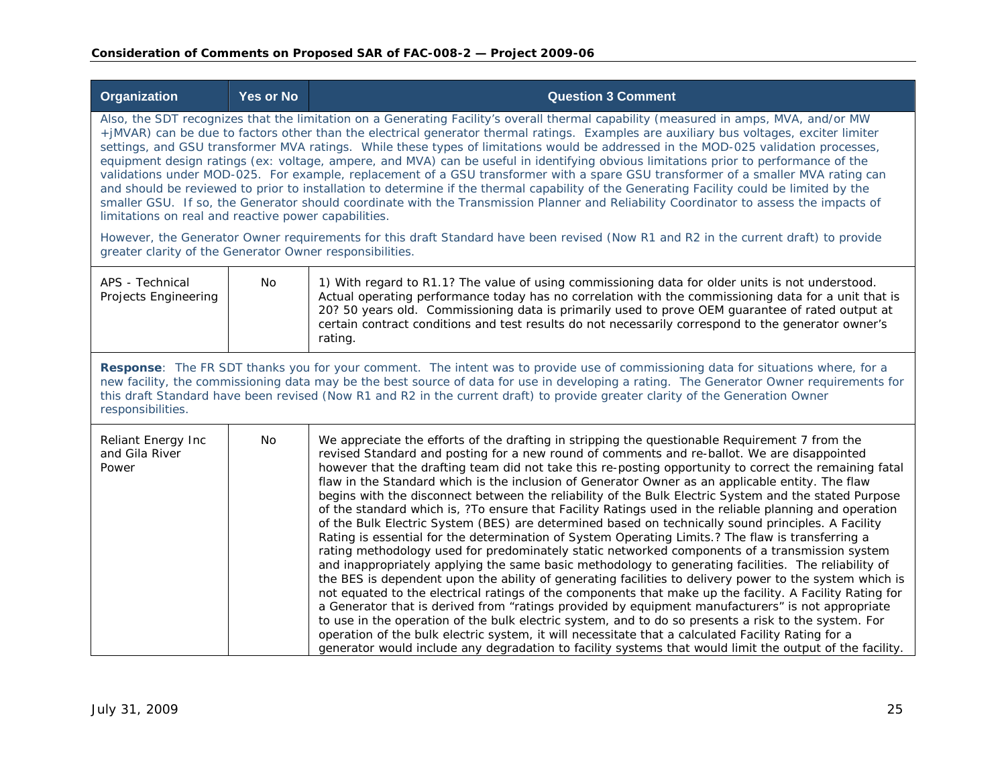| <b>Organization</b>                                      | <b>Yes or No</b> | <b>Question 3 Comment</b>                                                                                                                                                                                                                                                                                                                                                                                                                                                                                                                                                                                                                                                                                                                                                                                                                                                                                                                                                                                                                                                                                                                                                                                                                                                                                                                                                                                                                                                                                                                                                                                                                                                                                 |
|----------------------------------------------------------|------------------|-----------------------------------------------------------------------------------------------------------------------------------------------------------------------------------------------------------------------------------------------------------------------------------------------------------------------------------------------------------------------------------------------------------------------------------------------------------------------------------------------------------------------------------------------------------------------------------------------------------------------------------------------------------------------------------------------------------------------------------------------------------------------------------------------------------------------------------------------------------------------------------------------------------------------------------------------------------------------------------------------------------------------------------------------------------------------------------------------------------------------------------------------------------------------------------------------------------------------------------------------------------------------------------------------------------------------------------------------------------------------------------------------------------------------------------------------------------------------------------------------------------------------------------------------------------------------------------------------------------------------------------------------------------------------------------------------------------|
| limitations on real and reactive power capabilities.     |                  | Also, the SDT recognizes that the limitation on a Generating Facility's overall thermal capability (measured in amps, MVA, and/or MW<br>+jMVAR) can be due to factors other than the electrical generator thermal ratings. Examples are auxiliary bus voltages, exciter limiter<br>settings, and GSU transformer MVA ratings. While these types of limitations would be addressed in the MOD-025 validation processes,<br>equipment design ratings (ex: voltage, ampere, and MVA) can be useful in identifying obvious limitations prior to performance of the<br>validations under MOD-025. For example, replacement of a GSU transformer with a spare GSU transformer of a smaller MVA rating can<br>and should be reviewed to prior to installation to determine if the thermal capability of the Generating Facility could be limited by the<br>smaller GSU. If so, the Generator should coordinate with the Transmission Planner and Reliability Coordinator to assess the impacts of                                                                                                                                                                                                                                                                                                                                                                                                                                                                                                                                                                                                                                                                                                                |
| greater clarity of the Generator Owner responsibilities. |                  | However, the Generator Owner requirements for this draft Standard have been revised (Now R1 and R2 in the current draft) to provide                                                                                                                                                                                                                                                                                                                                                                                                                                                                                                                                                                                                                                                                                                                                                                                                                                                                                                                                                                                                                                                                                                                                                                                                                                                                                                                                                                                                                                                                                                                                                                       |
| APS - Technical<br>Projects Engineering                  | No               | 1) With regard to R1.1? The value of using commissioning data for older units is not understood.<br>Actual operating performance today has no correlation with the commissioning data for a unit that is<br>20? 50 years old. Commissioning data is primarily used to prove OEM guarantee of rated output at<br>certain contract conditions and test results do not necessarily correspond to the generator owner's<br>rating.                                                                                                                                                                                                                                                                                                                                                                                                                                                                                                                                                                                                                                                                                                                                                                                                                                                                                                                                                                                                                                                                                                                                                                                                                                                                            |
| responsibilities.                                        |                  | Response: The FR SDT thanks you for your comment. The intent was to provide use of commissioning data for situations where, for a<br>new facility, the commissioning data may be the best source of data for use in developing a rating. The Generator Owner requirements for<br>this draft Standard have been revised (Now R1 and R2 in the current draft) to provide greater clarity of the Generation Owner                                                                                                                                                                                                                                                                                                                                                                                                                                                                                                                                                                                                                                                                                                                                                                                                                                                                                                                                                                                                                                                                                                                                                                                                                                                                                            |
| Reliant Energy Inc<br>and Gila River<br>Power            | No               | We appreciate the efforts of the drafting in stripping the questionable Requirement 7 from the<br>revised Standard and posting for a new round of comments and re-ballot. We are disappointed<br>however that the drafting team did not take this re-posting opportunity to correct the remaining fatal<br>flaw in the Standard which is the inclusion of Generator Owner as an applicable entity. The flaw<br>begins with the disconnect between the reliability of the Bulk Electric System and the stated Purpose<br>of the standard which is, ?To ensure that Facility Ratings used in the reliable planning and operation<br>of the Bulk Electric System (BES) are determined based on technically sound principles. A Facility<br>Rating is essential for the determination of System Operating Limits.? The flaw is transferring a<br>rating methodology used for predominately static networked components of a transmission system<br>and inappropriately applying the same basic methodology to generating facilities. The reliability of<br>the BES is dependent upon the ability of generating facilities to delivery power to the system which is<br>not equated to the electrical ratings of the components that make up the facility. A Facility Rating for<br>a Generator that is derived from "ratings provided by equipment manufacturers" is not appropriate<br>to use in the operation of the bulk electric system, and to do so presents a risk to the system. For<br>operation of the bulk electric system, it will necessitate that a calculated Facility Rating for a<br>generator would include any degradation to facility systems that would limit the output of the facility. |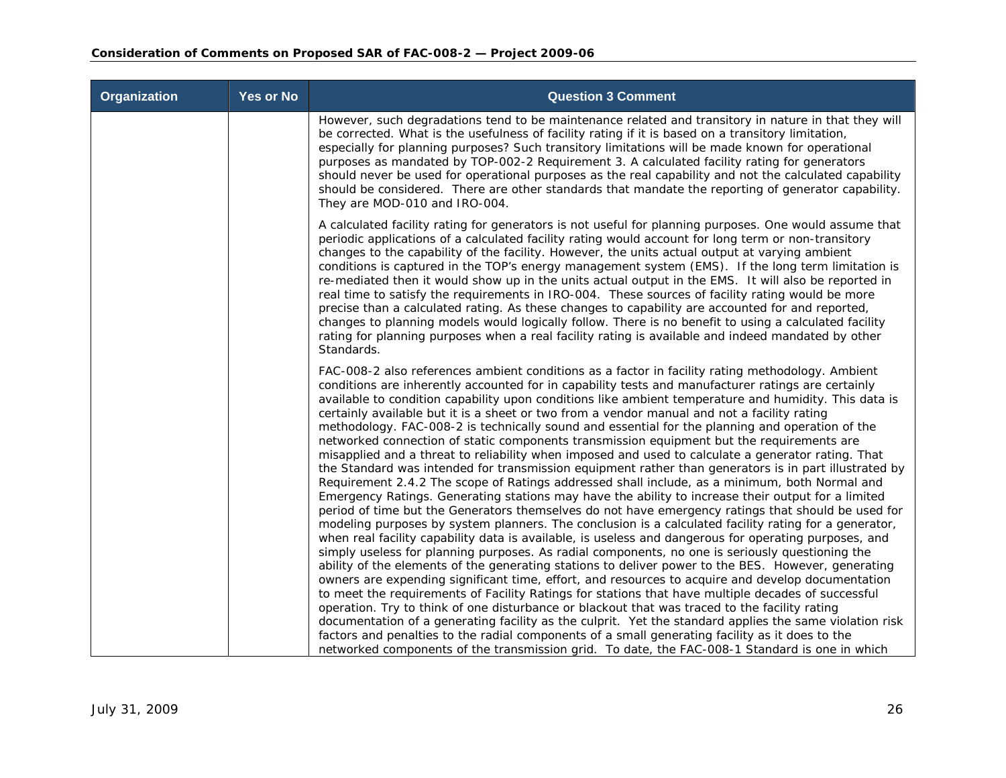| <b>Organization</b> | <b>Yes or No</b> | <b>Question 3 Comment</b>                                                                                                                                                                                                                                                                                                                                                                                                                                                                                                                                                                                                                                                                                                                                                                                                                                                                                                                                                                                                                                                                                                                                                                                                                                                                                                                                                                                                                                                                                                                                                                                                                                                                                                                                                                                                                                                                                                                                                                                                                                                                                                                                                                          |
|---------------------|------------------|----------------------------------------------------------------------------------------------------------------------------------------------------------------------------------------------------------------------------------------------------------------------------------------------------------------------------------------------------------------------------------------------------------------------------------------------------------------------------------------------------------------------------------------------------------------------------------------------------------------------------------------------------------------------------------------------------------------------------------------------------------------------------------------------------------------------------------------------------------------------------------------------------------------------------------------------------------------------------------------------------------------------------------------------------------------------------------------------------------------------------------------------------------------------------------------------------------------------------------------------------------------------------------------------------------------------------------------------------------------------------------------------------------------------------------------------------------------------------------------------------------------------------------------------------------------------------------------------------------------------------------------------------------------------------------------------------------------------------------------------------------------------------------------------------------------------------------------------------------------------------------------------------------------------------------------------------------------------------------------------------------------------------------------------------------------------------------------------------------------------------------------------------------------------------------------------------|
|                     |                  | However, such degradations tend to be maintenance related and transitory in nature in that they will<br>be corrected. What is the usefulness of facility rating if it is based on a transitory limitation,<br>especially for planning purposes? Such transitory limitations will be made known for operational<br>purposes as mandated by TOP-002-2 Requirement 3. A calculated facility rating for generators<br>should never be used for operational purposes as the real capability and not the calculated capability<br>should be considered. There are other standards that mandate the reporting of generator capability.<br>They are MOD-010 and IRO-004.                                                                                                                                                                                                                                                                                                                                                                                                                                                                                                                                                                                                                                                                                                                                                                                                                                                                                                                                                                                                                                                                                                                                                                                                                                                                                                                                                                                                                                                                                                                                   |
|                     |                  | A calculated facility rating for generators is not useful for planning purposes. One would assume that<br>periodic applications of a calculated facility rating would account for long term or non-transitory<br>changes to the capability of the facility. However, the units actual output at varying ambient<br>conditions is captured in the TOP's energy management system (EMS). If the long term limitation is<br>re-mediated then it would show up in the units actual output in the EMS. It will also be reported in<br>real time to satisfy the requirements in IRO-004. These sources of facility rating would be more<br>precise than a calculated rating. As these changes to capability are accounted for and reported,<br>changes to planning models would logically follow. There is no benefit to using a calculated facility<br>rating for planning purposes when a real facility rating is available and indeed mandated by other<br>Standards.                                                                                                                                                                                                                                                                                                                                                                                                                                                                                                                                                                                                                                                                                                                                                                                                                                                                                                                                                                                                                                                                                                                                                                                                                                 |
|                     |                  | FAC-008-2 also references ambient conditions as a factor in facility rating methodology. Ambient<br>conditions are inherently accounted for in capability tests and manufacturer ratings are certainly<br>available to condition capability upon conditions like ambient temperature and humidity. This data is<br>certainly available but it is a sheet or two from a vendor manual and not a facility rating<br>methodology. FAC-008-2 is technically sound and essential for the planning and operation of the<br>networked connection of static components transmission equipment but the requirements are<br>misapplied and a threat to reliability when imposed and used to calculate a generator rating. That<br>the Standard was intended for transmission equipment rather than generators is in part illustrated by<br>Requirement 2.4.2 The scope of Ratings addressed shall include, as a minimum, both Normal and<br>Emergency Ratings. Generating stations may have the ability to increase their output for a limited<br>period of time but the Generators themselves do not have emergency ratings that should be used for<br>modeling purposes by system planners. The conclusion is a calculated facility rating for a generator,<br>when real facility capability data is available, is useless and dangerous for operating purposes, and<br>simply useless for planning purposes. As radial components, no one is seriously questioning the<br>ability of the elements of the generating stations to deliver power to the BES. However, generating<br>owners are expending significant time, effort, and resources to acquire and develop documentation<br>to meet the requirements of Facility Ratings for stations that have multiple decades of successful<br>operation. Try to think of one disturbance or blackout that was traced to the facility rating<br>documentation of a generating facility as the culprit. Yet the standard applies the same violation risk<br>factors and penalties to the radial components of a small generating facility as it does to the<br>networked components of the transmission grid. To date, the FAC-008-1 Standard is one in which |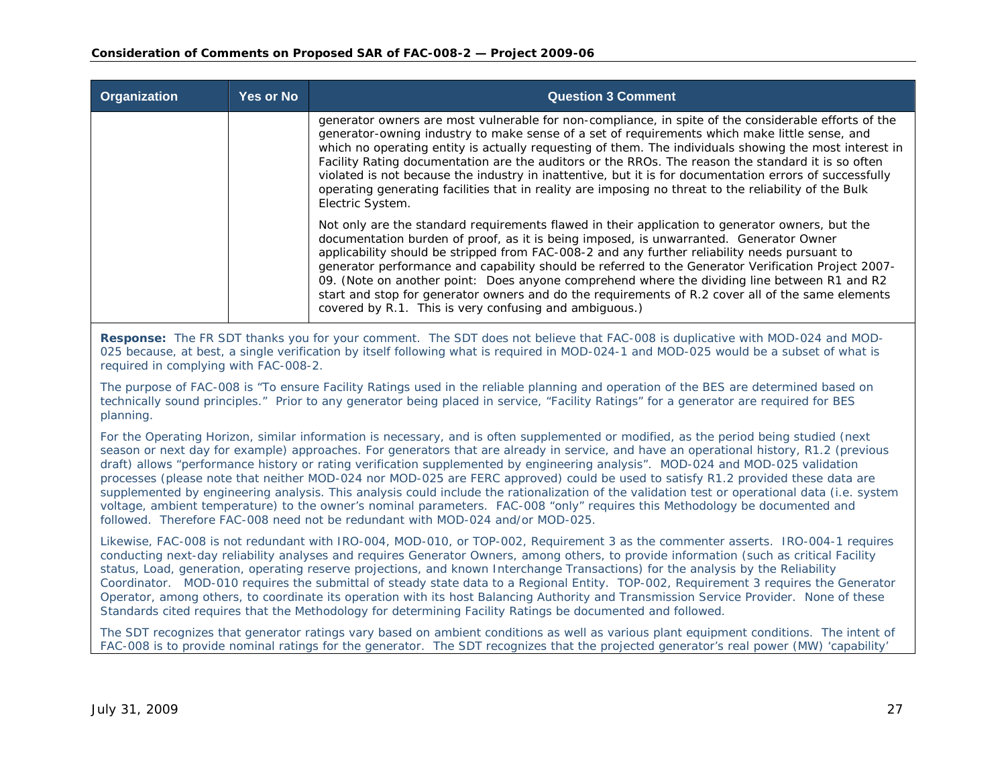| <b>Organization</b> | <b>Yes or No</b> | <b>Question 3 Comment</b>                                                                                                                                                                                                                                                                                                                                                                                                                                                                                                                                                                                                                                        |
|---------------------|------------------|------------------------------------------------------------------------------------------------------------------------------------------------------------------------------------------------------------------------------------------------------------------------------------------------------------------------------------------------------------------------------------------------------------------------------------------------------------------------------------------------------------------------------------------------------------------------------------------------------------------------------------------------------------------|
|                     |                  | generator owners are most vulnerable for non-compliance, in spite of the considerable efforts of the<br>generator-owning industry to make sense of a set of requirements which make little sense, and<br>which no operating entity is actually requesting of them. The individuals showing the most interest in<br>Facility Rating documentation are the auditors or the RROs. The reason the standard it is so often<br>violated is not because the industry in inattentive, but it is for documentation errors of successfully<br>operating generating facilities that in reality are imposing no threat to the reliability of the Bulk<br>Electric System.    |
|                     |                  | Not only are the standard requirements flawed in their application to generator owners, but the<br>documentation burden of proof, as it is being imposed, is unwarranted. Generator Owner<br>applicability should be stripped from FAC-008-2 and any further reliability needs pursuant to<br>generator performance and capability should be referred to the Generator Verification Project 2007-<br>09. (Note on another point: Does anyone comprehend where the dividing line between R1 and R2<br>start and stop for generator owners and do the requirements of R.2 cover all of the same elements<br>covered by R.1. This is very confusing and ambiguous.) |

**Response:** The FR SDT thanks you for your comment. The SDT does not believe that FAC-008 is duplicative with MOD-024 and MOD-025 because, at best, a single verification by itself following what is required in MOD-024-1 and MOD-025 would be a subset of what is required in complying with FAC-008-2.

The purpose of FAC-008 is "To ensure Facility Ratings used in the reliable planning and operation of the BES are determined based on technically sound principles." Prior to any generator being placed in service, "Facility Ratings" for a generator are required for BES planning.

For the Operating Horizon, similar information is necessary, and is often supplemented or modified, as the period being studied (next season or next day for example) approaches. For generators that are already in service, and have an operational history, R1.2 (previous draft) allows "performance history or rating verification supplemented by engineering analysis". MOD-024 and MOD-025 validation processes (please note that neither MOD-024 nor MOD-025 are FERC approved) could be used to satisfy R1.2 provided these data are supplemented by engineering analysis. This analysis could include the rationalization of the validation test or operational data (i.e. system voltage, ambient temperature) to the owner's nominal parameters. FAC-008 "only" requires this Methodology be documented and followed. Therefore FAC-008 need not be redundant with MOD-024 and/or MOD-025.

Likewise, FAC-008 is not redundant with IRO-004, MOD-010, or TOP-002, Requirement 3 as the commenter asserts. IRO-004-1 requires conducting next-day reliability analyses and requires Generator Owners, among others, to provide information (such as critical Facility status, Load, generation, operating reserve projections, and known Interchange Transactions) for the analysis by the Reliability Coordinator. MOD-010 requires the submittal of steady state data to a Regional Entity. TOP-002, Requirement 3 requires the Generator Operator, among others, to coordinate its operation with its host Balancing Authority and Transmission Service Provider. None of these Standards cited requires that the Methodology for determining Facility Ratings be documented and followed.

The SDT recognizes that generator ratings vary based on ambient conditions as well as various plant equipment conditions. The intent of FAC-008 is to provide nominal ratings for the generator. The SDT recognizes that the projected generator's real power (MW) 'capability'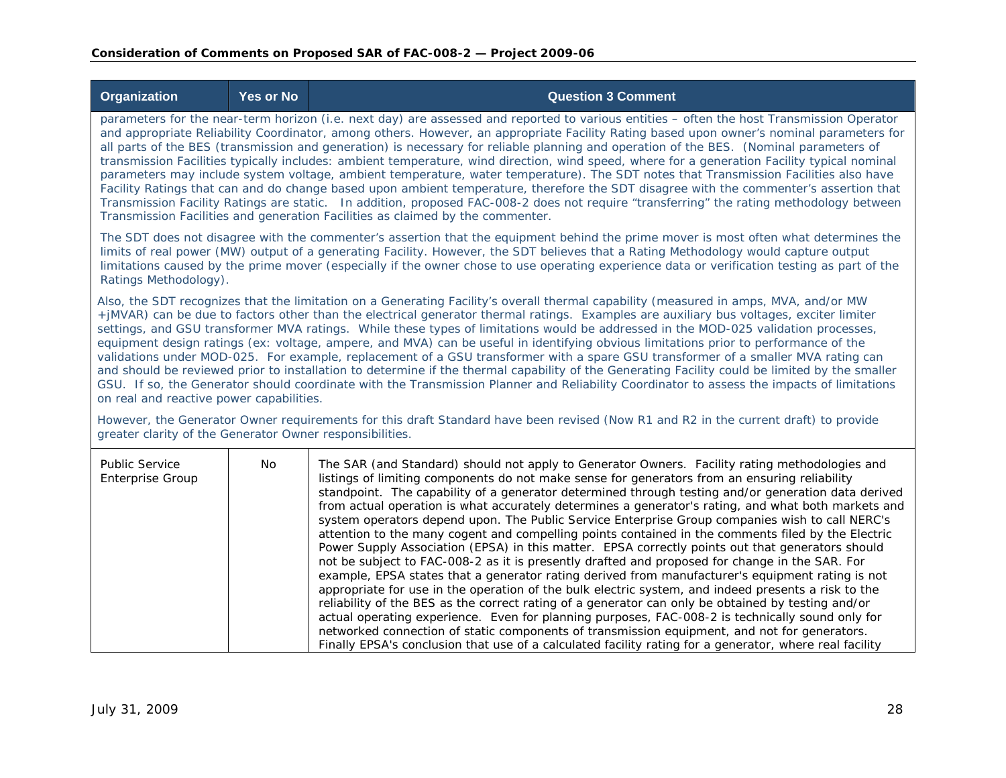|                                                                                                                                                                                                 | <b>Organization</b>                                                                                                                                                                                                                                                                                                                                                                                                                                                                                                                                                                                                                                                                                                                                                                                                                                                                                                                                                                                                                                                                             | <b>Yes or No</b> | <b>Question 3 Comment</b>                                                                                                                                                                                                                                                                                                                                                                                                                                                                                                                                                                                                                                                                                                                                                                                                                                                                                                                                                                                                                                                                                                                                                                                                                         |
|-------------------------------------------------------------------------------------------------------------------------------------------------------------------------------------------------|-------------------------------------------------------------------------------------------------------------------------------------------------------------------------------------------------------------------------------------------------------------------------------------------------------------------------------------------------------------------------------------------------------------------------------------------------------------------------------------------------------------------------------------------------------------------------------------------------------------------------------------------------------------------------------------------------------------------------------------------------------------------------------------------------------------------------------------------------------------------------------------------------------------------------------------------------------------------------------------------------------------------------------------------------------------------------------------------------|------------------|---------------------------------------------------------------------------------------------------------------------------------------------------------------------------------------------------------------------------------------------------------------------------------------------------------------------------------------------------------------------------------------------------------------------------------------------------------------------------------------------------------------------------------------------------------------------------------------------------------------------------------------------------------------------------------------------------------------------------------------------------------------------------------------------------------------------------------------------------------------------------------------------------------------------------------------------------------------------------------------------------------------------------------------------------------------------------------------------------------------------------------------------------------------------------------------------------------------------------------------------------|
|                                                                                                                                                                                                 | parameters for the near-term horizon (i.e. next day) are assessed and reported to various entities - often the host Transmission Operator<br>and appropriate Reliability Coordinator, among others. However, an appropriate Facility Rating based upon owner's nominal parameters for<br>all parts of the BES (transmission and generation) is necessary for reliable planning and operation of the BES. (Nominal parameters of<br>transmission Facilities typically includes: ambient temperature, wind direction, wind speed, where for a generation Facility typical nominal<br>parameters may include system voltage, ambient temperature, water temperature). The SDT notes that Transmission Facilities also have<br>Facility Ratings that can and do change based upon ambient temperature, therefore the SDT disagree with the commenter's assertion that<br>Transmission Facility Ratings are static. In addition, proposed FAC-008-2 does not require "transferring" the rating methodology between<br>Transmission Facilities and generation Facilities as claimed by the commenter. |                  |                                                                                                                                                                                                                                                                                                                                                                                                                                                                                                                                                                                                                                                                                                                                                                                                                                                                                                                                                                                                                                                                                                                                                                                                                                                   |
|                                                                                                                                                                                                 | Ratings Methodology).                                                                                                                                                                                                                                                                                                                                                                                                                                                                                                                                                                                                                                                                                                                                                                                                                                                                                                                                                                                                                                                                           |                  | The SDT does not disagree with the commenter's assertion that the equipment behind the prime mover is most often what determines the<br>limits of real power (MW) output of a generating Facility. However, the SDT believes that a Rating Methodology would capture output<br>limitations caused by the prime mover (especially if the owner chose to use operating experience data or verification testing as part of the                                                                                                                                                                                                                                                                                                                                                                                                                                                                                                                                                                                                                                                                                                                                                                                                                       |
|                                                                                                                                                                                                 | Also, the SDT recognizes that the limitation on a Generating Facility's overall thermal capability (measured in amps, MVA, and/or MW<br>+jMVAR) can be due to factors other than the electrical generator thermal ratings. Examples are auxiliary bus voltages, exciter limiter<br>settings, and GSU transformer MVA ratings. While these types of limitations would be addressed in the MOD-025 validation processes,<br>equipment design ratings (ex: voltage, ampere, and MVA) can be useful in identifying obvious limitations prior to performance of the<br>validations under MOD-025. For example, replacement of a GSU transformer with a spare GSU transformer of a smaller MVA rating can<br>and should be reviewed prior to installation to determine if the thermal capability of the Generating Facility could be limited by the smaller<br>GSU. If so, the Generator should coordinate with the Transmission Planner and Reliability Coordinator to assess the impacts of limitations<br>on real and reactive power capabilities.                                                 |                  |                                                                                                                                                                                                                                                                                                                                                                                                                                                                                                                                                                                                                                                                                                                                                                                                                                                                                                                                                                                                                                                                                                                                                                                                                                                   |
| However, the Generator Owner requirements for this draft Standard have been revised (Now R1 and R2 in the current draft) to provide<br>greater clarity of the Generator Owner responsibilities. |                                                                                                                                                                                                                                                                                                                                                                                                                                                                                                                                                                                                                                                                                                                                                                                                                                                                                                                                                                                                                                                                                                 |                  |                                                                                                                                                                                                                                                                                                                                                                                                                                                                                                                                                                                                                                                                                                                                                                                                                                                                                                                                                                                                                                                                                                                                                                                                                                                   |
|                                                                                                                                                                                                 | <b>Public Service</b><br><b>Enterprise Group</b>                                                                                                                                                                                                                                                                                                                                                                                                                                                                                                                                                                                                                                                                                                                                                                                                                                                                                                                                                                                                                                                | No               | The SAR (and Standard) should not apply to Generator Owners. Facility rating methodologies and<br>listings of limiting components do not make sense for generators from an ensuring reliability<br>standpoint. The capability of a generator determined through testing and/or generation data derived<br>from actual operation is what accurately determines a generator's rating, and what both markets and<br>system operators depend upon. The Public Service Enterprise Group companies wish to call NERC's<br>attention to the many cogent and compelling points contained in the comments filed by the Electric<br>Power Supply Association (EPSA) in this matter. EPSA correctly points out that generators should<br>not be subject to FAC-008-2 as it is presently drafted and proposed for change in the SAR. For<br>example, EPSA states that a generator rating derived from manufacturer's equipment rating is not<br>appropriate for use in the operation of the bulk electric system, and indeed presents a risk to the<br>reliability of the BES as the correct rating of a generator can only be obtained by testing and/or<br>actual operating experience. Even for planning purposes, FAC-008-2 is technically sound only for |

networked connection of static components of transmission equipment, and not for generators. Finally EPSA's conclusion that use of a calculated facility rating for a generator, where real facility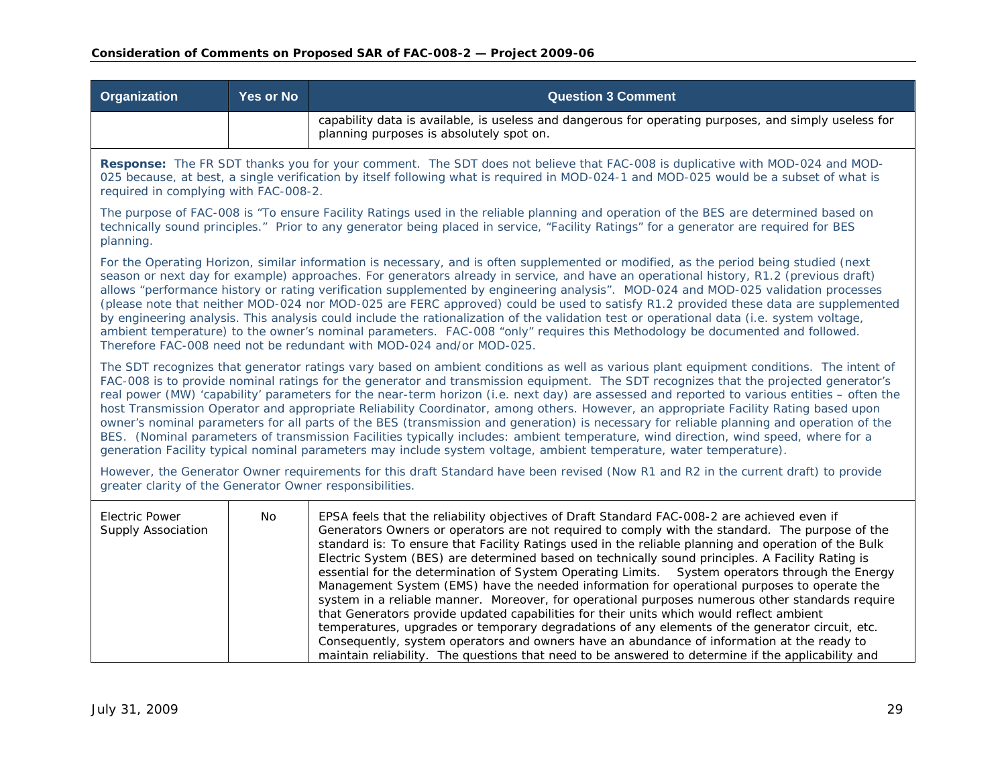| Organization                                                                                                                                                                                                                                                                                                                                                                                                                                                                                                                                                                                                                                                                                                                                                                                                                                                                                                                                                                        | <b>Yes or No</b>                                                                                                                                                                                                                                                                                                | <b>Question 3 Comment</b>                                                                                                                                                                                                                                                                                                                                                                                                                                                                                                                                                                                                                                                                                                                                                                                                                                                                                                                                                                                                                                                                                            |  |  |
|-------------------------------------------------------------------------------------------------------------------------------------------------------------------------------------------------------------------------------------------------------------------------------------------------------------------------------------------------------------------------------------------------------------------------------------------------------------------------------------------------------------------------------------------------------------------------------------------------------------------------------------------------------------------------------------------------------------------------------------------------------------------------------------------------------------------------------------------------------------------------------------------------------------------------------------------------------------------------------------|-----------------------------------------------------------------------------------------------------------------------------------------------------------------------------------------------------------------------------------------------------------------------------------------------------------------|----------------------------------------------------------------------------------------------------------------------------------------------------------------------------------------------------------------------------------------------------------------------------------------------------------------------------------------------------------------------------------------------------------------------------------------------------------------------------------------------------------------------------------------------------------------------------------------------------------------------------------------------------------------------------------------------------------------------------------------------------------------------------------------------------------------------------------------------------------------------------------------------------------------------------------------------------------------------------------------------------------------------------------------------------------------------------------------------------------------------|--|--|
|                                                                                                                                                                                                                                                                                                                                                                                                                                                                                                                                                                                                                                                                                                                                                                                                                                                                                                                                                                                     |                                                                                                                                                                                                                                                                                                                 | capability data is available, is useless and dangerous for operating purposes, and simply useless for<br>planning purposes is absolutely spot on.                                                                                                                                                                                                                                                                                                                                                                                                                                                                                                                                                                                                                                                                                                                                                                                                                                                                                                                                                                    |  |  |
|                                                                                                                                                                                                                                                                                                                                                                                                                                                                                                                                                                                                                                                                                                                                                                                                                                                                                                                                                                                     | Response: The FR SDT thanks you for your comment. The SDT does not believe that FAC-008 is duplicative with MOD-024 and MOD-<br>025 because, at best, a single verification by itself following what is required in MOD-024-1 and MOD-025 would be a subset of what is<br>required in complying with FAC-008-2. |                                                                                                                                                                                                                                                                                                                                                                                                                                                                                                                                                                                                                                                                                                                                                                                                                                                                                                                                                                                                                                                                                                                      |  |  |
| planning.                                                                                                                                                                                                                                                                                                                                                                                                                                                                                                                                                                                                                                                                                                                                                                                                                                                                                                                                                                           |                                                                                                                                                                                                                                                                                                                 | The purpose of FAC-008 is "To ensure Facility Ratings used in the reliable planning and operation of the BES are determined based on<br>technically sound principles." Prior to any generator being placed in service, "Facility Ratings" for a generator are required for BES                                                                                                                                                                                                                                                                                                                                                                                                                                                                                                                                                                                                                                                                                                                                                                                                                                       |  |  |
| For the Operating Horizon, similar information is necessary, and is often supplemented or modified, as the period being studied (next<br>season or next day for example) approaches. For generators already in service, and have an operational history, R1.2 (previous draft)<br>allows "performance history or rating verification supplemented by engineering analysis". MOD-024 and MOD-025 validation processes<br>(please note that neither MOD-024 nor MOD-025 are FERC approved) could be used to satisfy R1.2 provided these data are supplemented<br>by engineering analysis. This analysis could include the rationalization of the validation test or operational data (i.e. system voltage,<br>ambient temperature) to the owner's nominal parameters. FAC-008 "only" requires this Methodology be documented and followed.<br>Therefore FAC-008 need not be redundant with MOD-024 and/or MOD-025.                                                                    |                                                                                                                                                                                                                                                                                                                 |                                                                                                                                                                                                                                                                                                                                                                                                                                                                                                                                                                                                                                                                                                                                                                                                                                                                                                                                                                                                                                                                                                                      |  |  |
| The SDT recognizes that generator ratings vary based on ambient conditions as well as various plant equipment conditions. The intent of<br>FAC-008 is to provide nominal ratings for the generator and transmission equipment. The SDT recognizes that the projected generator's<br>real power (MW) 'capability' parameters for the near-term horizon (i.e. next day) are assessed and reported to various entities – often the<br>host Transmission Operator and appropriate Reliability Coordinator, among others. However, an appropriate Facility Rating based upon<br>owner's nominal parameters for all parts of the BES (transmission and generation) is necessary for reliable planning and operation of the<br>BES. (Nominal parameters of transmission Facilities typically includes: ambient temperature, wind direction, wind speed, where for a<br>generation Facility typical nominal parameters may include system voltage, ambient temperature, water temperature). |                                                                                                                                                                                                                                                                                                                 |                                                                                                                                                                                                                                                                                                                                                                                                                                                                                                                                                                                                                                                                                                                                                                                                                                                                                                                                                                                                                                                                                                                      |  |  |
| However, the Generator Owner requirements for this draft Standard have been revised (Now R1 and R2 in the current draft) to provide<br>greater clarity of the Generator Owner responsibilities.                                                                                                                                                                                                                                                                                                                                                                                                                                                                                                                                                                                                                                                                                                                                                                                     |                                                                                                                                                                                                                                                                                                                 |                                                                                                                                                                                                                                                                                                                                                                                                                                                                                                                                                                                                                                                                                                                                                                                                                                                                                                                                                                                                                                                                                                                      |  |  |
| <b>Electric Power</b><br>Supply Association                                                                                                                                                                                                                                                                                                                                                                                                                                                                                                                                                                                                                                                                                                                                                                                                                                                                                                                                         | No                                                                                                                                                                                                                                                                                                              | EPSA feels that the reliability objectives of Draft Standard FAC-008-2 are achieved even if<br>Generators Owners or operators are not required to comply with the standard. The purpose of the<br>standard is: To ensure that Facility Ratings used in the reliable planning and operation of the Bulk<br>Electric System (BES) are determined based on technically sound principles. A Facility Rating is<br>essential for the determination of System Operating Limits.  System operators through the Energy<br>Management System (EMS) have the needed information for operational purposes to operate the<br>system in a reliable manner. Moreover, for operational purposes numerous other standards require<br>that Generators provide updated capabilities for their units which would reflect ambient<br>temperatures, upgrades or temporary degradations of any elements of the generator circuit, etc.<br>Consequently, system operators and owners have an abundance of information at the ready to<br>maintain reliability. The questions that need to be answered to determine if the applicability and |  |  |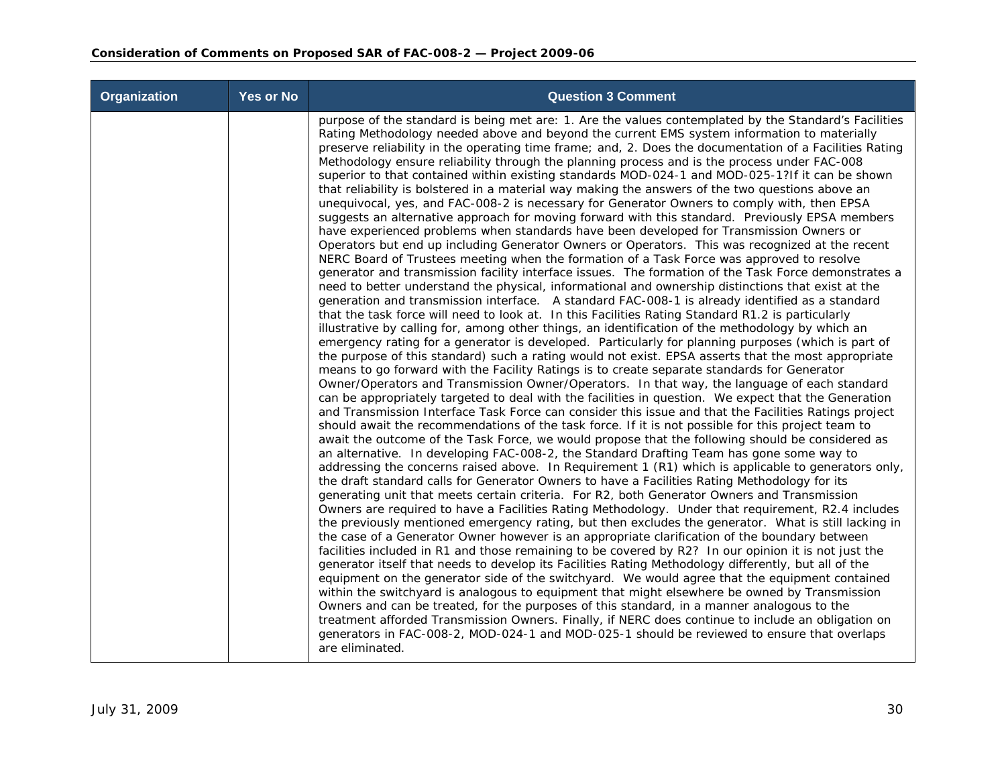| Organization | <b>Yes or No</b> | <b>Question 3 Comment</b>                                                                                                                                                                                                                                                                                                                                                                                                                                                                                                                                                                                                                                                                                                                                                                                                                                                                                                                                                                                                                                                                                                                                                                                                                                                                                                                                                                                                                                                                                                                                                                                                                                                                                                                                                                                                                                                                                                                                                                                                                                                                                                                                                                                                                                                                                                                                                                                                                                                                                                                                                                                                                                                                                                                                                                                                                                                                                                                                                                                                                                                                                                                                                                                                                                                                                                                                                                                                                                                                                                                                                                                                                                                                                                                                                                                                                                                                                                                         |
|--------------|------------------|---------------------------------------------------------------------------------------------------------------------------------------------------------------------------------------------------------------------------------------------------------------------------------------------------------------------------------------------------------------------------------------------------------------------------------------------------------------------------------------------------------------------------------------------------------------------------------------------------------------------------------------------------------------------------------------------------------------------------------------------------------------------------------------------------------------------------------------------------------------------------------------------------------------------------------------------------------------------------------------------------------------------------------------------------------------------------------------------------------------------------------------------------------------------------------------------------------------------------------------------------------------------------------------------------------------------------------------------------------------------------------------------------------------------------------------------------------------------------------------------------------------------------------------------------------------------------------------------------------------------------------------------------------------------------------------------------------------------------------------------------------------------------------------------------------------------------------------------------------------------------------------------------------------------------------------------------------------------------------------------------------------------------------------------------------------------------------------------------------------------------------------------------------------------------------------------------------------------------------------------------------------------------------------------------------------------------------------------------------------------------------------------------------------------------------------------------------------------------------------------------------------------------------------------------------------------------------------------------------------------------------------------------------------------------------------------------------------------------------------------------------------------------------------------------------------------------------------------------------------------------------------------------------------------------------------------------------------------------------------------------------------------------------------------------------------------------------------------------------------------------------------------------------------------------------------------------------------------------------------------------------------------------------------------------------------------------------------------------------------------------------------------------------------------------------------------------------------------------------------------------------------------------------------------------------------------------------------------------------------------------------------------------------------------------------------------------------------------------------------------------------------------------------------------------------------------------------------------------------------------------------------------------------------------------------------------------|
|              |                  | purpose of the standard is being met are: 1. Are the values contemplated by the Standard's Facilities<br>Rating Methodology needed above and beyond the current EMS system information to materially<br>preserve reliability in the operating time frame; and, 2. Does the documentation of a Facilities Rating<br>Methodology ensure reliability through the planning process and is the process under FAC-008<br>superior to that contained within existing standards MOD-024-1 and MOD-025-1?If it can be shown<br>that reliability is bolstered in a material way making the answers of the two questions above an<br>unequivocal, yes, and FAC-008-2 is necessary for Generator Owners to comply with, then EPSA<br>suggests an alternative approach for moving forward with this standard. Previously EPSA members<br>have experienced problems when standards have been developed for Transmission Owners or<br>Operators but end up including Generator Owners or Operators. This was recognized at the recent<br>NERC Board of Trustees meeting when the formation of a Task Force was approved to resolve<br>generator and transmission facility interface issues. The formation of the Task Force demonstrates a<br>need to better understand the physical, informational and ownership distinctions that exist at the<br>generation and transmission interface. A standard FAC-008-1 is already identified as a standard<br>that the task force will need to look at. In this Facilities Rating Standard R1.2 is particularly<br>illustrative by calling for, among other things, an identification of the methodology by which an<br>emergency rating for a generator is developed. Particularly for planning purposes (which is part of<br>the purpose of this standard) such a rating would not exist. EPSA asserts that the most appropriate<br>means to go forward with the Facility Ratings is to create separate standards for Generator<br>Owner/Operators and Transmission Owner/Operators. In that way, the language of each standard<br>can be appropriately targeted to deal with the facilities in question. We expect that the Generation<br>and Transmission Interface Task Force can consider this issue and that the Facilities Ratings project<br>should await the recommendations of the task force. If it is not possible for this project team to<br>await the outcome of the Task Force, we would propose that the following should be considered as<br>an alternative. In developing FAC-008-2, the Standard Drafting Team has gone some way to<br>addressing the concerns raised above. In Requirement 1 (R1) which is applicable to generators only,<br>the draft standard calls for Generator Owners to have a Facilities Rating Methodology for its<br>generating unit that meets certain criteria. For R2, both Generator Owners and Transmission<br>Owners are required to have a Facilities Rating Methodology. Under that requirement, R2.4 includes<br>the previously mentioned emergency rating, but then excludes the generator. What is still lacking in<br>the case of a Generator Owner however is an appropriate clarification of the boundary between<br>facilities included in R1 and those remaining to be covered by R2? In our opinion it is not just the<br>generator itself that needs to develop its Facilities Rating Methodology differently, but all of the<br>equipment on the generator side of the switchyard. We would agree that the equipment contained<br>within the switchyard is analogous to equipment that might elsewhere be owned by Transmission<br>Owners and can be treated, for the purposes of this standard, in a manner analogous to the<br>treatment afforded Transmission Owners. Finally, if NERC does continue to include an obligation on<br>generators in FAC-008-2, MOD-024-1 and MOD-025-1 should be reviewed to ensure that overlaps<br>are eliminated. |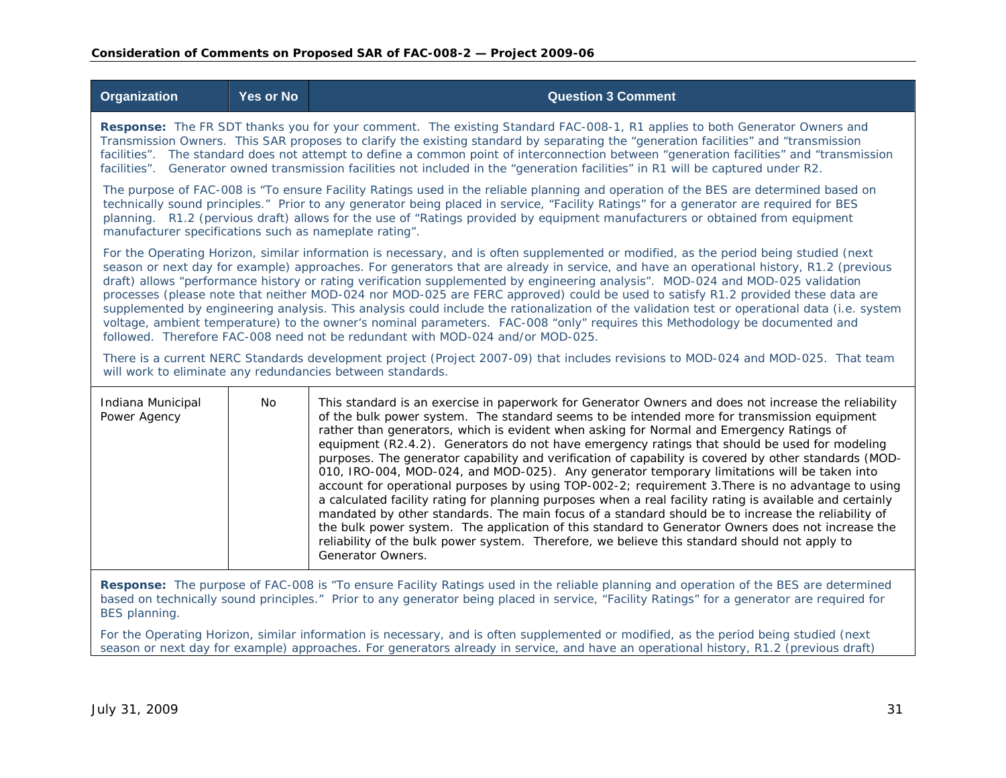| <b>Organization</b>                                                                                                                                                                                                                                                                                                                                                                                                                                                                                                                                                                                                                                                                                                                                                                                                                                                                                                       | <b>Yes or No</b>                                                                                                                                                                                                                                                                                                                                                                                                                                                                                                                                   | <b>Question 3 Comment</b>                                                                                                                                                                                                                                                                                                                                                                                                                                                                                                                                                                                                                                                                                                                                                                                                                                                                                                                                                                                                                                                                                                                                    |  |  |
|---------------------------------------------------------------------------------------------------------------------------------------------------------------------------------------------------------------------------------------------------------------------------------------------------------------------------------------------------------------------------------------------------------------------------------------------------------------------------------------------------------------------------------------------------------------------------------------------------------------------------------------------------------------------------------------------------------------------------------------------------------------------------------------------------------------------------------------------------------------------------------------------------------------------------|----------------------------------------------------------------------------------------------------------------------------------------------------------------------------------------------------------------------------------------------------------------------------------------------------------------------------------------------------------------------------------------------------------------------------------------------------------------------------------------------------------------------------------------------------|--------------------------------------------------------------------------------------------------------------------------------------------------------------------------------------------------------------------------------------------------------------------------------------------------------------------------------------------------------------------------------------------------------------------------------------------------------------------------------------------------------------------------------------------------------------------------------------------------------------------------------------------------------------------------------------------------------------------------------------------------------------------------------------------------------------------------------------------------------------------------------------------------------------------------------------------------------------------------------------------------------------------------------------------------------------------------------------------------------------------------------------------------------------|--|--|
|                                                                                                                                                                                                                                                                                                                                                                                                                                                                                                                                                                                                                                                                                                                                                                                                                                                                                                                           | Response: The FR SDT thanks you for your comment. The existing Standard FAC-008-1, R1 applies to both Generator Owners and<br>Transmission Owners. This SAR proposes to clarify the existing standard by separating the "generation facilities" and "transmission<br>facilities". The standard does not attempt to define a common point of interconnection between "generation facilities" and "transmission<br>facilities". Generator owned transmission facilities not included in the "generation facilities" in R1 will be captured under R2. |                                                                                                                                                                                                                                                                                                                                                                                                                                                                                                                                                                                                                                                                                                                                                                                                                                                                                                                                                                                                                                                                                                                                                              |  |  |
| manufacturer specifications such as nameplate rating".                                                                                                                                                                                                                                                                                                                                                                                                                                                                                                                                                                                                                                                                                                                                                                                                                                                                    |                                                                                                                                                                                                                                                                                                                                                                                                                                                                                                                                                    | The purpose of FAC-008 is "To ensure Facility Ratings used in the reliable planning and operation of the BES are determined based on<br>technically sound principles." Prior to any generator being placed in service, "Facility Ratings" for a generator are required for BES<br>planning. R1.2 (pervious draft) allows for the use of "Ratings provided by equipment manufacturers or obtained from equipment                                                                                                                                                                                                                                                                                                                                                                                                                                                                                                                                                                                                                                                                                                                                              |  |  |
| For the Operating Horizon, similar information is necessary, and is often supplemented or modified, as the period being studied (next<br>season or next day for example) approaches. For generators that are already in service, and have an operational history, R1.2 (previous<br>draft) allows "performance history or rating verification supplemented by engineering analysis". MOD-024 and MOD-025 validation<br>processes (please note that neither MOD-024 nor MOD-025 are FERC approved) could be used to satisfy R1.2 provided these data are<br>supplemented by engineering analysis. This analysis could include the rationalization of the validation test or operational data (i.e. system<br>voltage, ambient temperature) to the owner's nominal parameters. FAC-008 "only" requires this Methodology be documented and<br>followed. Therefore FAC-008 need not be redundant with MOD-024 and/or MOD-025. |                                                                                                                                                                                                                                                                                                                                                                                                                                                                                                                                                    |                                                                                                                                                                                                                                                                                                                                                                                                                                                                                                                                                                                                                                                                                                                                                                                                                                                                                                                                                                                                                                                                                                                                                              |  |  |
| There is a current NERC Standards development project (Project 2007-09) that includes revisions to MOD-024 and MOD-025. That team<br>will work to eliminate any redundancies between standards.                                                                                                                                                                                                                                                                                                                                                                                                                                                                                                                                                                                                                                                                                                                           |                                                                                                                                                                                                                                                                                                                                                                                                                                                                                                                                                    |                                                                                                                                                                                                                                                                                                                                                                                                                                                                                                                                                                                                                                                                                                                                                                                                                                                                                                                                                                                                                                                                                                                                                              |  |  |
| Indiana Municipal<br>Power Agency                                                                                                                                                                                                                                                                                                                                                                                                                                                                                                                                                                                                                                                                                                                                                                                                                                                                                         | No                                                                                                                                                                                                                                                                                                                                                                                                                                                                                                                                                 | This standard is an exercise in paperwork for Generator Owners and does not increase the reliability<br>of the bulk power system. The standard seems to be intended more for transmission equipment<br>rather than generators, which is evident when asking for Normal and Emergency Ratings of<br>equipment (R2.4.2). Generators do not have emergency ratings that should be used for modeling<br>purposes. The generator capability and verification of capability is covered by other standards (MOD-<br>010, IRO-004, MOD-024, and MOD-025). Any generator temporary limitations will be taken into<br>account for operational purposes by using TOP-002-2; requirement 3. There is no advantage to using<br>a calculated facility rating for planning purposes when a real facility rating is available and certainly<br>mandated by other standards. The main focus of a standard should be to increase the reliability of<br>the bulk power system. The application of this standard to Generator Owners does not increase the<br>reliability of the bulk power system. Therefore, we believe this standard should not apply to<br>Generator Owners. |  |  |
|                                                                                                                                                                                                                                                                                                                                                                                                                                                                                                                                                                                                                                                                                                                                                                                                                                                                                                                           |                                                                                                                                                                                                                                                                                                                                                                                                                                                                                                                                                    | 000 is 4Th applies Facility Dotings used in the reliable planning and eperation of the DFC are determined                                                                                                                                                                                                                                                                                                                                                                                                                                                                                                                                                                                                                                                                                                                                                                                                                                                                                                                                                                                                                                                    |  |  |

**Response:** The purpose of FAC-008 is "To ensure Facility Ratings used in the reliable planning and operation of the BES are determined based on technically sound principles." Prior to any generator being placed in service, "Facility Ratings" for a generator are required for BES planning.

For the Operating Horizon, similar information is necessary, and is often supplemented or modified, as the period being studied (next season or next day for example) approaches. For generators already in service, and have an operational history, R1.2 (previous draft)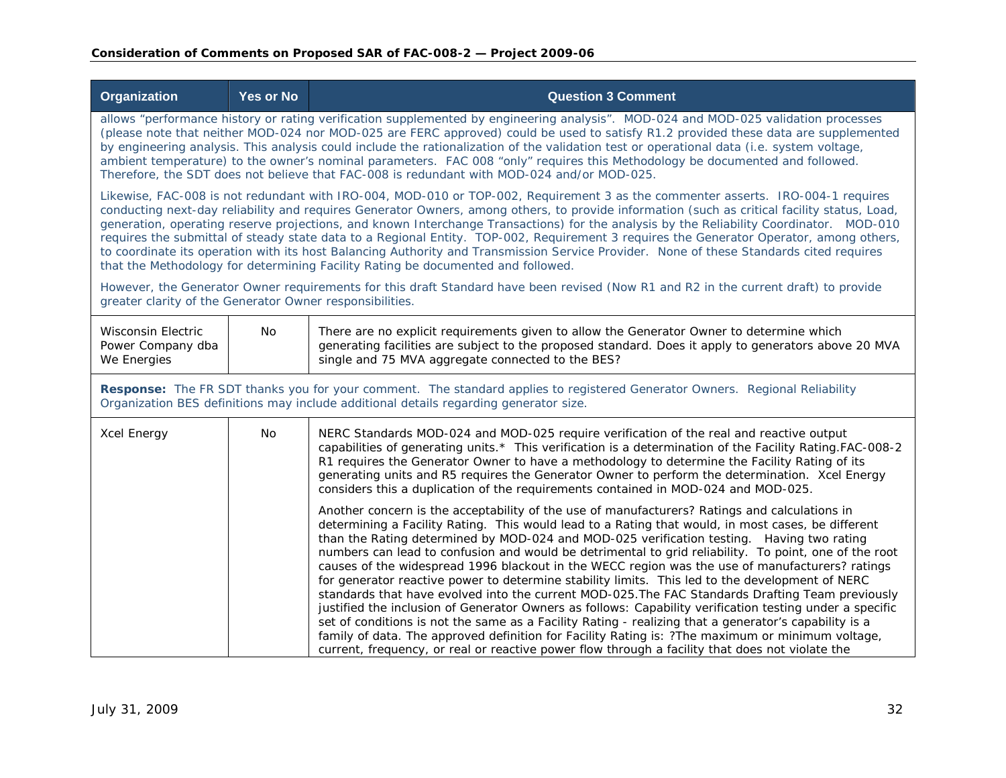| <b>Organization</b>                                                                                                                                                                                                                                                                                                                                                                                                                                                                                                                                                                                                                                                                                                                                                                                  | Yes or No                                                                                                                                                                                                                                                                                                                                                                                                                                                                                                                                                                                                                                            | <b>Question 3 Comment</b>                                                                                                                                                                                                                                                                                                                                                                                                                                                                                                                                                                                                                                                                                                                                                                                                                                                                                                                                                                                                                                                                                                                                                                                                                                                                                                                                                                                                                                                                                                                                                                                                                       |  |  |
|------------------------------------------------------------------------------------------------------------------------------------------------------------------------------------------------------------------------------------------------------------------------------------------------------------------------------------------------------------------------------------------------------------------------------------------------------------------------------------------------------------------------------------------------------------------------------------------------------------------------------------------------------------------------------------------------------------------------------------------------------------------------------------------------------|------------------------------------------------------------------------------------------------------------------------------------------------------------------------------------------------------------------------------------------------------------------------------------------------------------------------------------------------------------------------------------------------------------------------------------------------------------------------------------------------------------------------------------------------------------------------------------------------------------------------------------------------------|-------------------------------------------------------------------------------------------------------------------------------------------------------------------------------------------------------------------------------------------------------------------------------------------------------------------------------------------------------------------------------------------------------------------------------------------------------------------------------------------------------------------------------------------------------------------------------------------------------------------------------------------------------------------------------------------------------------------------------------------------------------------------------------------------------------------------------------------------------------------------------------------------------------------------------------------------------------------------------------------------------------------------------------------------------------------------------------------------------------------------------------------------------------------------------------------------------------------------------------------------------------------------------------------------------------------------------------------------------------------------------------------------------------------------------------------------------------------------------------------------------------------------------------------------------------------------------------------------------------------------------------------------|--|--|
|                                                                                                                                                                                                                                                                                                                                                                                                                                                                                                                                                                                                                                                                                                                                                                                                      | allows "performance history or rating verification supplemented by engineering analysis". MOD-024 and MOD-025 validation processes<br>(please note that neither MOD-024 nor MOD-025 are FERC approved) could be used to satisfy R1.2 provided these data are supplemented<br>by engineering analysis. This analysis could include the rationalization of the validation test or operational data (i.e. system voltage,<br>ambient temperature) to the owner's nominal parameters. FAC 008 "only" requires this Methodology be documented and followed.<br>Therefore, the SDT does not believe that FAC-008 is redundant with MOD-024 and/or MOD-025. |                                                                                                                                                                                                                                                                                                                                                                                                                                                                                                                                                                                                                                                                                                                                                                                                                                                                                                                                                                                                                                                                                                                                                                                                                                                                                                                                                                                                                                                                                                                                                                                                                                                 |  |  |
| Likewise, FAC-008 is not redundant with IRO-004, MOD-010 or TOP-002, Requirement 3 as the commenter asserts. IRO-004-1 requires<br>conducting next-day reliability and requires Generator Owners, among others, to provide information (such as critical facility status, Load,<br>generation, operating reserve projections, and known Interchange Transactions) for the analysis by the Reliability Coordinator. MOD-010<br>requires the submittal of steady state data to a Regional Entity. TOP-002, Requirement 3 requires the Generator Operator, among others,<br>to coordinate its operation with its host Balancing Authority and Transmission Service Provider. None of these Standards cited requires<br>that the Methodology for determining Facility Rating be documented and followed. |                                                                                                                                                                                                                                                                                                                                                                                                                                                                                                                                                                                                                                                      |                                                                                                                                                                                                                                                                                                                                                                                                                                                                                                                                                                                                                                                                                                                                                                                                                                                                                                                                                                                                                                                                                                                                                                                                                                                                                                                                                                                                                                                                                                                                                                                                                                                 |  |  |
| greater clarity of the Generator Owner responsibilities.                                                                                                                                                                                                                                                                                                                                                                                                                                                                                                                                                                                                                                                                                                                                             |                                                                                                                                                                                                                                                                                                                                                                                                                                                                                                                                                                                                                                                      | However, the Generator Owner requirements for this draft Standard have been revised (Now R1 and R2 in the current draft) to provide                                                                                                                                                                                                                                                                                                                                                                                                                                                                                                                                                                                                                                                                                                                                                                                                                                                                                                                                                                                                                                                                                                                                                                                                                                                                                                                                                                                                                                                                                                             |  |  |
| <b>Wisconsin Electric</b><br>Power Company dba<br>We Energies                                                                                                                                                                                                                                                                                                                                                                                                                                                                                                                                                                                                                                                                                                                                        | No                                                                                                                                                                                                                                                                                                                                                                                                                                                                                                                                                                                                                                                   | There are no explicit requirements given to allow the Generator Owner to determine which<br>generating facilities are subject to the proposed standard. Does it apply to generators above 20 MVA<br>single and 75 MVA aggregate connected to the BES?                                                                                                                                                                                                                                                                                                                                                                                                                                                                                                                                                                                                                                                                                                                                                                                                                                                                                                                                                                                                                                                                                                                                                                                                                                                                                                                                                                                           |  |  |
| Response: The FR SDT thanks you for your comment. The standard applies to registered Generator Owners. Regional Reliability<br>Organization BES definitions may include additional details regarding generator size.                                                                                                                                                                                                                                                                                                                                                                                                                                                                                                                                                                                 |                                                                                                                                                                                                                                                                                                                                                                                                                                                                                                                                                                                                                                                      |                                                                                                                                                                                                                                                                                                                                                                                                                                                                                                                                                                                                                                                                                                                                                                                                                                                                                                                                                                                                                                                                                                                                                                                                                                                                                                                                                                                                                                                                                                                                                                                                                                                 |  |  |
| Xcel Energy                                                                                                                                                                                                                                                                                                                                                                                                                                                                                                                                                                                                                                                                                                                                                                                          | No.                                                                                                                                                                                                                                                                                                                                                                                                                                                                                                                                                                                                                                                  | NERC Standards MOD-024 and MOD-025 require verification of the real and reactive output<br>capabilities of generating units.* This verification is a determination of the Facility Rating.FAC-008-2<br>R1 requires the Generator Owner to have a methodology to determine the Facility Rating of its<br>generating units and R5 requires the Generator Owner to perform the determination. Xcel Energy<br>considers this a duplication of the requirements contained in MOD-024 and MOD-025.<br>Another concern is the acceptability of the use of manufacturers? Ratings and calculations in<br>determining a Facility Rating. This would lead to a Rating that would, in most cases, be different<br>than the Rating determined by MOD-024 and MOD-025 verification testing. Having two rating<br>numbers can lead to confusion and would be detrimental to grid reliability. To point, one of the root<br>causes of the widespread 1996 blackout in the WECC region was the use of manufacturers? ratings<br>for generator reactive power to determine stability limits. This led to the development of NERC<br>standards that have evolved into the current MOD-025. The FAC Standards Drafting Team previously<br>justified the inclusion of Generator Owners as follows: Capability verification testing under a specific<br>set of conditions is not the same as a Facility Rating - realizing that a generator's capability is a<br>family of data. The approved definition for Facility Rating is: ?The maximum or minimum voltage,<br>current, frequency, or real or reactive power flow through a facility that does not violate the |  |  |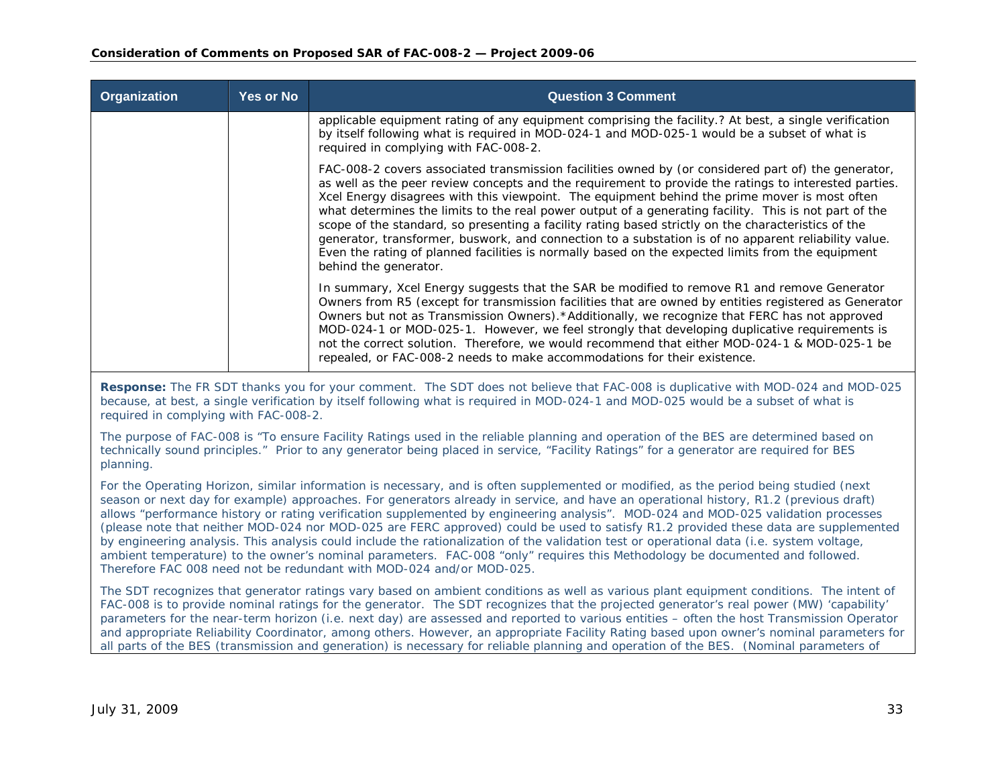| Organization | <b>Yes or No</b> | <b>Question 3 Comment</b>                                                                                                                                                                                                                                                                                                                                                                                                                                                                                                                                                                                                                                                                                                                                           |
|--------------|------------------|---------------------------------------------------------------------------------------------------------------------------------------------------------------------------------------------------------------------------------------------------------------------------------------------------------------------------------------------------------------------------------------------------------------------------------------------------------------------------------------------------------------------------------------------------------------------------------------------------------------------------------------------------------------------------------------------------------------------------------------------------------------------|
|              |                  | applicable equipment rating of any equipment comprising the facility.? At best, a single verification<br>by itself following what is required in MOD-024-1 and MOD-025-1 would be a subset of what is<br>required in complying with FAC-008-2.                                                                                                                                                                                                                                                                                                                                                                                                                                                                                                                      |
|              |                  | FAC-008-2 covers associated transmission facilities owned by (or considered part of) the generator,<br>as well as the peer review concepts and the requirement to provide the ratings to interested parties.<br>Xcel Energy disagrees with this viewpoint. The equipment behind the prime mover is most often<br>what determines the limits to the real power output of a generating facility. This is not part of the<br>scope of the standard, so presenting a facility rating based strictly on the characteristics of the<br>generator, transformer, buswork, and connection to a substation is of no apparent reliability value.<br>Even the rating of planned facilities is normally based on the expected limits from the equipment<br>behind the generator. |
|              |                  | In summary, Xcel Energy suggests that the SAR be modified to remove R1 and remove Generator<br>Owners from R5 (except for transmission facilities that are owned by entities registered as Generator<br>Owners but not as Transmission Owners).*Additionally, we recognize that FERC has not approved<br>MOD-024-1 or MOD-025-1. However, we feel strongly that developing duplicative requirements is<br>not the correct solution. Therefore, we would recommend that either MOD-024-1 & MOD-025-1 be<br>repealed, or FAC-008-2 needs to make accommodations for their existence.                                                                                                                                                                                  |

**Response:** The FR SDT thanks you for your comment. The SDT does not believe that FAC-008 is duplicative with MOD-024 and MOD-025 because, at best, a single verification by itself following what is required in MOD-024-1 and MOD-025 would be a subset of what is required in complying with FAC-008-2.

The purpose of FAC-008 is "To ensure Facility Ratings used in the reliable planning and operation of the BES are determined based on technically sound principles." Prior to any generator being placed in service, "Facility Ratings" for a generator are required for BES planning.

For the Operating Horizon, similar information is necessary, and is often supplemented or modified, as the period being studied (next season or next day for example) approaches. For generators already in service, and have an operational history, R1.2 (previous draft) allows "performance history or rating verification supplemented by engineering analysis". MOD-024 and MOD-025 validation processes (please note that neither MOD-024 nor MOD-025 are FERC approved) could be used to satisfy R1.2 provided these data are supplemented by engineering analysis. This analysis could include the rationalization of the validation test or operational data (i.e. system voltage, ambient temperature) to the owner's nominal parameters. FAC-008 "only" requires this Methodology be documented and followed. Therefore FAC 008 need not be redundant with MOD-024 and/or MOD-025.

The SDT recognizes that generator ratings vary based on ambient conditions as well as various plant equipment conditions. The intent of FAC-008 is to provide nominal ratings for the generator. The SDT recognizes that the projected generator's real power (MW) 'capability' parameters for the near-term horizon (i.e. next day) are assessed and reported to various entities – often the host Transmission Operator and appropriate Reliability Coordinator, among others. However, an appropriate Facility Rating based upon owner's nominal parameters for all parts of the BES (transmission and generation) is necessary for reliable planning and operation of the BES. (Nominal parameters of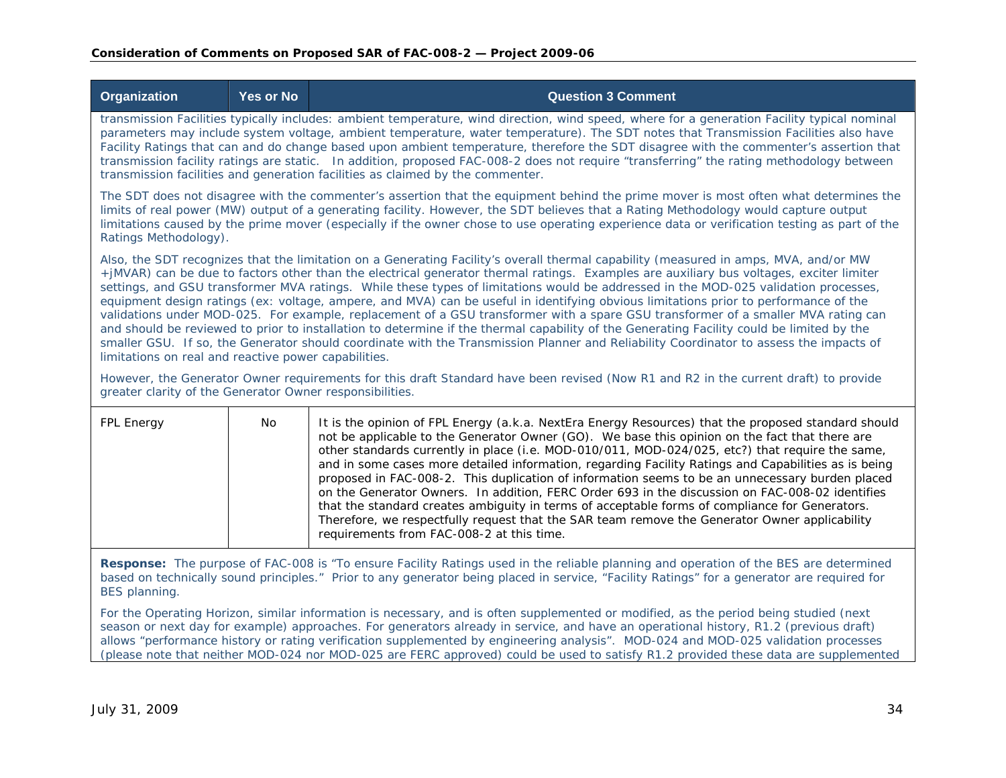| <b>Organization</b>                                                                                                                                                                                                                                                                                                                                                                                                                                                                                                                                                                                                                                                                                                                                                                                                                                                                                                                                                                                                                                | <b>Yes or No</b>                                                                                                                                                                                                                                                                                                                                                                                                                                                                                                                                                                                                                                             | <b>Question 3 Comment</b>                                                                                                                                                                                                                                                                                                                                                                                                                                                                                                                                                                                                                                                                                                                                                                                                                                              |  |  |
|----------------------------------------------------------------------------------------------------------------------------------------------------------------------------------------------------------------------------------------------------------------------------------------------------------------------------------------------------------------------------------------------------------------------------------------------------------------------------------------------------------------------------------------------------------------------------------------------------------------------------------------------------------------------------------------------------------------------------------------------------------------------------------------------------------------------------------------------------------------------------------------------------------------------------------------------------------------------------------------------------------------------------------------------------|--------------------------------------------------------------------------------------------------------------------------------------------------------------------------------------------------------------------------------------------------------------------------------------------------------------------------------------------------------------------------------------------------------------------------------------------------------------------------------------------------------------------------------------------------------------------------------------------------------------------------------------------------------------|------------------------------------------------------------------------------------------------------------------------------------------------------------------------------------------------------------------------------------------------------------------------------------------------------------------------------------------------------------------------------------------------------------------------------------------------------------------------------------------------------------------------------------------------------------------------------------------------------------------------------------------------------------------------------------------------------------------------------------------------------------------------------------------------------------------------------------------------------------------------|--|--|
|                                                                                                                                                                                                                                                                                                                                                                                                                                                                                                                                                                                                                                                                                                                                                                                                                                                                                                                                                                                                                                                    | transmission Facilities typically includes: ambient temperature, wind direction, wind speed, where for a generation Facility typical nominal<br>parameters may include system voltage, ambient temperature, water temperature). The SDT notes that Transmission Facilities also have<br>Facility Ratings that can and do change based upon ambient temperature, therefore the SDT disagree with the commenter's assertion that<br>transmission facility ratings are static. In addition, proposed FAC-008-2 does not require "transferring" the rating methodology between<br>transmission facilities and generation facilities as claimed by the commenter. |                                                                                                                                                                                                                                                                                                                                                                                                                                                                                                                                                                                                                                                                                                                                                                                                                                                                        |  |  |
|                                                                                                                                                                                                                                                                                                                                                                                                                                                                                                                                                                                                                                                                                                                                                                                                                                                                                                                                                                                                                                                    | The SDT does not disagree with the commenter's assertion that the equipment behind the prime mover is most often what determines the<br>limits of real power (MW) output of a generating facility. However, the SDT believes that a Rating Methodology would capture output<br>limitations caused by the prime mover (especially if the owner chose to use operating experience data or verification testing as part of the<br>Ratings Methodology).                                                                                                                                                                                                         |                                                                                                                                                                                                                                                                                                                                                                                                                                                                                                                                                                                                                                                                                                                                                                                                                                                                        |  |  |
| Also, the SDT recognizes that the limitation on a Generating Facility's overall thermal capability (measured in amps, MVA, and/or MW<br>+jMVAR) can be due to factors other than the electrical generator thermal ratings. Examples are auxiliary bus voltages, exciter limiter<br>settings, and GSU transformer MVA ratings. While these types of limitations would be addressed in the MOD-025 validation processes,<br>equipment design ratings (ex: voltage, ampere, and MVA) can be useful in identifying obvious limitations prior to performance of the<br>validations under MOD-025. For example, replacement of a GSU transformer with a spare GSU transformer of a smaller MVA rating can<br>and should be reviewed to prior to installation to determine if the thermal capability of the Generating Facility could be limited by the<br>smaller GSU. If so, the Generator should coordinate with the Transmission Planner and Reliability Coordinator to assess the impacts of<br>limitations on real and reactive power capabilities. |                                                                                                                                                                                                                                                                                                                                                                                                                                                                                                                                                                                                                                                              |                                                                                                                                                                                                                                                                                                                                                                                                                                                                                                                                                                                                                                                                                                                                                                                                                                                                        |  |  |
| greater clarity of the Generator Owner responsibilities.                                                                                                                                                                                                                                                                                                                                                                                                                                                                                                                                                                                                                                                                                                                                                                                                                                                                                                                                                                                           |                                                                                                                                                                                                                                                                                                                                                                                                                                                                                                                                                                                                                                                              | However, the Generator Owner requirements for this draft Standard have been revised (Now R1 and R2 in the current draft) to provide                                                                                                                                                                                                                                                                                                                                                                                                                                                                                                                                                                                                                                                                                                                                    |  |  |
| FPL Energy                                                                                                                                                                                                                                                                                                                                                                                                                                                                                                                                                                                                                                                                                                                                                                                                                                                                                                                                                                                                                                         | No                                                                                                                                                                                                                                                                                                                                                                                                                                                                                                                                                                                                                                                           | It is the opinion of FPL Energy (a.k.a. NextEra Energy Resources) that the proposed standard should<br>not be applicable to the Generator Owner (GO). We base this opinion on the fact that there are<br>other standards currently in place (i.e. MOD-010/011, MOD-024/025, etc?) that require the same,<br>and in some cases more detailed information, regarding Facility Ratings and Capabilities as is being<br>proposed in FAC-008-2. This duplication of information seems to be an unnecessary burden placed<br>on the Generator Owners. In addition, FERC Order 693 in the discussion on FAC-008-02 identifies<br>that the standard creates ambiguity in terms of acceptable forms of compliance for Generators.<br>Therefore, we respectfully request that the SAR team remove the Generator Owner applicability<br>requirements from FAC-008-2 at this time. |  |  |
|                                                                                                                                                                                                                                                                                                                                                                                                                                                                                                                                                                                                                                                                                                                                                                                                                                                                                                                                                                                                                                                    |                                                                                                                                                                                                                                                                                                                                                                                                                                                                                                                                                                                                                                                              | Response: The purpose of FAC-008 is "To ensure Facility Ratings used in the reliable planning and operation of the BES are determined                                                                                                                                                                                                                                                                                                                                                                                                                                                                                                                                                                                                                                                                                                                                  |  |  |

based on technically sound principles." Prior to any generator being placed in service, "Facility Ratings" for a generator are required for BES planning.

For the Operating Horizon, similar information is necessary, and is often supplemented or modified, as the period being studied (next season or next day for example) approaches. For generators already in service, and have an operational history, R1.2 (previous draft) allows "performance history or rating verification supplemented by engineering analysis". MOD-024 and MOD-025 validation processes (please note that neither MOD-024 nor MOD-025 are FERC approved) could be used to satisfy R1.2 provided these data are supplemented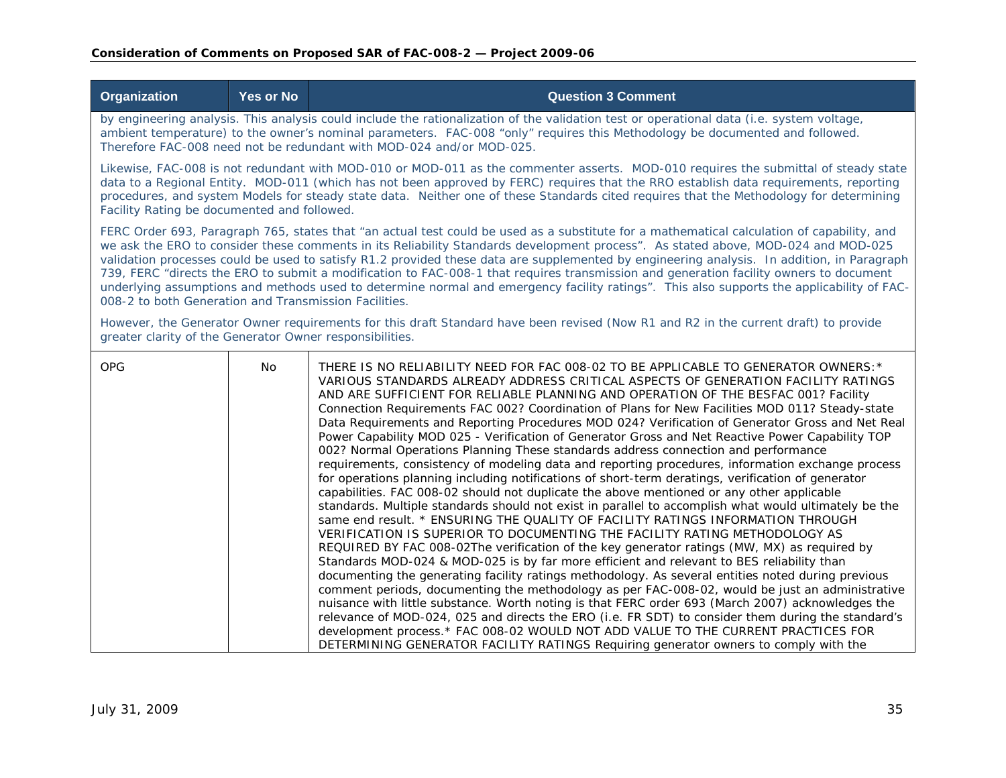| <b>Organization</b>                                                                                                                                                                                                                                                                                                                                                                                                                                                                                                                                                                                                                                                                                                                                                           | <b>Yes or No</b>                                                                                                                                                                                                                                                                                                                                                                                                                                                       | <b>Question 3 Comment</b>                                                                                                                                                                                                                                                                                                                                                                                                                                                                                                                                                                                                                                                                                                                                                                                                                                                                                                                                                                                                                                                                                                                                                                                                                                                                                                                                                                                                                                                                                                                                                                                                                                                                                                                                                                                                                                                                                                                                                                                                                      |  |  |
|-------------------------------------------------------------------------------------------------------------------------------------------------------------------------------------------------------------------------------------------------------------------------------------------------------------------------------------------------------------------------------------------------------------------------------------------------------------------------------------------------------------------------------------------------------------------------------------------------------------------------------------------------------------------------------------------------------------------------------------------------------------------------------|------------------------------------------------------------------------------------------------------------------------------------------------------------------------------------------------------------------------------------------------------------------------------------------------------------------------------------------------------------------------------------------------------------------------------------------------------------------------|------------------------------------------------------------------------------------------------------------------------------------------------------------------------------------------------------------------------------------------------------------------------------------------------------------------------------------------------------------------------------------------------------------------------------------------------------------------------------------------------------------------------------------------------------------------------------------------------------------------------------------------------------------------------------------------------------------------------------------------------------------------------------------------------------------------------------------------------------------------------------------------------------------------------------------------------------------------------------------------------------------------------------------------------------------------------------------------------------------------------------------------------------------------------------------------------------------------------------------------------------------------------------------------------------------------------------------------------------------------------------------------------------------------------------------------------------------------------------------------------------------------------------------------------------------------------------------------------------------------------------------------------------------------------------------------------------------------------------------------------------------------------------------------------------------------------------------------------------------------------------------------------------------------------------------------------------------------------------------------------------------------------------------------------|--|--|
|                                                                                                                                                                                                                                                                                                                                                                                                                                                                                                                                                                                                                                                                                                                                                                               | by engineering analysis. This analysis could include the rationalization of the validation test or operational data (i.e. system voltage,<br>ambient temperature) to the owner's nominal parameters. FAC-008 "only" requires this Methodology be documented and followed.<br>Therefore FAC-008 need not be redundant with MOD-024 and/or MOD-025.                                                                                                                      |                                                                                                                                                                                                                                                                                                                                                                                                                                                                                                                                                                                                                                                                                                                                                                                                                                                                                                                                                                                                                                                                                                                                                                                                                                                                                                                                                                                                                                                                                                                                                                                                                                                                                                                                                                                                                                                                                                                                                                                                                                                |  |  |
|                                                                                                                                                                                                                                                                                                                                                                                                                                                                                                                                                                                                                                                                                                                                                                               | Likewise, FAC-008 is not redundant with MOD-010 or MOD-011 as the commenter asserts. MOD-010 requires the submittal of steady state<br>data to a Regional Entity. MOD-011 (which has not been approved by FERC) requires that the RRO establish data requirements, reporting<br>procedures, and system Models for steady state data. Neither one of these Standards cited requires that the Methodology for determining<br>Facility Rating be documented and followed. |                                                                                                                                                                                                                                                                                                                                                                                                                                                                                                                                                                                                                                                                                                                                                                                                                                                                                                                                                                                                                                                                                                                                                                                                                                                                                                                                                                                                                                                                                                                                                                                                                                                                                                                                                                                                                                                                                                                                                                                                                                                |  |  |
| FERC Order 693, Paragraph 765, states that "an actual test could be used as a substitute for a mathematical calculation of capability, and<br>we ask the ERO to consider these comments in its Reliability Standards development process". As stated above, MOD-024 and MOD-025<br>validation processes could be used to satisfy R1.2 provided these data are supplemented by engineering analysis. In addition, in Paragraph<br>739, FERC "directs the ERO to submit a modification to FAC-008-1 that requires transmission and generation facility owners to document<br>underlying assumptions and methods used to determine normal and emergency facility ratings". This also supports the applicability of FAC-<br>008-2 to both Generation and Transmission Facilities. |                                                                                                                                                                                                                                                                                                                                                                                                                                                                        |                                                                                                                                                                                                                                                                                                                                                                                                                                                                                                                                                                                                                                                                                                                                                                                                                                                                                                                                                                                                                                                                                                                                                                                                                                                                                                                                                                                                                                                                                                                                                                                                                                                                                                                                                                                                                                                                                                                                                                                                                                                |  |  |
| greater clarity of the Generator Owner responsibilities.                                                                                                                                                                                                                                                                                                                                                                                                                                                                                                                                                                                                                                                                                                                      |                                                                                                                                                                                                                                                                                                                                                                                                                                                                        | However, the Generator Owner requirements for this draft Standard have been revised (Now R1 and R2 in the current draft) to provide                                                                                                                                                                                                                                                                                                                                                                                                                                                                                                                                                                                                                                                                                                                                                                                                                                                                                                                                                                                                                                                                                                                                                                                                                                                                                                                                                                                                                                                                                                                                                                                                                                                                                                                                                                                                                                                                                                            |  |  |
| <b>OPG</b>                                                                                                                                                                                                                                                                                                                                                                                                                                                                                                                                                                                                                                                                                                                                                                    | No.                                                                                                                                                                                                                                                                                                                                                                                                                                                                    | THERE IS NO RELIABILITY NEED FOR FAC 008-02 TO BE APPLICABLE TO GENERATOR OWNERS: *<br>VARIOUS STANDARDS ALREADY ADDRESS CRITICAL ASPECTS OF GENERATION FACILITY RATINGS<br>AND ARE SUFFICIENT FOR RELIABLE PLANNING AND OPERATION OF THE BESFAC 001? Facility<br>Connection Requirements FAC 002? Coordination of Plans for New Facilities MOD 011? Steady-state<br>Data Requirements and Reporting Procedures MOD 024? Verification of Generator Gross and Net Real<br>Power Capability MOD 025 - Verification of Generator Gross and Net Reactive Power Capability TOP<br>002? Normal Operations Planning These standards address connection and performance<br>requirements, consistency of modeling data and reporting procedures, information exchange process<br>for operations planning including notifications of short-term deratings, verification of generator<br>capabilities. FAC 008-02 should not duplicate the above mentioned or any other applicable<br>standards. Multiple standards should not exist in parallel to accomplish what would ultimately be the<br>same end result. * ENSURING THE QUALITY OF FACILITY RATINGS INFORMATION THROUGH<br>VERIFICATION IS SUPERIOR TO DOCUMENTING THE FACILITY RATING METHODOLOGY AS<br>REQUIRED BY FAC 008-02The verification of the key generator ratings (MW, MX) as required by<br>Standards MOD-024 & MOD-025 is by far more efficient and relevant to BES reliability than<br>documenting the generating facility ratings methodology. As several entities noted during previous<br>comment periods, documenting the methodology as per FAC-008-02, would be just an administrative<br>nuisance with little substance. Worth noting is that FERC order 693 (March 2007) acknowledges the<br>relevance of MOD-024, 025 and directs the ERO (i.e. FR SDT) to consider them during the standard's<br>development process.* FAC 008-02 WOULD NOT ADD VALUE TO THE CURRENT PRACTICES FOR<br>DETERMINING GENERATOR FACILITY RATINGS Requiring generator owners to comply with the |  |  |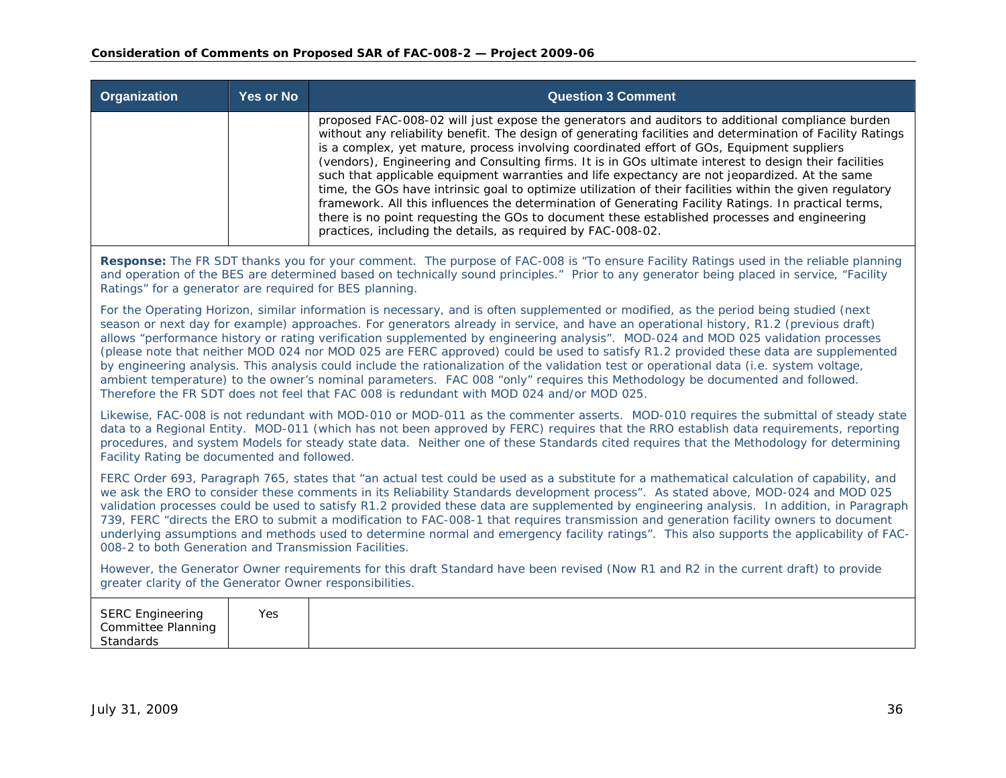| <b>Organization</b>                                                                                                                                                                                                                                                                                                                                                                                                                                                                                                                                                                                                                                                                                                                                                                                                                                                                                                                   | <b>Yes or No</b>                                                                                                                                                                                                                                                                                                                              | <b>Question 3 Comment</b>                                                                                                                                                                                                                                                                                                                                                                                                                                                                                                                                                                                                                                                                                                                                                                                                                                                                                     |  |  |
|---------------------------------------------------------------------------------------------------------------------------------------------------------------------------------------------------------------------------------------------------------------------------------------------------------------------------------------------------------------------------------------------------------------------------------------------------------------------------------------------------------------------------------------------------------------------------------------------------------------------------------------------------------------------------------------------------------------------------------------------------------------------------------------------------------------------------------------------------------------------------------------------------------------------------------------|-----------------------------------------------------------------------------------------------------------------------------------------------------------------------------------------------------------------------------------------------------------------------------------------------------------------------------------------------|---------------------------------------------------------------------------------------------------------------------------------------------------------------------------------------------------------------------------------------------------------------------------------------------------------------------------------------------------------------------------------------------------------------------------------------------------------------------------------------------------------------------------------------------------------------------------------------------------------------------------------------------------------------------------------------------------------------------------------------------------------------------------------------------------------------------------------------------------------------------------------------------------------------|--|--|
|                                                                                                                                                                                                                                                                                                                                                                                                                                                                                                                                                                                                                                                                                                                                                                                                                                                                                                                                       |                                                                                                                                                                                                                                                                                                                                               | proposed FAC-008-02 will just expose the generators and auditors to additional compliance burden<br>without any reliability benefit. The design of generating facilities and determination of Facility Ratings<br>is a complex, yet mature, process involving coordinated effort of GOs, Equipment suppliers<br>(vendors), Engineering and Consulting firms. It is in GOs ultimate interest to design their facilities<br>such that applicable equipment warranties and life expectancy are not jeopardized. At the same<br>time, the GOs have intrinsic goal to optimize utilization of their facilities within the given regulatory<br>framework. All this influences the determination of Generating Facility Ratings. In practical terms,<br>there is no point requesting the GOs to document these established processes and engineering<br>practices, including the details, as required by FAC-008-02. |  |  |
|                                                                                                                                                                                                                                                                                                                                                                                                                                                                                                                                                                                                                                                                                                                                                                                                                                                                                                                                       | Response: The FR SDT thanks you for your comment. The purpose of FAC-008 is "To ensure Facility Ratings used in the reliable planning<br>and operation of the BES are determined based on technically sound principles." Prior to any generator being placed in service, "Facility<br>Ratings" for a generator are required for BES planning. |                                                                                                                                                                                                                                                                                                                                                                                                                                                                                                                                                                                                                                                                                                                                                                                                                                                                                                               |  |  |
| For the Operating Horizon, similar information is necessary, and is often supplemented or modified, as the period being studied (next<br>season or next day for example) approaches. For generators already in service, and have an operational history, R1.2 (previous draft)<br>allows "performance history or rating verification supplemented by engineering analysis". MOD-024 and MOD 025 validation processes<br>(please note that neither MOD 024 nor MOD 025 are FERC approved) could be used to satisfy R1.2 provided these data are supplemented<br>by engineering analysis. This analysis could include the rationalization of the validation test or operational data (i.e. system voltage,<br>ambient temperature) to the owner's nominal parameters. FAC 008 "only" requires this Methodology be documented and followed.<br>Therefore the FR SDT does not feel that FAC 008 is redundant with MOD 024 and/or MOD 025. |                                                                                                                                                                                                                                                                                                                                               |                                                                                                                                                                                                                                                                                                                                                                                                                                                                                                                                                                                                                                                                                                                                                                                                                                                                                                               |  |  |
| Likewise, FAC-008 is not redundant with MOD-010 or MOD-011 as the commenter asserts. MOD-010 requires the submittal of steady state<br>data to a Regional Entity. MOD-011 (which has not been approved by FERC) requires that the RRO establish data requirements, reporting<br>procedures, and system Models for steady state data. Neither one of these Standards cited requires that the Methodology for determining<br>Facility Rating be documented and followed.                                                                                                                                                                                                                                                                                                                                                                                                                                                                |                                                                                                                                                                                                                                                                                                                                               |                                                                                                                                                                                                                                                                                                                                                                                                                                                                                                                                                                                                                                                                                                                                                                                                                                                                                                               |  |  |
| FERC Order 693, Paragraph 765, states that "an actual test could be used as a substitute for a mathematical calculation of capability, and<br>we ask the ERO to consider these comments in its Reliability Standards development process". As stated above, MOD-024 and MOD 025<br>validation processes could be used to satisfy R1.2 provided these data are supplemented by engineering analysis. In addition, in Paragraph<br>739, FERC "directs the ERO to submit a modification to FAC-008-1 that requires transmission and generation facility owners to document<br>underlying assumptions and methods used to determine normal and emergency facility ratings". This also supports the applicability of FAC-<br>008-2 to both Generation and Transmission Facilities.                                                                                                                                                         |                                                                                                                                                                                                                                                                                                                                               |                                                                                                                                                                                                                                                                                                                                                                                                                                                                                                                                                                                                                                                                                                                                                                                                                                                                                                               |  |  |
| However, the Generator Owner requirements for this draft Standard have been revised (Now R1 and R2 in the current draft) to provide<br>greater clarity of the Generator Owner responsibilities.                                                                                                                                                                                                                                                                                                                                                                                                                                                                                                                                                                                                                                                                                                                                       |                                                                                                                                                                                                                                                                                                                                               |                                                                                                                                                                                                                                                                                                                                                                                                                                                                                                                                                                                                                                                                                                                                                                                                                                                                                                               |  |  |
| <b>SERC Engineering</b><br><b>Committee Planning</b><br>Standards                                                                                                                                                                                                                                                                                                                                                                                                                                                                                                                                                                                                                                                                                                                                                                                                                                                                     | <b>Yes</b>                                                                                                                                                                                                                                                                                                                                    |                                                                                                                                                                                                                                                                                                                                                                                                                                                                                                                                                                                                                                                                                                                                                                                                                                                                                                               |  |  |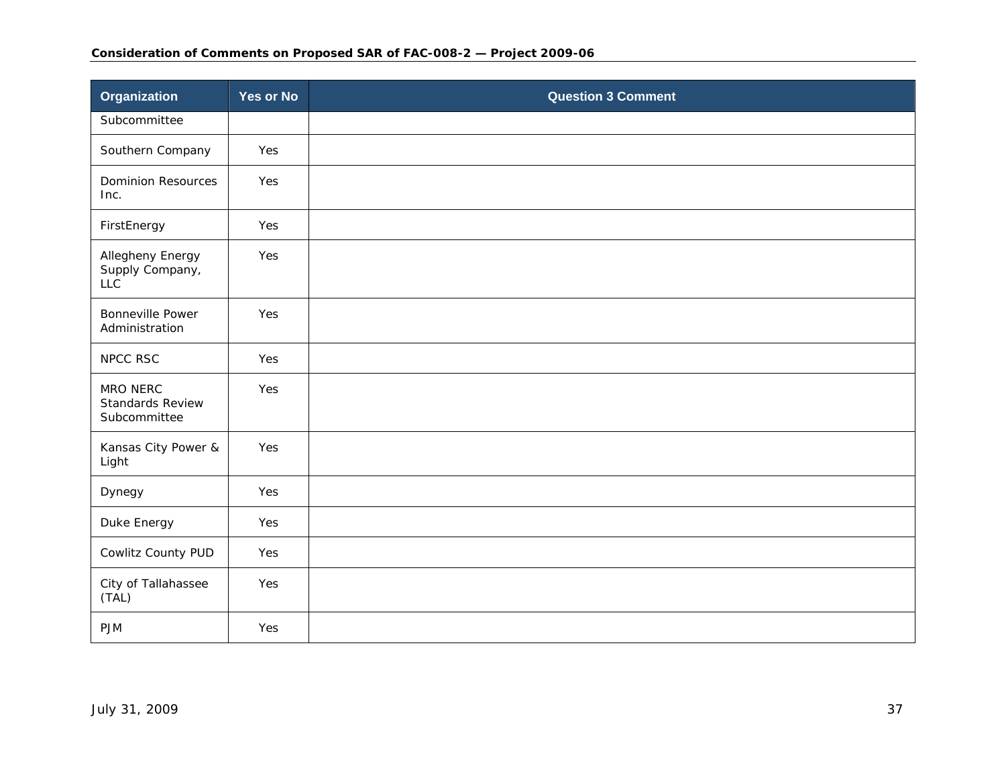### **Consideration of Comments on Proposed SAR of FAC-008-2 — Project 2009-06**

| <b>Organization</b>                                 | <b>Yes or No</b> | <b>Question 3 Comment</b> |
|-----------------------------------------------------|------------------|---------------------------|
| Subcommittee                                        |                  |                           |
| Southern Company                                    | Yes              |                           |
| <b>Dominion Resources</b><br>Inc.                   | Yes              |                           |
| FirstEnergy                                         | Yes              |                           |
| Allegheny Energy<br>Supply Company,<br><b>LLC</b>   | Yes              |                           |
| <b>Bonneville Power</b><br>Administration           | Yes              |                           |
| NPCC RSC                                            | Yes              |                           |
| MRO NERC<br><b>Standards Review</b><br>Subcommittee | Yes              |                           |
| Kansas City Power &<br>Light                        | Yes              |                           |
| Dynegy                                              | Yes              |                           |
| Duke Energy                                         | Yes              |                           |
| Cowlitz County PUD                                  | Yes              |                           |
| City of Tallahassee<br>(TAL)                        | Yes              |                           |
| <b>PJM</b>                                          | Yes              |                           |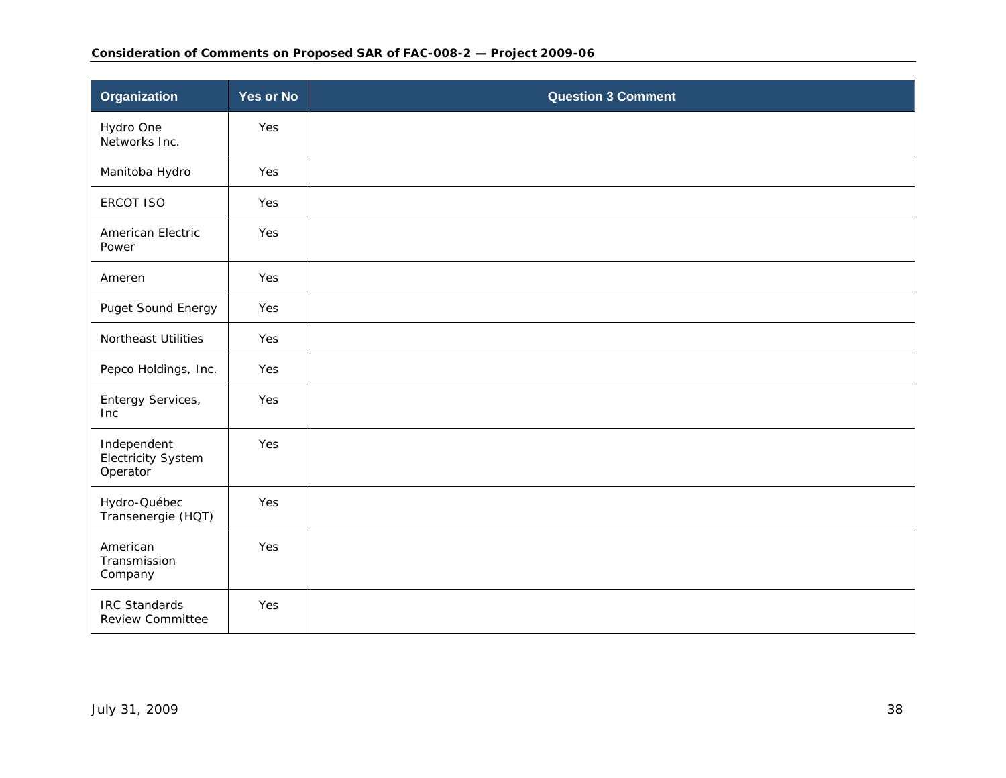### **Consideration of Comments on Proposed SAR of FAC-008-2 — Project 2009-06**

| Organization                                    | <b>Yes or No</b> | <b>Question 3 Comment</b> |
|-------------------------------------------------|------------------|---------------------------|
| Hydro One<br>Networks Inc.                      | Yes              |                           |
| Manitoba Hydro                                  | Yes              |                           |
| <b>ERCOT ISO</b>                                | Yes              |                           |
| American Electric<br>Power                      | Yes              |                           |
| Ameren                                          | Yes              |                           |
| Puget Sound Energy                              | Yes              |                           |
| Northeast Utilities                             | Yes              |                           |
| Pepco Holdings, Inc.                            | Yes              |                           |
| Entergy Services,<br><b>Inc</b>                 | Yes              |                           |
| Independent<br>Electricity System<br>Operator   | Yes              |                           |
| Hydro-Québec<br>Transenergie (HQT)              | Yes              |                           |
| American<br>Transmission<br>Company             | Yes              |                           |
| <b>IRC Standards</b><br><b>Review Committee</b> | Yes              |                           |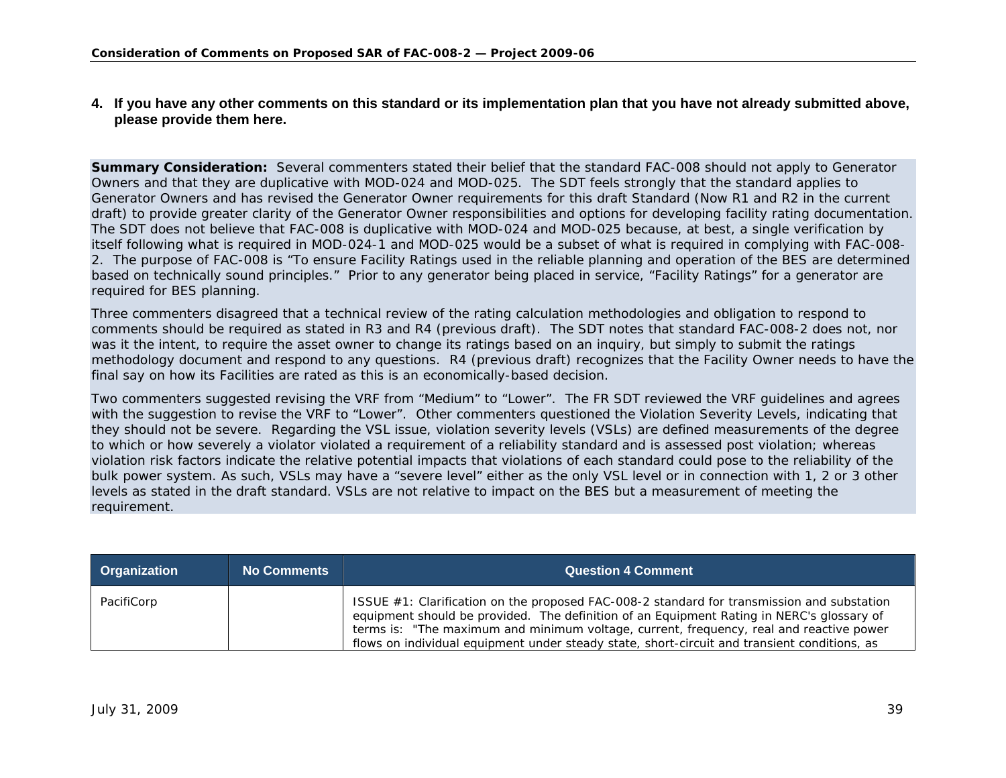## **4. If you have any other comments on this standard or its implementation plan that you have not already submitted above, please provide them here.**

**Summary Consideration:** Several commenters stated their belief that the standard FAC-008 should not apply to Generator Owners and that they are duplicative with MOD-024 and MOD-025. The SDT feels strongly that the standard applies to Generator Owners and has revised the Generator Owner requirements for this draft Standard (Now R1 and R2 in the current draft) to provide greater clarity of the Generator Owner responsibilities and options for developing facility rating documentation. The SDT does not believe that FAC-008 is duplicative with MOD-024 and MOD-025 because, at best, a single verification by itself following what is required in MOD-024-1 and MOD-025 would be a subset of what is required in complying with FAC-008- 2. The purpose of FAC-008 is "To ensure Facility Ratings used in the reliable planning and operation of the BES are determined based on technically sound principles." Prior to any generator being placed in service, "Facility Ratings" for a generator are required for BES planning.

Three commenters disagreed that a technical review of the rating calculation methodologies and obligation to respond to comments should be required as stated in R3 and R4 (previous draft). The SDT notes that standard FAC-008-2 does not, nor was it the intent, to require the asset owner to change its ratings based on an inquiry, but simply to submit the ratings methodology document and respond to any questions. R4 (previous draft) recognizes that the Facility Owner needs to have the final say on how its Facilities are rated as this is an economically-based decision.

Two commenters suggested revising the VRF from "Medium" to "Lower". The FR SDT reviewed the VRF guidelines and agrees with the suggestion to revise the VRF to "Lower". Other commenters questioned the Violation Severity Levels, indicating that they should not be severe. Regarding the VSL issue, violation severity levels (VSLs) are defined measurements of the degree to which or how severely a violator violated a requirement of a reliability standard and is assessed post violation; whereas violation risk factors indicate the relative potential impacts that violations of each standard could pose to the reliability of the bulk power system. As such, VSLs may have a "severe level" either as the only VSL level or in connection with 1, 2 or 3 other levels as stated in the draft standard. VSLs are not relative to impact on the BES but a measurement of meeting the requirement.

<span id="page-38-0"></span>

| <b>Organization</b> | <b>No Comments</b> | <b>Question 4 Comment</b>                                                                                                                                                                                                                                                                                                                                                             |
|---------------------|--------------------|---------------------------------------------------------------------------------------------------------------------------------------------------------------------------------------------------------------------------------------------------------------------------------------------------------------------------------------------------------------------------------------|
| PacifiCorp          |                    | ISSUE $#1$ : Clarification on the proposed FAC-008-2 standard for transmission and substation<br>equipment should be provided. The definition of an Equipment Rating in NERC's glossary of<br>terms is: "The maximum and minimum voltage, current, frequency, real and reactive power<br>flows on individual equipment under steady state, short-circuit and transient conditions, as |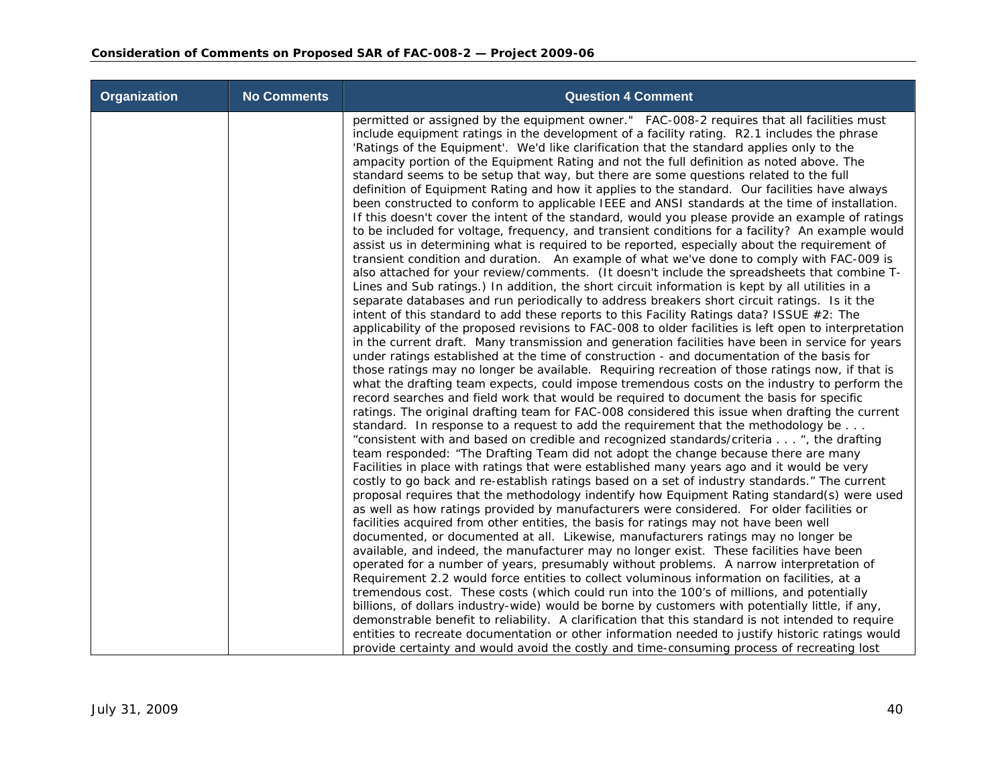| <b>Organization</b> | <b>No Comments</b> | <b>Question 4 Comment</b>                                                                                                                                                                                                                                                                                                                                                                                                                                                                                                                                                                                                                                                                                                                                                                                                                                                                                                                                                                                                                                                                                                                                                                                                                                                                                                                                                                                                                                                                                                                                                                                                                                                                                                                                                                                                                                                                                                                                                                                                                                                                                                                                                                                                                                                                                                                                                                                                                                                                                                                                                                                                                                                                                                                                                                                                                                                                                                                                                                                                                                                                                                                                                                                                                                                                                                                                                                                                                                                                                                                                                                                                                                                                                                                                                                                                                        |
|---------------------|--------------------|--------------------------------------------------------------------------------------------------------------------------------------------------------------------------------------------------------------------------------------------------------------------------------------------------------------------------------------------------------------------------------------------------------------------------------------------------------------------------------------------------------------------------------------------------------------------------------------------------------------------------------------------------------------------------------------------------------------------------------------------------------------------------------------------------------------------------------------------------------------------------------------------------------------------------------------------------------------------------------------------------------------------------------------------------------------------------------------------------------------------------------------------------------------------------------------------------------------------------------------------------------------------------------------------------------------------------------------------------------------------------------------------------------------------------------------------------------------------------------------------------------------------------------------------------------------------------------------------------------------------------------------------------------------------------------------------------------------------------------------------------------------------------------------------------------------------------------------------------------------------------------------------------------------------------------------------------------------------------------------------------------------------------------------------------------------------------------------------------------------------------------------------------------------------------------------------------------------------------------------------------------------------------------------------------------------------------------------------------------------------------------------------------------------------------------------------------------------------------------------------------------------------------------------------------------------------------------------------------------------------------------------------------------------------------------------------------------------------------------------------------------------------------------------------------------------------------------------------------------------------------------------------------------------------------------------------------------------------------------------------------------------------------------------------------------------------------------------------------------------------------------------------------------------------------------------------------------------------------------------------------------------------------------------------------------------------------------------------------------------------------------------------------------------------------------------------------------------------------------------------------------------------------------------------------------------------------------------------------------------------------------------------------------------------------------------------------------------------------------------------------------------------------------------------------------------------------------------------------|
|                     |                    | permitted or assigned by the equipment owner." FAC-008-2 requires that all facilities must<br>include equipment ratings in the development of a facility rating. R2.1 includes the phrase<br>'Ratings of the Equipment'. We'd like clarification that the standard applies only to the<br>ampacity portion of the Equipment Rating and not the full definition as noted above. The<br>standard seems to be setup that way, but there are some questions related to the full<br>definition of Equipment Rating and how it applies to the standard. Our facilities have always<br>been constructed to conform to applicable IEEE and ANSI standards at the time of installation.<br>If this doesn't cover the intent of the standard, would you please provide an example of ratings<br>to be included for voltage, frequency, and transient conditions for a facility? An example would<br>assist us in determining what is required to be reported, especially about the requirement of<br>transient condition and duration. An example of what we've done to comply with FAC-009 is<br>also attached for your review/comments. (It doesn't include the spreadsheets that combine T-<br>Lines and Sub ratings.) In addition, the short circuit information is kept by all utilities in a<br>separate databases and run periodically to address breakers short circuit ratings. Is it the<br>intent of this standard to add these reports to this Facility Ratings data? ISSUE #2: The<br>applicability of the proposed revisions to FAC-008 to older facilities is left open to interpretation<br>in the current draft. Many transmission and generation facilities have been in service for years<br>under ratings established at the time of construction - and documentation of the basis for<br>those ratings may no longer be available. Requiring recreation of those ratings now, if that is<br>what the drafting team expects, could impose tremendous costs on the industry to perform the<br>record searches and field work that would be required to document the basis for specific<br>ratings. The original drafting team for FAC-008 considered this issue when drafting the current<br>standard. In response to a request to add the requirement that the methodology be<br>"consistent with and based on credible and recognized standards/criteria ", the drafting<br>team responded: "The Drafting Team did not adopt the change because there are many<br>Facilities in place with ratings that were established many years ago and it would be very<br>costly to go back and re-establish ratings based on a set of industry standards." The current<br>proposal requires that the methodology indentify how Equipment Rating standard(s) were used<br>as well as how ratings provided by manufacturers were considered. For older facilities or<br>facilities acquired from other entities, the basis for ratings may not have been well<br>documented, or documented at all. Likewise, manufacturers ratings may no longer be<br>available, and indeed, the manufacturer may no longer exist. These facilities have been<br>operated for a number of years, presumably without problems. A narrow interpretation of<br>Requirement 2.2 would force entities to collect voluminous information on facilities, at a<br>tremendous cost. These costs (which could run into the 100's of millions, and potentially<br>billions, of dollars industry-wide) would be borne by customers with potentially little, if any,<br>demonstrable benefit to reliability. A clarification that this standard is not intended to require<br>entities to recreate documentation or other information needed to justify historic ratings would<br>provide certainty and would avoid the costly and time-consuming process of recreating lost |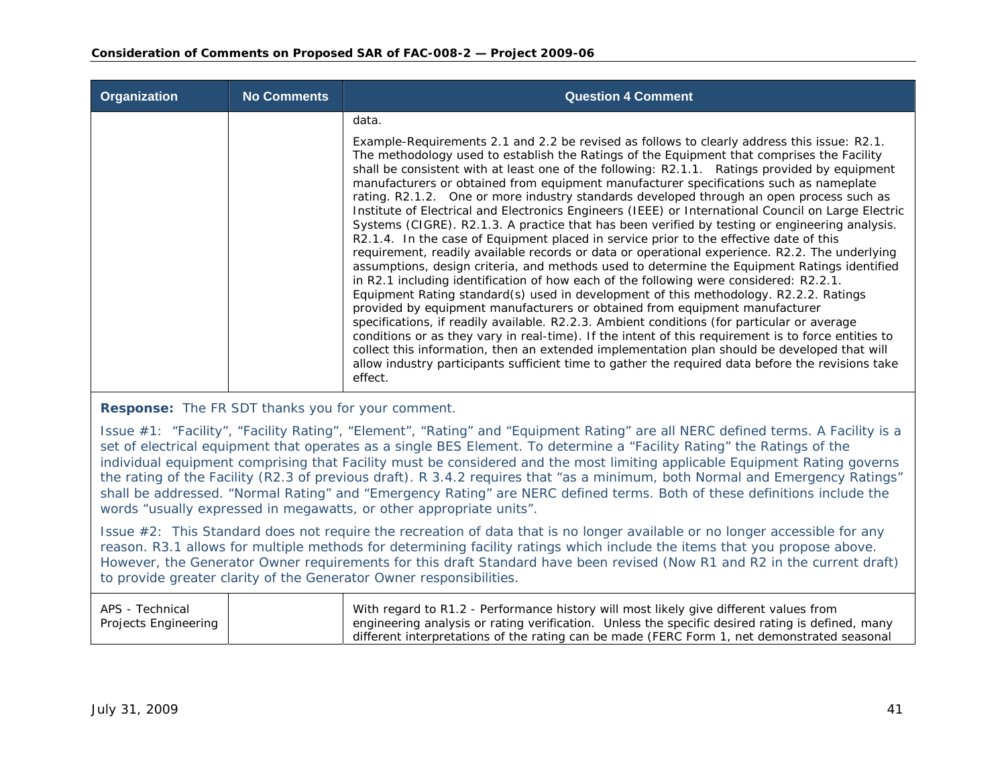| Organization | <b>No Comments</b> | <b>Question 4 Comment</b>                                                                                                                                                                                                                                                                                                                                                                                                                                                                                                                                                                                                                                                                                                                                                                                                                                                                                                                                                                                                                                                                                                                                                                                                                                                                                                                                                                                                                                                                                                                                                      |
|--------------|--------------------|--------------------------------------------------------------------------------------------------------------------------------------------------------------------------------------------------------------------------------------------------------------------------------------------------------------------------------------------------------------------------------------------------------------------------------------------------------------------------------------------------------------------------------------------------------------------------------------------------------------------------------------------------------------------------------------------------------------------------------------------------------------------------------------------------------------------------------------------------------------------------------------------------------------------------------------------------------------------------------------------------------------------------------------------------------------------------------------------------------------------------------------------------------------------------------------------------------------------------------------------------------------------------------------------------------------------------------------------------------------------------------------------------------------------------------------------------------------------------------------------------------------------------------------------------------------------------------|
|              |                    | data.<br>Example-Requirements 2.1 and 2.2 be revised as follows to clearly address this issue: R2.1.                                                                                                                                                                                                                                                                                                                                                                                                                                                                                                                                                                                                                                                                                                                                                                                                                                                                                                                                                                                                                                                                                                                                                                                                                                                                                                                                                                                                                                                                           |
|              |                    | The methodology used to establish the Ratings of the Equipment that comprises the Facility<br>shall be consistent with at least one of the following: R2.1.1. Ratings provided by equipment<br>manufacturers or obtained from equipment manufacturer specifications such as nameplate<br>rating. R2.1.2. One or more industry standards developed through an open process such as<br>Institute of Electrical and Electronics Engineers (IEEE) or International Council on Large Electric<br>Systems (CIGRE). R2.1.3. A practice that has been verified by testing or engineering analysis.<br>R2.1.4. In the case of Equipment placed in service prior to the effective date of this<br>requirement, readily available records or data or operational experience. R2.2. The underlying<br>assumptions, design criteria, and methods used to determine the Equipment Ratings identified<br>in R2.1 including identification of how each of the following were considered: R2.2.1.<br>Equipment Rating standard(s) used in development of this methodology. R2.2.2. Ratings<br>provided by equipment manufacturers or obtained from equipment manufacturer<br>specifications, if readily available. R2.2.3. Ambient conditions (for particular or average<br>conditions or as they vary in real-time). If the intent of this requirement is to force entities to<br>collect this information, then an extended implementation plan should be developed that will<br>allow industry participants sufficient time to gather the required data before the revisions take<br>effect. |

**Response:** The FR SDT thanks you for your comment.

Issue #1: "Facility", "Facility Rating", "Element", "Rating" and "Equipment Rating" are all NERC defined terms. A Facility is a set of electrical equipment that operates as a single BES Element. To determine a "Facility Rating" the Ratings of the individual equipment comprising that Facility must be considered and the most limiting applicable Equipment Rating governs the rating of the Facility (R2.3 of previous draft). R 3.4.2 requires that "as a minimum, both Normal and Emergency Ratings" shall be addressed. "Normal Rating" and "Emergency Rating" are NERC defined terms. Both of these definitions include the words "usually expressed in megawatts, or other appropriate units".

Issue #2: This Standard does not require the recreation of data that is no longer available or no longer accessible for any reason. R3.1 allows for multiple methods for determining facility ratings which include the items that you propose above. However, the Generator Owner requirements for this draft Standard have been revised (Now R1 and R2 in the current draft) to provide greater clarity of the Generator Owner responsibilities.

| APS - Technical      | With regard to R1.2 - Performance history will most likely give different values from            |
|----------------------|--------------------------------------------------------------------------------------------------|
| Projects Engineering | engineering analysis or rating verification. Unless the specific desired rating is defined, many |
|                      | different interpretations of the rating can be made (FERC Form 1, net demonstrated seasonal      |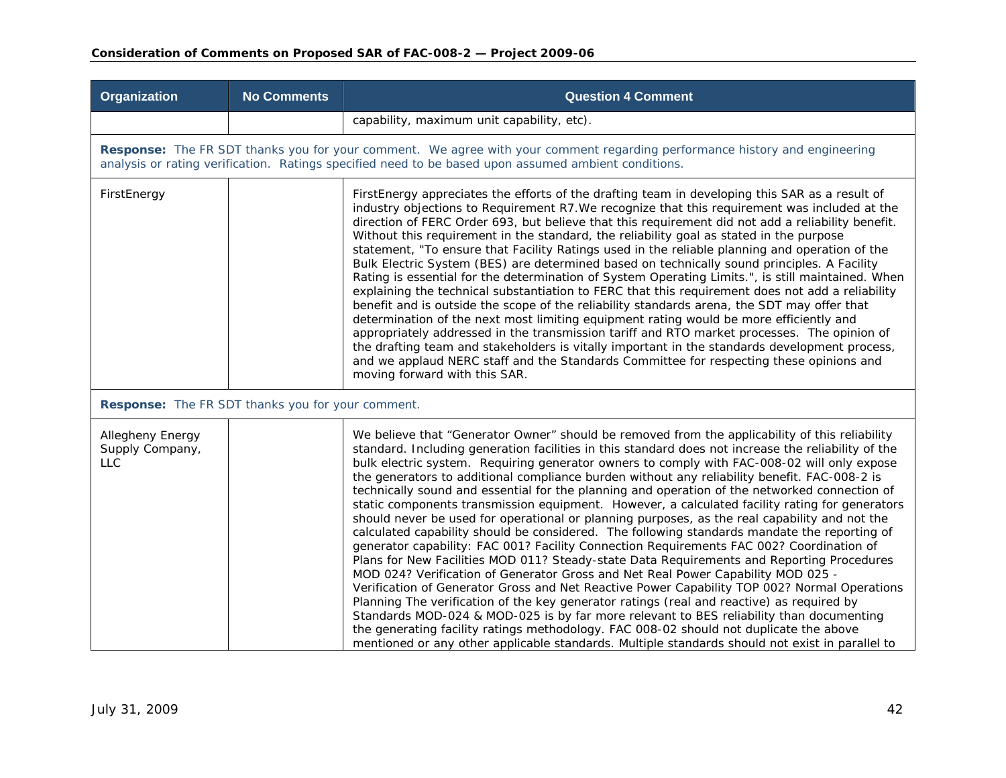| Organization                                      | <b>No Comments</b> | <b>Question 4 Comment</b>                                                                                                                                                                                                                                                                                                                                                                                                                                                                                                                                                                                                                                                                                                                                                                                                                                                                                                                                                                                                                                                                                                                                                                                                                                                                                                                                                                                                                                                                                                                                                  |
|---------------------------------------------------|--------------------|----------------------------------------------------------------------------------------------------------------------------------------------------------------------------------------------------------------------------------------------------------------------------------------------------------------------------------------------------------------------------------------------------------------------------------------------------------------------------------------------------------------------------------------------------------------------------------------------------------------------------------------------------------------------------------------------------------------------------------------------------------------------------------------------------------------------------------------------------------------------------------------------------------------------------------------------------------------------------------------------------------------------------------------------------------------------------------------------------------------------------------------------------------------------------------------------------------------------------------------------------------------------------------------------------------------------------------------------------------------------------------------------------------------------------------------------------------------------------------------------------------------------------------------------------------------------------|
|                                                   |                    | capability, maximum unit capability, etc).                                                                                                                                                                                                                                                                                                                                                                                                                                                                                                                                                                                                                                                                                                                                                                                                                                                                                                                                                                                                                                                                                                                                                                                                                                                                                                                                                                                                                                                                                                                                 |
|                                                   |                    | Response: The FR SDT thanks you for your comment. We agree with your comment regarding performance history and engineering<br>analysis or rating verification. Ratings specified need to be based upon assumed ambient conditions.                                                                                                                                                                                                                                                                                                                                                                                                                                                                                                                                                                                                                                                                                                                                                                                                                                                                                                                                                                                                                                                                                                                                                                                                                                                                                                                                         |
| FirstEnergy                                       |                    | FirstEnergy appreciates the efforts of the drafting team in developing this SAR as a result of<br>industry objections to Requirement R7. We recognize that this requirement was included at the<br>direction of FERC Order 693, but believe that this requirement did not add a reliability benefit.<br>Without this requirement in the standard, the reliability goal as stated in the purpose<br>statement, "To ensure that Facility Ratings used in the reliable planning and operation of the<br>Bulk Electric System (BES) are determined based on technically sound principles. A Facility<br>Rating is essential for the determination of System Operating Limits.", is still maintained. When<br>explaining the technical substantiation to FERC that this requirement does not add a reliability<br>benefit and is outside the scope of the reliability standards arena, the SDT may offer that<br>determination of the next most limiting equipment rating would be more efficiently and<br>appropriately addressed in the transmission tariff and RTO market processes. The opinion of<br>the drafting team and stakeholders is vitally important in the standards development process,<br>and we applaud NERC staff and the Standards Committee for respecting these opinions and<br>moving forward with this SAR.                                                                                                                                                                                                                                             |
| Response: The FR SDT thanks you for your comment. |                    |                                                                                                                                                                                                                                                                                                                                                                                                                                                                                                                                                                                                                                                                                                                                                                                                                                                                                                                                                                                                                                                                                                                                                                                                                                                                                                                                                                                                                                                                                                                                                                            |
| Allegheny Energy<br>Supply Company,<br><b>LLC</b> |                    | We believe that "Generator Owner" should be removed from the applicability of this reliability<br>standard. Including generation facilities in this standard does not increase the reliability of the<br>bulk electric system. Requiring generator owners to comply with FAC-008-02 will only expose<br>the generators to additional compliance burden without any reliability benefit. FAC-008-2 is<br>technically sound and essential for the planning and operation of the networked connection of<br>static components transmission equipment. However, a calculated facility rating for generators<br>should never be used for operational or planning purposes, as the real capability and not the<br>calculated capability should be considered. The following standards mandate the reporting of<br>generator capability: FAC 001? Facility Connection Requirements FAC 002? Coordination of<br>Plans for New Facilities MOD 011? Steady-state Data Requirements and Reporting Procedures<br>MOD 024? Verification of Generator Gross and Net Real Power Capability MOD 025 -<br>Verification of Generator Gross and Net Reactive Power Capability TOP 002? Normal Operations<br>Planning The verification of the key generator ratings (real and reactive) as required by<br>Standards MOD-024 & MOD-025 is by far more relevant to BES reliability than documenting<br>the generating facility ratings methodology. FAC 008-02 should not duplicate the above<br>mentioned or any other applicable standards. Multiple standards should not exist in parallel to |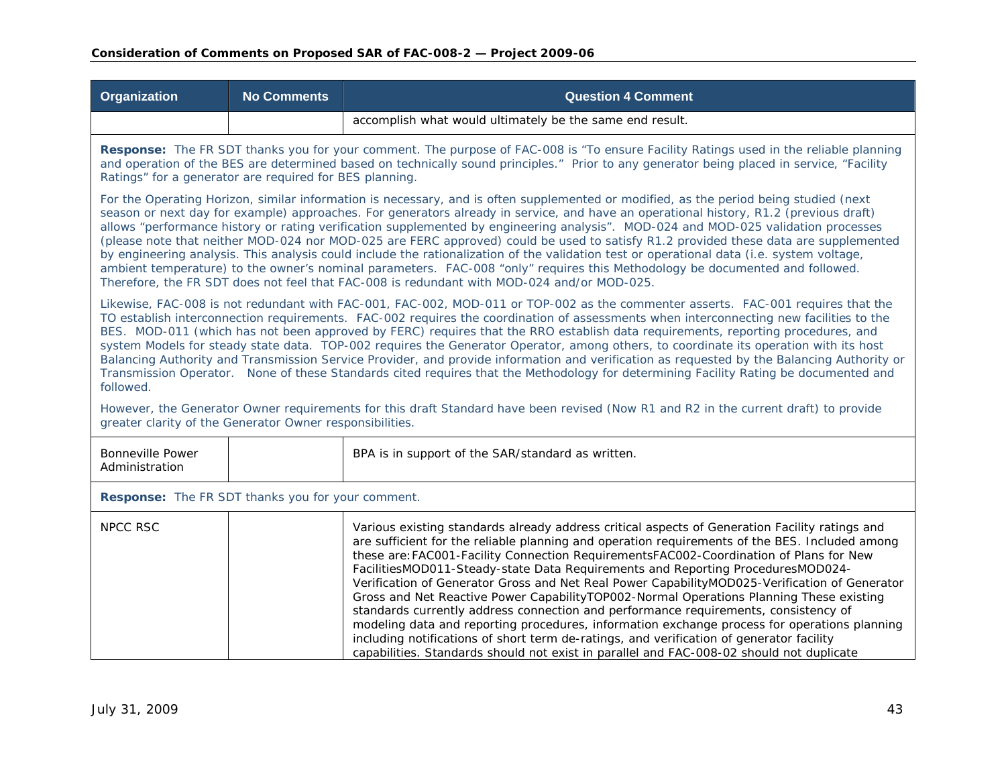| Organization                                                                                                                                                                                                                                                                                                                                                                                                                                                                                                                                                                                                                                                                                                                                                                                                                                                                                                                           | <b>No Comments</b>                                                                                                                                                                                                                                                                                                                            | <b>Question 4 Comment</b>                                                                                                                                                                                                                                                                                                                                                                                                                                                                                                                                                                                                                                                                                                                                                                                                                                                                                                                                |  |
|----------------------------------------------------------------------------------------------------------------------------------------------------------------------------------------------------------------------------------------------------------------------------------------------------------------------------------------------------------------------------------------------------------------------------------------------------------------------------------------------------------------------------------------------------------------------------------------------------------------------------------------------------------------------------------------------------------------------------------------------------------------------------------------------------------------------------------------------------------------------------------------------------------------------------------------|-----------------------------------------------------------------------------------------------------------------------------------------------------------------------------------------------------------------------------------------------------------------------------------------------------------------------------------------------|----------------------------------------------------------------------------------------------------------------------------------------------------------------------------------------------------------------------------------------------------------------------------------------------------------------------------------------------------------------------------------------------------------------------------------------------------------------------------------------------------------------------------------------------------------------------------------------------------------------------------------------------------------------------------------------------------------------------------------------------------------------------------------------------------------------------------------------------------------------------------------------------------------------------------------------------------------|--|
|                                                                                                                                                                                                                                                                                                                                                                                                                                                                                                                                                                                                                                                                                                                                                                                                                                                                                                                                        |                                                                                                                                                                                                                                                                                                                                               | accomplish what would ultimately be the same end result.                                                                                                                                                                                                                                                                                                                                                                                                                                                                                                                                                                                                                                                                                                                                                                                                                                                                                                 |  |
|                                                                                                                                                                                                                                                                                                                                                                                                                                                                                                                                                                                                                                                                                                                                                                                                                                                                                                                                        | Response: The FR SDT thanks you for your comment. The purpose of FAC-008 is "To ensure Facility Ratings used in the reliable planning<br>and operation of the BES are determined based on technically sound principles." Prior to any generator being placed in service, "Facility<br>Ratings" for a generator are required for BES planning. |                                                                                                                                                                                                                                                                                                                                                                                                                                                                                                                                                                                                                                                                                                                                                                                                                                                                                                                                                          |  |
| For the Operating Horizon, similar information is necessary, and is often supplemented or modified, as the period being studied (next<br>season or next day for example) approaches. For generators already in service, and have an operational history, R1.2 (previous draft)<br>allows "performance history or rating verification supplemented by engineering analysis". MOD-024 and MOD-025 validation processes<br>(please note that neither MOD-024 nor MOD-025 are FERC approved) could be used to satisfy R1.2 provided these data are supplemented<br>by engineering analysis. This analysis could include the rationalization of the validation test or operational data (i.e. system voltage,<br>ambient temperature) to the owner's nominal parameters. FAC-008 "only" requires this Methodology be documented and followed.<br>Therefore, the FR SDT does not feel that FAC-008 is redundant with MOD-024 and/or MOD-025. |                                                                                                                                                                                                                                                                                                                                               |                                                                                                                                                                                                                                                                                                                                                                                                                                                                                                                                                                                                                                                                                                                                                                                                                                                                                                                                                          |  |
| Likewise, FAC-008 is not redundant with FAC-001, FAC-002, MOD-011 or TOP-002 as the commenter asserts. FAC-001 requires that the<br>TO establish interconnection requirements. FAC-002 requires the coordination of assessments when interconnecting new facilities to the<br>BES. MOD-011 (which has not been approved by FERC) requires that the RRO establish data requirements, reporting procedures, and<br>system Models for steady state data. TOP-002 requires the Generator Operator, among others, to coordinate its operation with its host<br>Balancing Authority and Transmission Service Provider, and provide information and verification as requested by the Balancing Authority or<br>Transmission Operator. None of these Standards cited requires that the Methodology for determining Facility Rating be documented and<br>followed.                                                                              |                                                                                                                                                                                                                                                                                                                                               |                                                                                                                                                                                                                                                                                                                                                                                                                                                                                                                                                                                                                                                                                                                                                                                                                                                                                                                                                          |  |
| greater clarity of the Generator Owner responsibilities.                                                                                                                                                                                                                                                                                                                                                                                                                                                                                                                                                                                                                                                                                                                                                                                                                                                                               |                                                                                                                                                                                                                                                                                                                                               | However, the Generator Owner requirements for this draft Standard have been revised (Now R1 and R2 in the current draft) to provide                                                                                                                                                                                                                                                                                                                                                                                                                                                                                                                                                                                                                                                                                                                                                                                                                      |  |
| <b>Bonneville Power</b><br>Administration                                                                                                                                                                                                                                                                                                                                                                                                                                                                                                                                                                                                                                                                                                                                                                                                                                                                                              |                                                                                                                                                                                                                                                                                                                                               | BPA is in support of the SAR/standard as written.                                                                                                                                                                                                                                                                                                                                                                                                                                                                                                                                                                                                                                                                                                                                                                                                                                                                                                        |  |
| Response: The FR SDT thanks you for your comment.                                                                                                                                                                                                                                                                                                                                                                                                                                                                                                                                                                                                                                                                                                                                                                                                                                                                                      |                                                                                                                                                                                                                                                                                                                                               |                                                                                                                                                                                                                                                                                                                                                                                                                                                                                                                                                                                                                                                                                                                                                                                                                                                                                                                                                          |  |
| <b>NPCC RSC</b>                                                                                                                                                                                                                                                                                                                                                                                                                                                                                                                                                                                                                                                                                                                                                                                                                                                                                                                        |                                                                                                                                                                                                                                                                                                                                               | Various existing standards already address critical aspects of Generation Facility ratings and<br>are sufficient for the reliable planning and operation requirements of the BES. Included among<br>these are: FAC001-Facility Connection RequirementsFAC002-Coordination of Plans for New<br>FacilitiesMOD011-Steady-state Data Requirements and Reporting ProceduresMOD024-<br>Verification of Generator Gross and Net Real Power CapabilityMOD025-Verification of Generator<br>Gross and Net Reactive Power CapabilityTOP002-Normal Operations Planning These existing<br>standards currently address connection and performance requirements, consistency of<br>modeling data and reporting procedures, information exchange process for operations planning<br>including notifications of short term de-ratings, and verification of generator facility<br>capabilities. Standards should not exist in parallel and FAC-008-02 should not duplicate |  |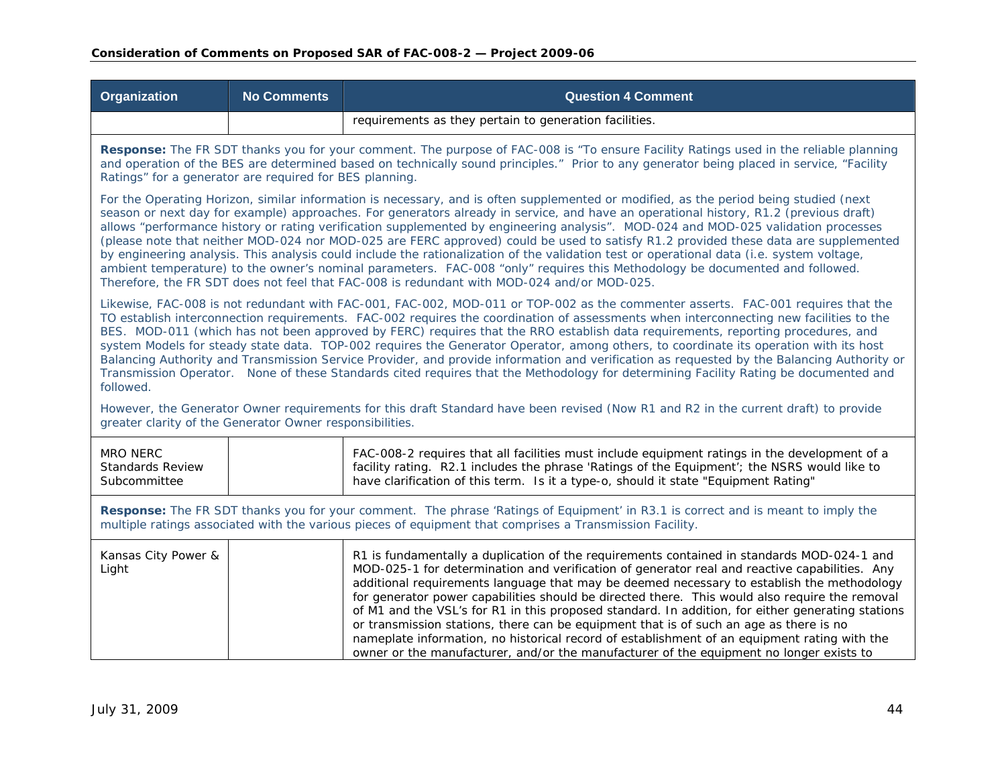| <b>Organization</b>                                                                                                                                                                                                                                                                                                                                                                                                                                                                                                                                                                                                                                                                                                                                                                                                                                                                                                                    | <b>No Comments</b>                                                                                                                                                                                                                                                                                                                            | <b>Question 4 Comment</b>                                                                                                                                                                                                                                                                                                                                                                                                                                                                                                                                                                                                                                                                                                                                                             |  |
|----------------------------------------------------------------------------------------------------------------------------------------------------------------------------------------------------------------------------------------------------------------------------------------------------------------------------------------------------------------------------------------------------------------------------------------------------------------------------------------------------------------------------------------------------------------------------------------------------------------------------------------------------------------------------------------------------------------------------------------------------------------------------------------------------------------------------------------------------------------------------------------------------------------------------------------|-----------------------------------------------------------------------------------------------------------------------------------------------------------------------------------------------------------------------------------------------------------------------------------------------------------------------------------------------|---------------------------------------------------------------------------------------------------------------------------------------------------------------------------------------------------------------------------------------------------------------------------------------------------------------------------------------------------------------------------------------------------------------------------------------------------------------------------------------------------------------------------------------------------------------------------------------------------------------------------------------------------------------------------------------------------------------------------------------------------------------------------------------|--|
|                                                                                                                                                                                                                                                                                                                                                                                                                                                                                                                                                                                                                                                                                                                                                                                                                                                                                                                                        |                                                                                                                                                                                                                                                                                                                                               | requirements as they pertain to generation facilities.                                                                                                                                                                                                                                                                                                                                                                                                                                                                                                                                                                                                                                                                                                                                |  |
|                                                                                                                                                                                                                                                                                                                                                                                                                                                                                                                                                                                                                                                                                                                                                                                                                                                                                                                                        | Response: The FR SDT thanks you for your comment. The purpose of FAC-008 is "To ensure Facility Ratings used in the reliable planning<br>and operation of the BES are determined based on technically sound principles." Prior to any generator being placed in service, "Facility<br>Ratings" for a generator are required for BES planning. |                                                                                                                                                                                                                                                                                                                                                                                                                                                                                                                                                                                                                                                                                                                                                                                       |  |
| For the Operating Horizon, similar information is necessary, and is often supplemented or modified, as the period being studied (next<br>season or next day for example) approaches. For generators already in service, and have an operational history, R1.2 (previous draft)<br>allows "performance history or rating verification supplemented by engineering analysis". MOD-024 and MOD-025 validation processes<br>(please note that neither MOD-024 nor MOD-025 are FERC approved) could be used to satisfy R1.2 provided these data are supplemented<br>by engineering analysis. This analysis could include the rationalization of the validation test or operational data (i.e. system voltage,<br>ambient temperature) to the owner's nominal parameters. FAC-008 "only" requires this Methodology be documented and followed.<br>Therefore, the FR SDT does not feel that FAC-008 is redundant with MOD-024 and/or MOD-025. |                                                                                                                                                                                                                                                                                                                                               |                                                                                                                                                                                                                                                                                                                                                                                                                                                                                                                                                                                                                                                                                                                                                                                       |  |
| Likewise, FAC-008 is not redundant with FAC-001, FAC-002, MOD-011 or TOP-002 as the commenter asserts. FAC-001 requires that the<br>TO establish interconnection requirements. FAC-002 requires the coordination of assessments when interconnecting new facilities to the<br>BES. MOD-011 (which has not been approved by FERC) requires that the RRO establish data requirements, reporting procedures, and<br>system Models for steady state data. TOP-002 requires the Generator Operator, among others, to coordinate its operation with its host<br>Balancing Authority and Transmission Service Provider, and provide information and verification as requested by the Balancing Authority or<br>Transmission Operator. None of these Standards cited requires that the Methodology for determining Facility Rating be documented and<br>followed.                                                                              |                                                                                                                                                                                                                                                                                                                                               |                                                                                                                                                                                                                                                                                                                                                                                                                                                                                                                                                                                                                                                                                                                                                                                       |  |
| greater clarity of the Generator Owner responsibilities.                                                                                                                                                                                                                                                                                                                                                                                                                                                                                                                                                                                                                                                                                                                                                                                                                                                                               |                                                                                                                                                                                                                                                                                                                                               | However, the Generator Owner requirements for this draft Standard have been revised (Now R1 and R2 in the current draft) to provide                                                                                                                                                                                                                                                                                                                                                                                                                                                                                                                                                                                                                                                   |  |
| <b>MRO NERC</b><br><b>Standards Review</b><br>Subcommittee                                                                                                                                                                                                                                                                                                                                                                                                                                                                                                                                                                                                                                                                                                                                                                                                                                                                             |                                                                                                                                                                                                                                                                                                                                               | FAC-008-2 requires that all facilities must include equipment ratings in the development of a<br>facility rating. R2.1 includes the phrase 'Ratings of the Equipment'; the NSRS would like to<br>have clarification of this term. Is it a type-o, should it state "Equipment Rating"                                                                                                                                                                                                                                                                                                                                                                                                                                                                                                  |  |
| Response: The FR SDT thanks you for your comment. The phrase 'Ratings of Equipment' in R3.1 is correct and is meant to imply the<br>multiple ratings associated with the various pieces of equipment that comprises a Transmission Facility.                                                                                                                                                                                                                                                                                                                                                                                                                                                                                                                                                                                                                                                                                           |                                                                                                                                                                                                                                                                                                                                               |                                                                                                                                                                                                                                                                                                                                                                                                                                                                                                                                                                                                                                                                                                                                                                                       |  |
| Kansas City Power &<br>Light                                                                                                                                                                                                                                                                                                                                                                                                                                                                                                                                                                                                                                                                                                                                                                                                                                                                                                           |                                                                                                                                                                                                                                                                                                                                               | R1 is fundamentally a duplication of the requirements contained in standards MOD-024-1 and<br>MOD-025-1 for determination and verification of generator real and reactive capabilities. Any<br>additional requirements language that may be deemed necessary to establish the methodology<br>for generator power capabilities should be directed there. This would also require the removal<br>of M1 and the VSL's for R1 in this proposed standard. In addition, for either generating stations<br>or transmission stations, there can be equipment that is of such an age as there is no<br>nameplate information, no historical record of establishment of an equipment rating with the<br>owner or the manufacturer, and/or the manufacturer of the equipment no longer exists to |  |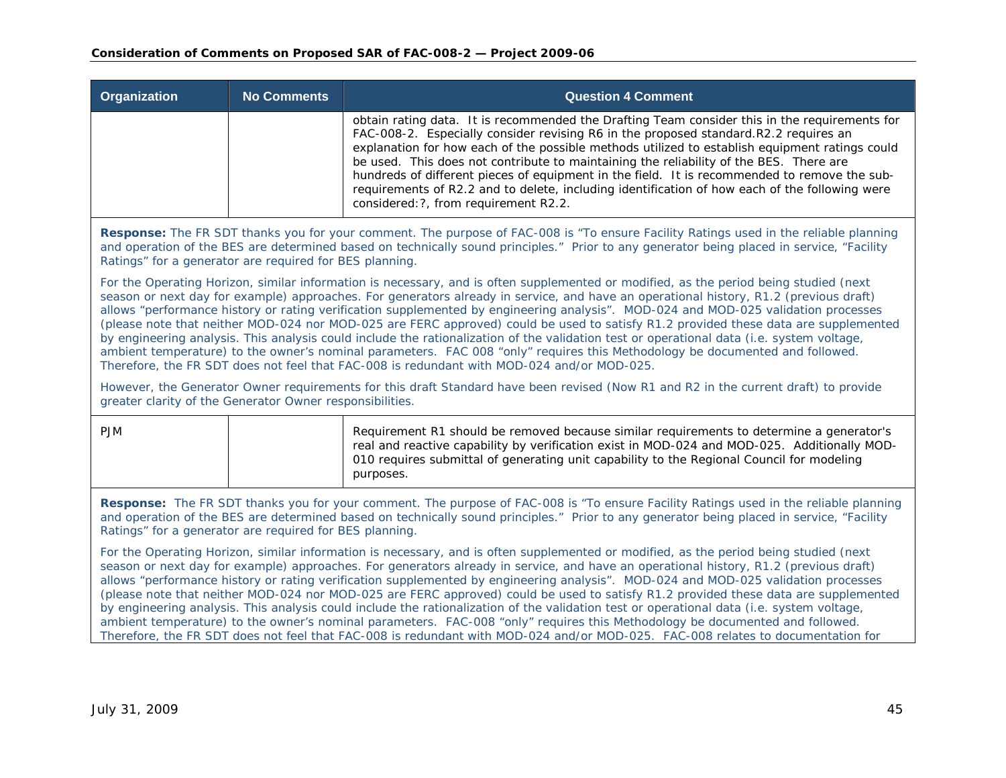| <b>Organization</b> | No Comments | <b>Question 4 Comment</b>                                                                                                                                                                                                                                                                                                                                                                                                                                                                                                                                                                                                    |
|---------------------|-------------|------------------------------------------------------------------------------------------------------------------------------------------------------------------------------------------------------------------------------------------------------------------------------------------------------------------------------------------------------------------------------------------------------------------------------------------------------------------------------------------------------------------------------------------------------------------------------------------------------------------------------|
|                     |             | obtain rating data. It is recommended the Drafting Team consider this in the requirements for<br>FAC-008-2. Especially consider revising R6 in the proposed standard.R2.2 requires an<br>explanation for how each of the possible methods utilized to establish equipment ratings could<br>be used. This does not contribute to maintaining the reliability of the BES. There are<br>hundreds of different pieces of equipment in the field. It is recommended to remove the sub-<br>requirements of R2.2 and to delete, including identification of how each of the following were<br>considered: ?, from requirement R2.2. |

**Response:** The FR SDT thanks you for your comment. The purpose of FAC-008 is "To ensure Facility Ratings used in the reliable planning and operation of the BES are determined based on technically sound principles." Prior to any generator being placed in service, "Facility Ratings" for a generator are required for BES planning.

For the Operating Horizon, similar information is necessary, and is often supplemented or modified, as the period being studied (next season or next day for example) approaches. For generators already in service, and have an operational history, R1.2 (previous draft) allows "performance history or rating verification supplemented by engineering analysis". MOD-024 and MOD-025 validation processes (please note that neither MOD-024 nor MOD-025 are FERC approved) could be used to satisfy R1.2 provided these data are supplemented by engineering analysis. This analysis could include the rationalization of the validation test or operational data (i.e. system voltage, ambient temperature) to the owner's nominal parameters. FAC 008 "only" requires this Methodology be documented and followed. Therefore, the FR SDT does not feel that FAC-008 is redundant with MOD-024 and/or MOD-025.

However, the Generator Owner requirements for this draft Standard have been revised (Now R1 and R2 in the current draft) to provide greater clarity of the Generator Owner responsibilities.

| <b>PJM</b> | Requirement R1 should be removed because similar requirements to determine a generator's<br>real and reactive capability by verification exist in MOD-024 and MOD-025. Additionally MOD-<br>010 requires submittal of generating unit capability to the Regional Council for modeling<br>purposes. |
|------------|----------------------------------------------------------------------------------------------------------------------------------------------------------------------------------------------------------------------------------------------------------------------------------------------------|
|            |                                                                                                                                                                                                                                                                                                    |

**Response:** The FR SDT thanks you for your comment. The purpose of FAC-008 is "To ensure Facility Ratings used in the reliable planning and operation of the BES are determined based on technically sound principles." Prior to any generator being placed in service, "Facility Ratings" for a generator are required for BES planning.

For the Operating Horizon, similar information is necessary, and is often supplemented or modified, as the period being studied (next season or next day for example) approaches. For generators already in service, and have an operational history, R1.2 (previous draft) allows "performance history or rating verification supplemented by engineering analysis". MOD-024 and MOD-025 validation processes (please note that neither MOD-024 nor MOD-025 are FERC approved) could be used to satisfy R1.2 provided these data are supplemented by engineering analysis. This analysis could include the rationalization of the validation test or operational data (i.e. system voltage, ambient temperature) to the owner's nominal parameters. FAC-008 "only" requires this Methodology be documented and followed. Therefore, the FR SDT does not feel that FAC-008 is redundant with MOD-024 and/or MOD-025. FAC-008 relates to documentation for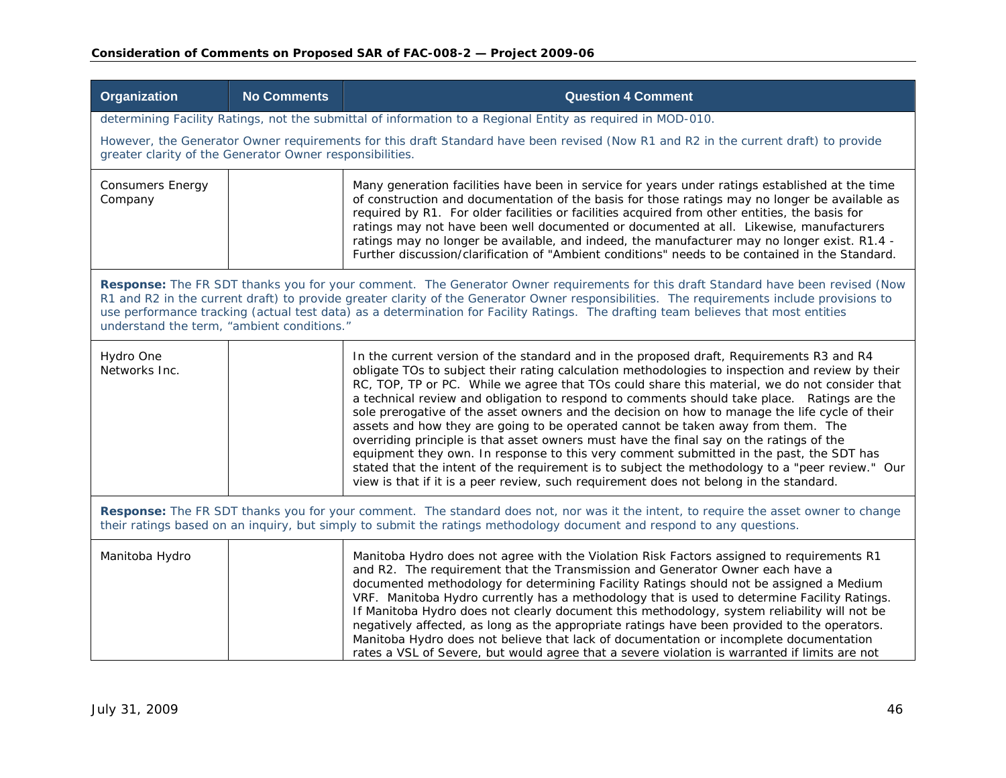### **Consideration of Comments on Proposed SAR of FAC-008-2 — Project 2009-06**

| Organization                                                                                                                                                                                                                                                                                                                                                                                                                                                        | <b>No Comments</b> | <b>Question 4 Comment</b>                                                                                                                                                                                                                                                                                                                                                                                                                                                                                                                                                                                                                                                                                                                                                                                                                                                                                                                                             |
|---------------------------------------------------------------------------------------------------------------------------------------------------------------------------------------------------------------------------------------------------------------------------------------------------------------------------------------------------------------------------------------------------------------------------------------------------------------------|--------------------|-----------------------------------------------------------------------------------------------------------------------------------------------------------------------------------------------------------------------------------------------------------------------------------------------------------------------------------------------------------------------------------------------------------------------------------------------------------------------------------------------------------------------------------------------------------------------------------------------------------------------------------------------------------------------------------------------------------------------------------------------------------------------------------------------------------------------------------------------------------------------------------------------------------------------------------------------------------------------|
|                                                                                                                                                                                                                                                                                                                                                                                                                                                                     |                    | determining Facility Ratings, not the submittal of information to a Regional Entity as required in MOD-010.                                                                                                                                                                                                                                                                                                                                                                                                                                                                                                                                                                                                                                                                                                                                                                                                                                                           |
| greater clarity of the Generator Owner responsibilities.                                                                                                                                                                                                                                                                                                                                                                                                            |                    | However, the Generator Owner requirements for this draft Standard have been revised (Now R1 and R2 in the current draft) to provide                                                                                                                                                                                                                                                                                                                                                                                                                                                                                                                                                                                                                                                                                                                                                                                                                                   |
| <b>Consumers Energy</b><br>Company                                                                                                                                                                                                                                                                                                                                                                                                                                  |                    | Many generation facilities have been in service for years under ratings established at the time<br>of construction and documentation of the basis for those ratings may no longer be available as<br>required by R1. For older facilities or facilities acquired from other entities, the basis for<br>ratings may not have been well documented or documented at all. Likewise, manufacturers<br>ratings may no longer be available, and indeed, the manufacturer may no longer exist. R1.4 -<br>Further discussion/clarification of "Ambient conditions" needs to be contained in the Standard.                                                                                                                                                                                                                                                                                                                                                                     |
| Response: The FR SDT thanks you for your comment. The Generator Owner requirements for this draft Standard have been revised (Now<br>R1 and R2 in the current draft) to provide greater clarity of the Generator Owner responsibilities. The requirements include provisions to<br>use performance tracking (actual test data) as a determination for Facility Ratings. The drafting team believes that most entities<br>understand the term, "ambient conditions." |                    |                                                                                                                                                                                                                                                                                                                                                                                                                                                                                                                                                                                                                                                                                                                                                                                                                                                                                                                                                                       |
| Hydro One<br>Networks Inc.                                                                                                                                                                                                                                                                                                                                                                                                                                          |                    | In the current version of the standard and in the proposed draft, Requirements R3 and R4<br>obligate TOs to subject their rating calculation methodologies to inspection and review by their<br>RC, TOP, TP or PC. While we agree that TOs could share this material, we do not consider that<br>a technical review and obligation to respond to comments should take place. Ratings are the<br>sole prerogative of the asset owners and the decision on how to manage the life cycle of their<br>assets and how they are going to be operated cannot be taken away from them. The<br>overriding principle is that asset owners must have the final say on the ratings of the<br>equipment they own. In response to this very comment submitted in the past, the SDT has<br>stated that the intent of the requirement is to subject the methodology to a "peer review." Our<br>view is that if it is a peer review, such requirement does not belong in the standard. |
| Response: The FR SDT thanks you for your comment. The standard does not, nor was it the intent, to require the asset owner to change<br>their ratings based on an inquiry, but simply to submit the ratings methodology document and respond to any questions.                                                                                                                                                                                                      |                    |                                                                                                                                                                                                                                                                                                                                                                                                                                                                                                                                                                                                                                                                                                                                                                                                                                                                                                                                                                       |
| Manitoba Hydro                                                                                                                                                                                                                                                                                                                                                                                                                                                      |                    | Manitoba Hydro does not agree with the Violation Risk Factors assigned to requirements R1<br>and R2. The requirement that the Transmission and Generator Owner each have a<br>documented methodology for determining Facility Ratings should not be assigned a Medium<br>VRF. Manitoba Hydro currently has a methodology that is used to determine Facility Ratings.<br>If Manitoba Hydro does not clearly document this methodology, system reliability will not be<br>negatively affected, as long as the appropriate ratings have been provided to the operators.<br>Manitoba Hydro does not believe that lack of documentation or incomplete documentation<br>rates a VSL of Severe, but would agree that a severe violation is warranted if limits are not                                                                                                                                                                                                       |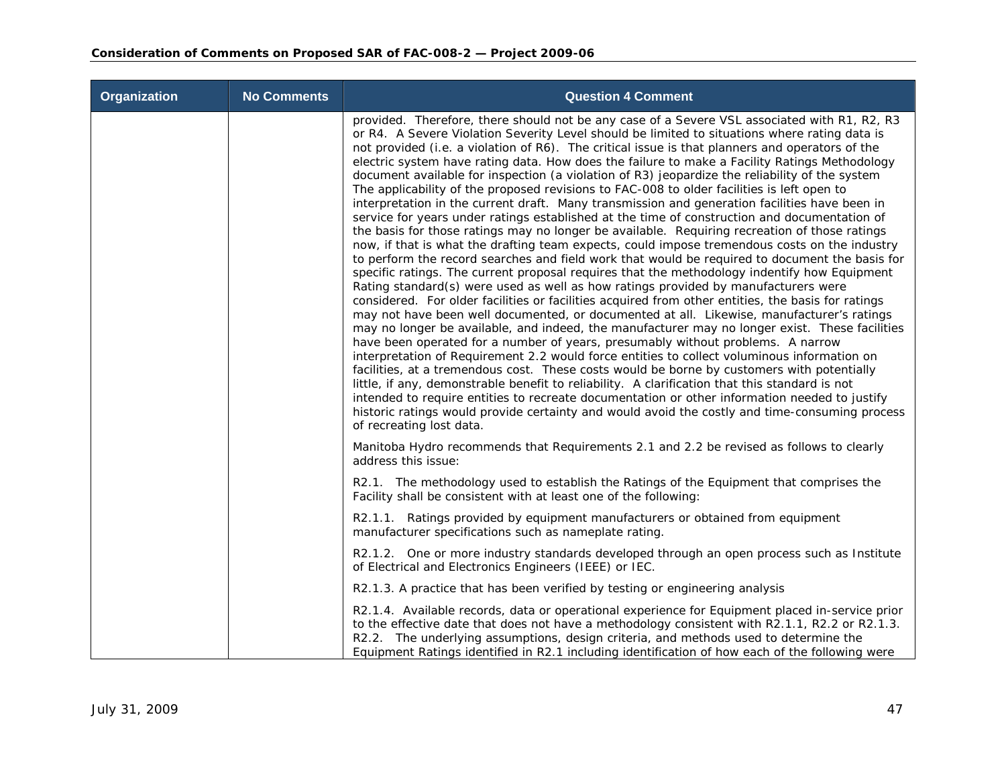| <b>Organization</b> | <b>No Comments</b> | <b>Question 4 Comment</b>                                                                                                                                                                                                                                                                                                                                                                                                                                                                                                                                                                                                                                                                                                                                                                                                                                                                                                                                                                                                                                                                                                                                                                                                                                                                                                                                                                                                                                                                                                                                                                                                                                                                                                                                                                                                                                                                                                                                                                                                                                                                                                                                                                                          |
|---------------------|--------------------|--------------------------------------------------------------------------------------------------------------------------------------------------------------------------------------------------------------------------------------------------------------------------------------------------------------------------------------------------------------------------------------------------------------------------------------------------------------------------------------------------------------------------------------------------------------------------------------------------------------------------------------------------------------------------------------------------------------------------------------------------------------------------------------------------------------------------------------------------------------------------------------------------------------------------------------------------------------------------------------------------------------------------------------------------------------------------------------------------------------------------------------------------------------------------------------------------------------------------------------------------------------------------------------------------------------------------------------------------------------------------------------------------------------------------------------------------------------------------------------------------------------------------------------------------------------------------------------------------------------------------------------------------------------------------------------------------------------------------------------------------------------------------------------------------------------------------------------------------------------------------------------------------------------------------------------------------------------------------------------------------------------------------------------------------------------------------------------------------------------------------------------------------------------------------------------------------------------------|
|                     |                    | provided. Therefore, there should not be any case of a Severe VSL associated with R1, R2, R3<br>or R4. A Severe Violation Severity Level should be limited to situations where rating data is<br>not provided (i.e. a violation of R6). The critical issue is that planners and operators of the<br>electric system have rating data. How does the failure to make a Facility Ratings Methodology<br>document available for inspection (a violation of R3) jeopardize the reliability of the system<br>The applicability of the proposed revisions to FAC-008 to older facilities is left open to<br>interpretation in the current draft. Many transmission and generation facilities have been in<br>service for years under ratings established at the time of construction and documentation of<br>the basis for those ratings may no longer be available. Requiring recreation of those ratings<br>now, if that is what the drafting team expects, could impose tremendous costs on the industry<br>to perform the record searches and field work that would be required to document the basis for<br>specific ratings. The current proposal requires that the methodology indentify how Equipment<br>Rating standard(s) were used as well as how ratings provided by manufacturers were<br>considered. For older facilities or facilities acquired from other entities, the basis for ratings<br>may not have been well documented, or documented at all. Likewise, manufacturer's ratings<br>may no longer be available, and indeed, the manufacturer may no longer exist. These facilities<br>have been operated for a number of years, presumably without problems. A narrow<br>interpretation of Requirement 2.2 would force entities to collect voluminous information on<br>facilities, at a tremendous cost. These costs would be borne by customers with potentially<br>little, if any, demonstrable benefit to reliability. A clarification that this standard is not<br>intended to require entities to recreate documentation or other information needed to justify<br>historic ratings would provide certainty and would avoid the costly and time-consuming process<br>of recreating lost data. |
|                     |                    | Manitoba Hydro recommends that Requirements 2.1 and 2.2 be revised as follows to clearly<br>address this issue:                                                                                                                                                                                                                                                                                                                                                                                                                                                                                                                                                                                                                                                                                                                                                                                                                                                                                                                                                                                                                                                                                                                                                                                                                                                                                                                                                                                                                                                                                                                                                                                                                                                                                                                                                                                                                                                                                                                                                                                                                                                                                                    |
|                     |                    | R2.1. The methodology used to establish the Ratings of the Equipment that comprises the<br>Facility shall be consistent with at least one of the following:                                                                                                                                                                                                                                                                                                                                                                                                                                                                                                                                                                                                                                                                                                                                                                                                                                                                                                                                                                                                                                                                                                                                                                                                                                                                                                                                                                                                                                                                                                                                                                                                                                                                                                                                                                                                                                                                                                                                                                                                                                                        |
|                     |                    | R2.1.1. Ratings provided by equipment manufacturers or obtained from equipment<br>manufacturer specifications such as nameplate rating.                                                                                                                                                                                                                                                                                                                                                                                                                                                                                                                                                                                                                                                                                                                                                                                                                                                                                                                                                                                                                                                                                                                                                                                                                                                                                                                                                                                                                                                                                                                                                                                                                                                                                                                                                                                                                                                                                                                                                                                                                                                                            |
|                     |                    | R2.1.2. One or more industry standards developed through an open process such as Institute<br>of Electrical and Electronics Engineers (IEEE) or IEC.                                                                                                                                                                                                                                                                                                                                                                                                                                                                                                                                                                                                                                                                                                                                                                                                                                                                                                                                                                                                                                                                                                                                                                                                                                                                                                                                                                                                                                                                                                                                                                                                                                                                                                                                                                                                                                                                                                                                                                                                                                                               |
|                     |                    | R2.1.3. A practice that has been verified by testing or engineering analysis                                                                                                                                                                                                                                                                                                                                                                                                                                                                                                                                                                                                                                                                                                                                                                                                                                                                                                                                                                                                                                                                                                                                                                                                                                                                                                                                                                                                                                                                                                                                                                                                                                                                                                                                                                                                                                                                                                                                                                                                                                                                                                                                       |
|                     |                    | R2.1.4. Available records, data or operational experience for Equipment placed in-service prior<br>to the effective date that does not have a methodology consistent with R2.1.1, R2.2 or R2.1.3.<br>R2.2. The underlying assumptions, design criteria, and methods used to determine the<br>Equipment Ratings identified in R2.1 including identification of how each of the following were                                                                                                                                                                                                                                                                                                                                                                                                                                                                                                                                                                                                                                                                                                                                                                                                                                                                                                                                                                                                                                                                                                                                                                                                                                                                                                                                                                                                                                                                                                                                                                                                                                                                                                                                                                                                                       |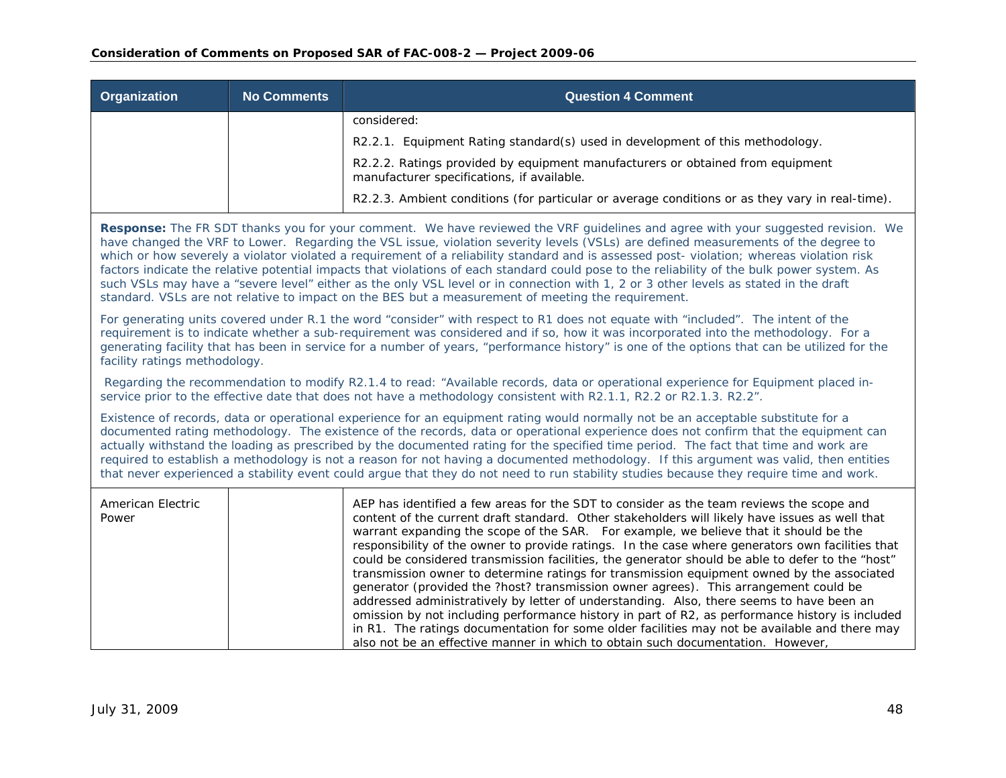| Organization | <b>No Comments</b> | <b>Question 4 Comment</b>                                                                                                    |
|--------------|--------------------|------------------------------------------------------------------------------------------------------------------------------|
|              |                    | considered:                                                                                                                  |
|              |                    | R2.2.1. Equipment Rating standard(s) used in development of this methodology.                                                |
|              |                    | R2.2.2. Ratings provided by equipment manufacturers or obtained from equipment<br>manufacturer specifications, if available. |
|              |                    | R2.2.3. Ambient conditions (for particular or average conditions or as they vary in real-time).                              |

**Response:** The FR SDT thanks you for your comment. We have reviewed the VRF guidelines and agree with your suggested revision. We have changed the VRF to Lower. Regarding the VSL issue, violation severity levels (VSLs) are defined measurements of the degree to which or how severely a violator violated a requirement of a reliability standard and is assessed post- violation; whereas violation risk factors indicate the relative potential impacts that violations of each standard could pose to the reliability of the bulk power system. As such VSLs may have a "severe level" either as the only VSL level or in connection with 1, 2 or 3 other levels as stated in the draft standard. VSLs are not relative to impact on the BES but a measurement of meeting the requirement.

For generating units covered under R.1 the word "consider" with respect to R1 does not equate with "included". The intent of the requirement is to indicate whether a sub-requirement was considered and if so, how it was incorporated into the methodology. For a generating facility that has been in service for a number of years, "performance history" is one of the options that can be utilized for the facility ratings methodology.

 Regarding the recommendation to modify R2.1.4 to read: "Available records, data or operational experience for Equipment placed inservice prior to the effective date that does not have a methodology consistent with R2.1.1, R2.2 or R2.1.3. R2.2".

Existence of records, data or operational experience for an equipment rating would normally not be an acceptable substitute for a documented rating methodology. The existence of the records, data or operational experience does not confirm that the equipment can actually withstand the loading as prescribed by the documented rating for the specified time period. The fact that time and work are required to establish a methodology is not a reason for not having a documented methodology. If this argument was valid, then entities that never experienced a stability event could argue that they do not need to run stability studies because they require time and work.

| American Electric<br>Power | AEP has identified a few areas for the SDT to consider as the team reviews the scope and<br>content of the current draft standard. Other stakeholders will likely have issues as well that<br>warrant expanding the scope of the SAR. For example, we believe that it should be the<br>responsibility of the owner to provide ratings. In the case where generators own facilities that |
|----------------------------|-----------------------------------------------------------------------------------------------------------------------------------------------------------------------------------------------------------------------------------------------------------------------------------------------------------------------------------------------------------------------------------------|
|                            | could be considered transmission facilities, the generator should be able to defer to the "host"<br>transmission owner to determine ratings for transmission equipment owned by the associated<br>generator (provided the ?host? transmission owner agrees). This arrangement could be                                                                                                  |
|                            | addressed administratively by letter of understanding. Also, there seems to have been an<br>omission by not including performance history in part of R2, as performance history is included<br>in R1. The ratings documentation for some older facilities may not be available and there may<br>also not be an effective manner in which to obtain such documentation. However,         |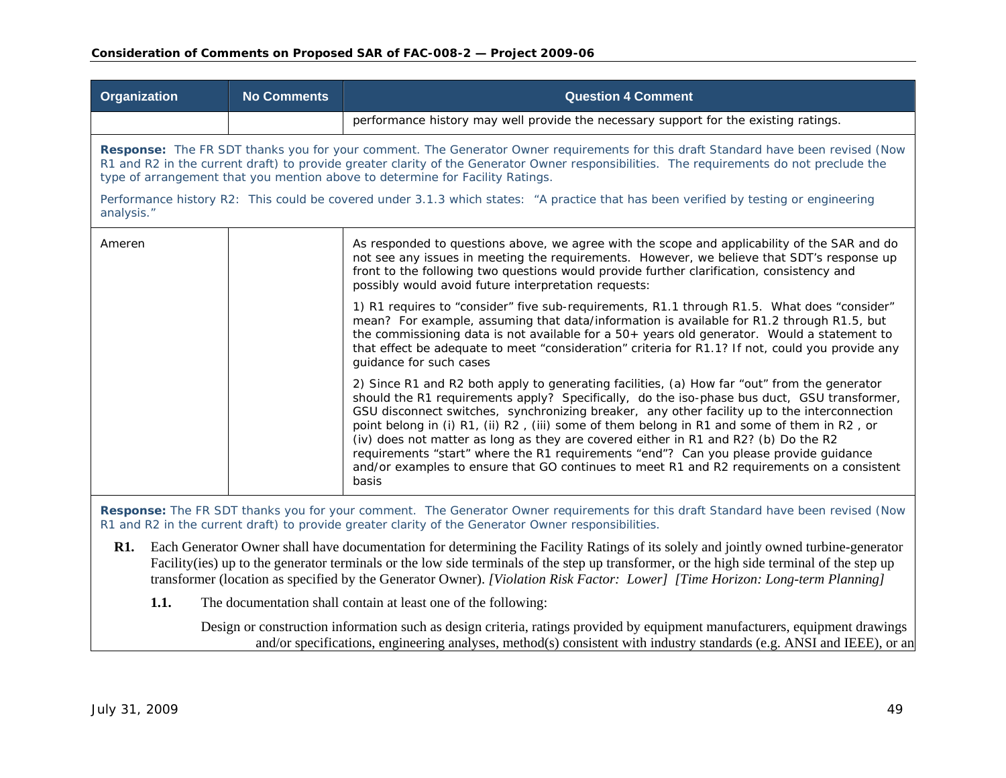| <b>Organization</b> | <b>No Comments</b>                                                                                                                                                                                                                                                                                                                                             | <b>Question 4 Comment</b>                                                                                                                                                                                                                                                                                                                                                                                                                                                                                                                                                                                                                                                         |  |
|---------------------|----------------------------------------------------------------------------------------------------------------------------------------------------------------------------------------------------------------------------------------------------------------------------------------------------------------------------------------------------------------|-----------------------------------------------------------------------------------------------------------------------------------------------------------------------------------------------------------------------------------------------------------------------------------------------------------------------------------------------------------------------------------------------------------------------------------------------------------------------------------------------------------------------------------------------------------------------------------------------------------------------------------------------------------------------------------|--|
|                     |                                                                                                                                                                                                                                                                                                                                                                | performance history may well provide the necessary support for the existing ratings.                                                                                                                                                                                                                                                                                                                                                                                                                                                                                                                                                                                              |  |
|                     | Response: The FR SDT thanks you for your comment. The Generator Owner requirements for this draft Standard have been revised (Now<br>R1 and R2 in the current draft) to provide greater clarity of the Generator Owner responsibilities. The requirements do not preclude the<br>type of arrangement that you mention above to determine for Facility Ratings. |                                                                                                                                                                                                                                                                                                                                                                                                                                                                                                                                                                                                                                                                                   |  |
| analysis."          |                                                                                                                                                                                                                                                                                                                                                                | Performance history R2: This could be covered under 3.1.3 which states: "A practice that has been verified by testing or engineering                                                                                                                                                                                                                                                                                                                                                                                                                                                                                                                                              |  |
| Ameren              |                                                                                                                                                                                                                                                                                                                                                                | As responded to questions above, we agree with the scope and applicability of the SAR and do<br>not see any issues in meeting the requirements. However, we believe that SDT's response up<br>front to the following two questions would provide further clarification, consistency and<br>possibly would avoid future interpretation requests:                                                                                                                                                                                                                                                                                                                                   |  |
|                     |                                                                                                                                                                                                                                                                                                                                                                | 1) R1 requires to "consider" five sub-requirements, R1.1 through R1.5. What does "consider"<br>mean? For example, assuming that data/information is available for R1.2 through R1.5, but<br>the commissioning data is not available for a 50+ years old generator. Would a statement to<br>that effect be adequate to meet "consideration" criteria for R1.1? If not, could you provide any<br>guidance for such cases                                                                                                                                                                                                                                                            |  |
|                     |                                                                                                                                                                                                                                                                                                                                                                | 2) Since R1 and R2 both apply to generating facilities, (a) How far "out" from the generator<br>should the R1 requirements apply? Specifically, do the iso-phase bus duct, GSU transformer,<br>GSU disconnect switches, synchronizing breaker, any other facility up to the interconnection<br>point belong in (i) R1, (ii) R2, (iii) some of them belong in R1 and some of them in R2, or<br>(iv) does not matter as long as they are covered either in R1 and R2? (b) Do the R2<br>requirements "start" where the R1 requirements "end"? Can you please provide guidance<br>and/or examples to ensure that GO continues to meet R1 and R2 requirements on a consistent<br>basis |  |
|                     |                                                                                                                                                                                                                                                                                                                                                                | Response the ED CDT thenks you for your comment The Concreter Quiner requirements for this droft Standard have been revised (Now                                                                                                                                                                                                                                                                                                                                                                                                                                                                                                                                                  |  |

**Response:** The FR SDT thanks you for your comment. The Generator Owner requirements for this draft Standard have been revised (Now R1 and R2 in the current draft) to provide greater clarity of the Generator Owner responsibilities.

- **R1.** Each Generator Owner shall have documentation for determining the Facility Ratings of its solely and jointly owned turbine-generator Facility(ies) up to the generator terminals or the low side terminals of the step up transformer, or the high side terminal of the step up transformer (location as specified by the Generator Owner). *[Violation Risk Factor: Lower] [Time Horizon: Long-term Planning]* 
	- **1.1.**The documentation shall contain at least one of the following:

Design or construction information such as design criteria, ratings provided by equipment manufacturers, equipment drawings and/or specifications, engineering analyses, method(s) consistent with industry standards (e.g. ANSI and IEEE), or an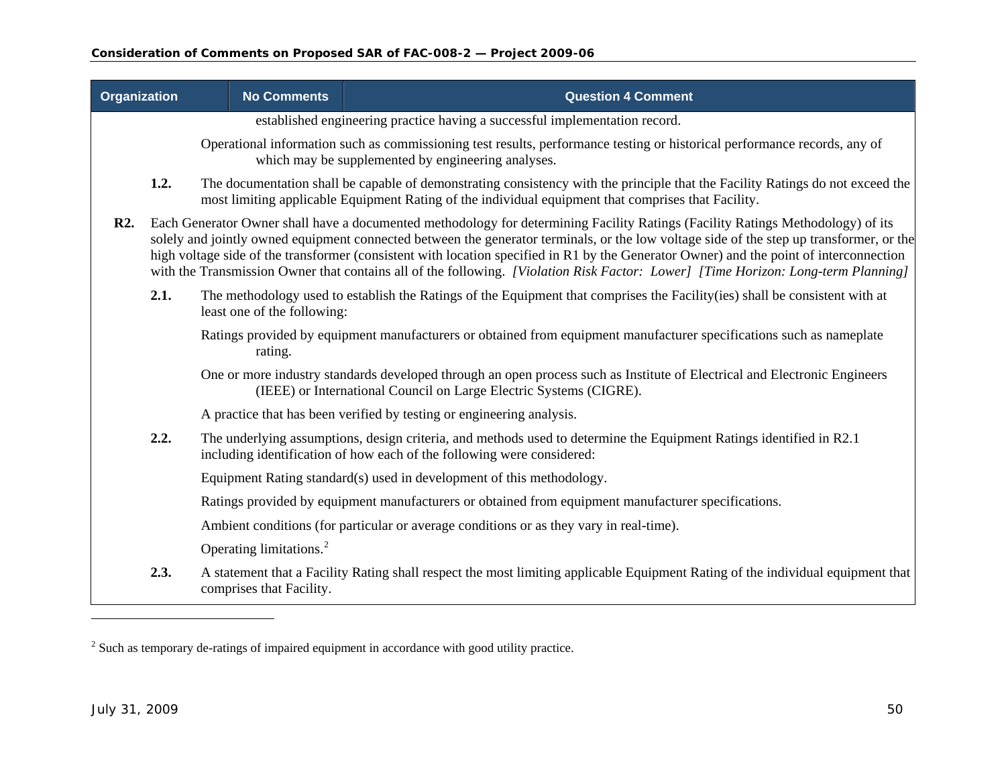| <b>Organization</b> |                                                                             | <b>No Comments</b>                  | <b>Question 4 Comment</b>                                                                                                                                                                                                                                                                                                                                                                                                                                                                                                                                   |  |  |
|---------------------|-----------------------------------------------------------------------------|-------------------------------------|-------------------------------------------------------------------------------------------------------------------------------------------------------------------------------------------------------------------------------------------------------------------------------------------------------------------------------------------------------------------------------------------------------------------------------------------------------------------------------------------------------------------------------------------------------------|--|--|
|                     | established engineering practice having a successful implementation record. |                                     |                                                                                                                                                                                                                                                                                                                                                                                                                                                                                                                                                             |  |  |
|                     |                                                                             |                                     | Operational information such as commissioning test results, performance testing or historical performance records, any of<br>which may be supplemented by engineering analyses.                                                                                                                                                                                                                                                                                                                                                                             |  |  |
|                     | 1.2.                                                                        |                                     | The documentation shall be capable of demonstrating consistency with the principle that the Facility Ratings do not exceed the<br>most limiting applicable Equipment Rating of the individual equipment that comprises that Facility.                                                                                                                                                                                                                                                                                                                       |  |  |
| <b>R2.</b>          |                                                                             |                                     | Each Generator Owner shall have a documented methodology for determining Facility Ratings (Facility Ratings Methodology) of its<br>solely and jointly owned equipment connected between the generator terminals, or the low voltage side of the step up transformer, or the<br>high voltage side of the transformer (consistent with location specified in R1 by the Generator Owner) and the point of interconnection<br>with the Transmission Owner that contains all of the following. [Violation Risk Factor: Lower] [Time Horizon: Long-term Planning] |  |  |
|                     | 2.1.                                                                        | least one of the following:         | The methodology used to establish the Ratings of the Equipment that comprises the Facility (ies) shall be consistent with at                                                                                                                                                                                                                                                                                                                                                                                                                                |  |  |
|                     |                                                                             | rating.                             | Ratings provided by equipment manufacturers or obtained from equipment manufacturer specifications such as nameplate                                                                                                                                                                                                                                                                                                                                                                                                                                        |  |  |
|                     |                                                                             |                                     | One or more industry standards developed through an open process such as Institute of Electrical and Electronic Engineers<br>(IEEE) or International Council on Large Electric Systems (CIGRE).                                                                                                                                                                                                                                                                                                                                                             |  |  |
|                     |                                                                             |                                     | A practice that has been verified by testing or engineering analysis.                                                                                                                                                                                                                                                                                                                                                                                                                                                                                       |  |  |
|                     | 2.2.                                                                        |                                     | The underlying assumptions, design criteria, and methods used to determine the Equipment Ratings identified in R2.1<br>including identification of how each of the following were considered:                                                                                                                                                                                                                                                                                                                                                               |  |  |
|                     |                                                                             |                                     | Equipment Rating standard(s) used in development of this methodology.                                                                                                                                                                                                                                                                                                                                                                                                                                                                                       |  |  |
|                     |                                                                             |                                     | Ratings provided by equipment manufacturers or obtained from equipment manufacturer specifications.                                                                                                                                                                                                                                                                                                                                                                                                                                                         |  |  |
|                     |                                                                             |                                     | Ambient conditions (for particular or average conditions or as they vary in real-time).                                                                                                                                                                                                                                                                                                                                                                                                                                                                     |  |  |
|                     |                                                                             | Operating limitations. <sup>2</sup> |                                                                                                                                                                                                                                                                                                                                                                                                                                                                                                                                                             |  |  |
|                     | 2.3.                                                                        | comprises that Facility.            | A statement that a Facility Rating shall respect the most limiting applicable Equipment Rating of the individual equipment that                                                                                                                                                                                                                                                                                                                                                                                                                             |  |  |

<span id="page-49-0"></span><sup>&</sup>lt;sup>2</sup> Such as temporary de-ratings of impaired equipment in accordance with good utility practice.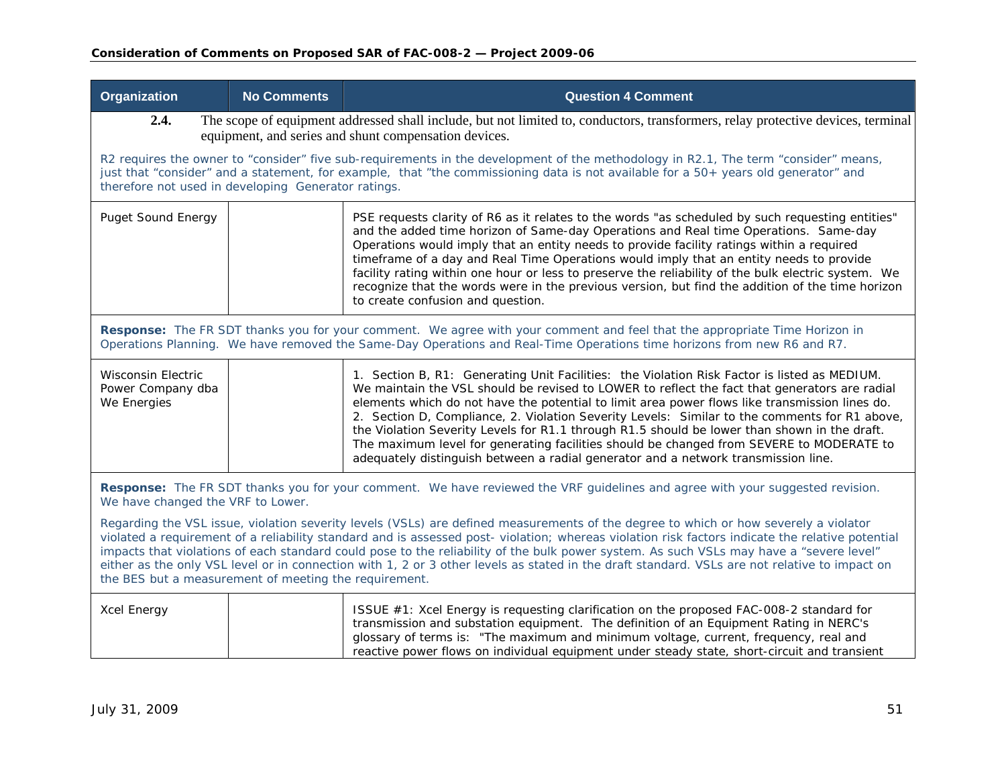| <b>Organization</b>                                                                                                                                                                                                                                                                                                                                                                                                                                                                                                                                                                                                                          | <b>No Comments</b>                                                                                                                                                                                                                                    | <b>Question 4 Comment</b>                                                                                                                                                                                                                                                                                                                                                                                                                                                                                                                                                                                                                                                          |  |  |
|----------------------------------------------------------------------------------------------------------------------------------------------------------------------------------------------------------------------------------------------------------------------------------------------------------------------------------------------------------------------------------------------------------------------------------------------------------------------------------------------------------------------------------------------------------------------------------------------------------------------------------------------|-------------------------------------------------------------------------------------------------------------------------------------------------------------------------------------------------------------------------------------------------------|------------------------------------------------------------------------------------------------------------------------------------------------------------------------------------------------------------------------------------------------------------------------------------------------------------------------------------------------------------------------------------------------------------------------------------------------------------------------------------------------------------------------------------------------------------------------------------------------------------------------------------------------------------------------------------|--|--|
| 2.4.                                                                                                                                                                                                                                                                                                                                                                                                                                                                                                                                                                                                                                         | The scope of equipment addressed shall include, but not limited to, conductors, transformers, relay protective devices, terminal<br>equipment, and series and shunt compensation devices.                                                             |                                                                                                                                                                                                                                                                                                                                                                                                                                                                                                                                                                                                                                                                                    |  |  |
| therefore not used in developing Generator ratings.                                                                                                                                                                                                                                                                                                                                                                                                                                                                                                                                                                                          |                                                                                                                                                                                                                                                       | R2 requires the owner to "consider" five sub-requirements in the development of the methodology in R2.1, The term "consider" means,<br>just that "consider" and a statement, for example, that "the commissioning data is not available for a 50+ years old generator" and                                                                                                                                                                                                                                                                                                                                                                                                         |  |  |
| <b>Puget Sound Energy</b>                                                                                                                                                                                                                                                                                                                                                                                                                                                                                                                                                                                                                    |                                                                                                                                                                                                                                                       | PSE requests clarity of R6 as it relates to the words "as scheduled by such requesting entities"<br>and the added time horizon of Same-day Operations and Real time Operations. Same-day<br>Operations would imply that an entity needs to provide facility ratings within a required<br>timeframe of a day and Real Time Operations would imply that an entity needs to provide<br>facility rating within one hour or less to preserve the reliability of the bulk electric system. We<br>recognize that the words were in the previous version, but find the addition of the time horizon<br>to create confusion and question.                                                   |  |  |
|                                                                                                                                                                                                                                                                                                                                                                                                                                                                                                                                                                                                                                              | Response: The FR SDT thanks you for your comment. We agree with your comment and feel that the appropriate Time Horizon in<br>Operations Planning. We have removed the Same-Day Operations and Real-Time Operations time horizons from new R6 and R7. |                                                                                                                                                                                                                                                                                                                                                                                                                                                                                                                                                                                                                                                                                    |  |  |
| <b>Wisconsin Electric</b><br>Power Company dba<br>We Energies                                                                                                                                                                                                                                                                                                                                                                                                                                                                                                                                                                                |                                                                                                                                                                                                                                                       | 1. Section B, R1: Generating Unit Facilities: the Violation Risk Factor is listed as MEDIUM.<br>We maintain the VSL should be revised to LOWER to reflect the fact that generators are radial<br>elements which do not have the potential to limit area power flows like transmission lines do.<br>2. Section D, Compliance, 2. Violation Severity Levels: Similar to the comments for R1 above,<br>the Violation Severity Levels for R1.1 through R1.5 should be lower than shown in the draft.<br>The maximum level for generating facilities should be changed from SEVERE to MODERATE to<br>adequately distinguish between a radial generator and a network transmission line. |  |  |
| Response: The FR SDT thanks you for your comment. We have reviewed the VRF guidelines and agree with your suggested revision.<br>We have changed the VRF to Lower.                                                                                                                                                                                                                                                                                                                                                                                                                                                                           |                                                                                                                                                                                                                                                       |                                                                                                                                                                                                                                                                                                                                                                                                                                                                                                                                                                                                                                                                                    |  |  |
| Regarding the VSL issue, violation severity levels (VSLs) are defined measurements of the degree to which or how severely a violator<br>violated a requirement of a reliability standard and is assessed post-violation; whereas violation risk factors indicate the relative potential<br>impacts that violations of each standard could pose to the reliability of the bulk power system. As such VSLs may have a "severe level"<br>either as the only VSL level or in connection with 1, 2 or 3 other levels as stated in the draft standard. VSLs are not relative to impact on<br>the BES but a measurement of meeting the requirement. |                                                                                                                                                                                                                                                       |                                                                                                                                                                                                                                                                                                                                                                                                                                                                                                                                                                                                                                                                                    |  |  |
| <b>Xcel Energy</b>                                                                                                                                                                                                                                                                                                                                                                                                                                                                                                                                                                                                                           |                                                                                                                                                                                                                                                       | ISSUE #1: Xcel Energy is requesting clarification on the proposed FAC-008-2 standard for<br>transmission and substation equipment. The definition of an Equipment Rating in NERC's<br>glossary of terms is: "The maximum and minimum voltage, current, frequency, real and<br>reactive power flows on individual equipment under steady state, short-circuit and transient                                                                                                                                                                                                                                                                                                         |  |  |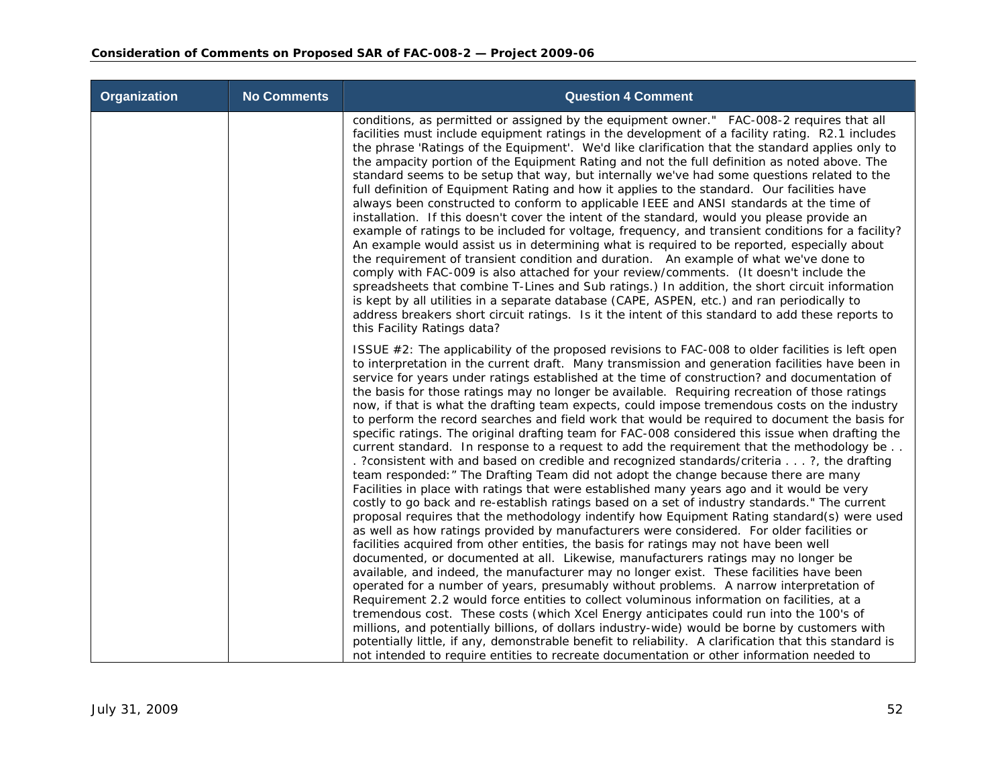| <b>Organization</b> | <b>No Comments</b> | <b>Question 4 Comment</b>                                                                                                                                                                                                                                                                                                                                                                                                                                                                                                                                                                                                                                                                                                                                                                                                                                                                                                                                                                                                                                                                                                                                                                                                                                                                                                                                                                                                                                                                                                                                                                                                                                                                                                                                                                                                                                                                                                                                                                                                                                                                                                                                                                                                                                          |
|---------------------|--------------------|--------------------------------------------------------------------------------------------------------------------------------------------------------------------------------------------------------------------------------------------------------------------------------------------------------------------------------------------------------------------------------------------------------------------------------------------------------------------------------------------------------------------------------------------------------------------------------------------------------------------------------------------------------------------------------------------------------------------------------------------------------------------------------------------------------------------------------------------------------------------------------------------------------------------------------------------------------------------------------------------------------------------------------------------------------------------------------------------------------------------------------------------------------------------------------------------------------------------------------------------------------------------------------------------------------------------------------------------------------------------------------------------------------------------------------------------------------------------------------------------------------------------------------------------------------------------------------------------------------------------------------------------------------------------------------------------------------------------------------------------------------------------------------------------------------------------------------------------------------------------------------------------------------------------------------------------------------------------------------------------------------------------------------------------------------------------------------------------------------------------------------------------------------------------------------------------------------------------------------------------------------------------|
|                     |                    | conditions, as permitted or assigned by the equipment owner." FAC-008-2 requires that all<br>facilities must include equipment ratings in the development of a facility rating. R2.1 includes<br>the phrase 'Ratings of the Equipment'. We'd like clarification that the standard applies only to<br>the ampacity portion of the Equipment Rating and not the full definition as noted above. The<br>standard seems to be setup that way, but internally we've had some questions related to the<br>full definition of Equipment Rating and how it applies to the standard. Our facilities have<br>always been constructed to conform to applicable IEEE and ANSI standards at the time of<br>installation. If this doesn't cover the intent of the standard, would you please provide an<br>example of ratings to be included for voltage, frequency, and transient conditions for a facility?<br>An example would assist us in determining what is required to be reported, especially about<br>the requirement of transient condition and duration. An example of what we've done to<br>comply with FAC-009 is also attached for your review/comments. (It doesn't include the<br>spreadsheets that combine T-Lines and Sub ratings.) In addition, the short circuit information<br>is kept by all utilities in a separate database (CAPE, ASPEN, etc.) and ran periodically to<br>address breakers short circuit ratings. Is it the intent of this standard to add these reports to<br>this Facility Ratings data?                                                                                                                                                                                                                                                                                                                                                                                                                                                                                                                                                                                                                                                                                                                                             |
|                     |                    | ISSUE #2: The applicability of the proposed revisions to FAC-008 to older facilities is left open<br>to interpretation in the current draft. Many transmission and generation facilities have been in<br>service for years under ratings established at the time of construction? and documentation of<br>the basis for those ratings may no longer be available. Requiring recreation of those ratings<br>now, if that is what the drafting team expects, could impose tremendous costs on the industry<br>to perform the record searches and field work that would be required to document the basis for<br>specific ratings. The original drafting team for FAC-008 considered this issue when drafting the<br>current standard. In response to a request to add the requirement that the methodology be<br>. ?consistent with and based on credible and recognized standards/criteria ?, the drafting<br>team responded: " The Drafting Team did not adopt the change because there are many<br>Facilities in place with ratings that were established many years ago and it would be very<br>costly to go back and re-establish ratings based on a set of industry standards." The current<br>proposal requires that the methodology indentify how Equipment Rating standard(s) were used<br>as well as how ratings provided by manufacturers were considered. For older facilities or<br>facilities acquired from other entities, the basis for ratings may not have been well<br>documented, or documented at all. Likewise, manufacturers ratings may no longer be<br>available, and indeed, the manufacturer may no longer exist. These facilities have been<br>operated for a number of years, presumably without problems. A narrow interpretation of<br>Requirement 2.2 would force entities to collect voluminous information on facilities, at a<br>tremendous cost. These costs (which Xcel Energy anticipates could run into the 100's of<br>millions, and potentially billions, of dollars industry-wide) would be borne by customers with<br>potentially little, if any, demonstrable benefit to reliability. A clarification that this standard is<br>not intended to require entities to recreate documentation or other information needed to |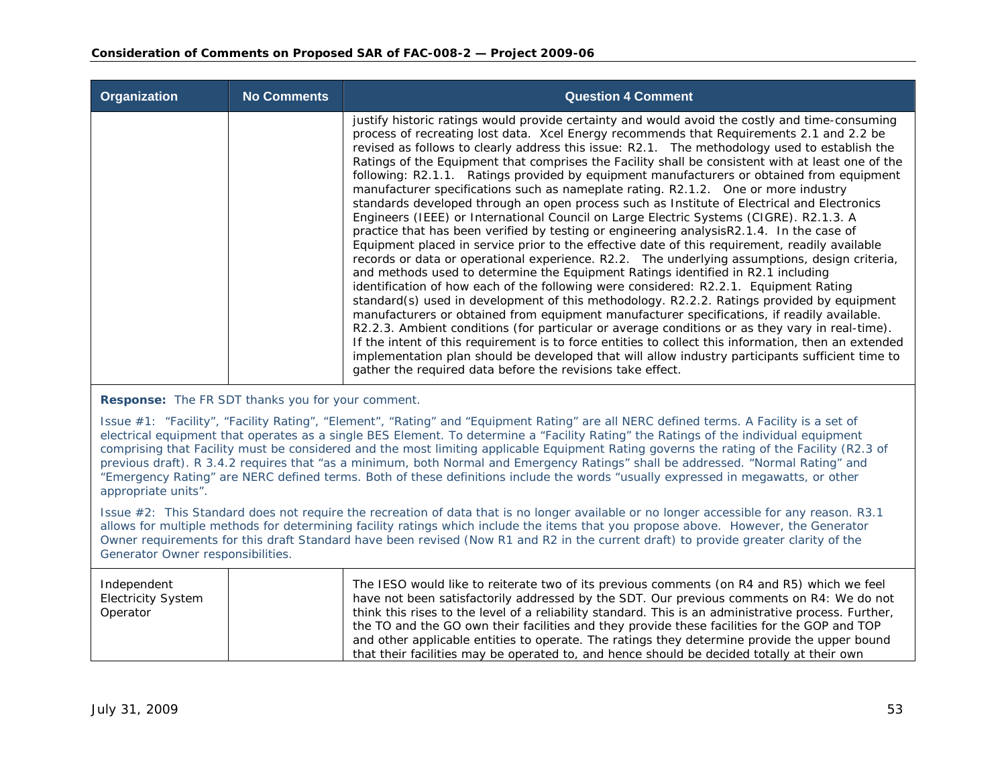| Organization | <b>No Comments</b> | <b>Question 4 Comment</b>                                                                                                                                                                                                                                                                                                                                                                                                                                                                                                                                                                                                                                                                                                                                                                                                                                                                                                                                                                                                                                                                                                                                                                                                                                                                                                                                                                                                                                                                                                                                                                                                                                                                                                                                                                                                           |
|--------------|--------------------|-------------------------------------------------------------------------------------------------------------------------------------------------------------------------------------------------------------------------------------------------------------------------------------------------------------------------------------------------------------------------------------------------------------------------------------------------------------------------------------------------------------------------------------------------------------------------------------------------------------------------------------------------------------------------------------------------------------------------------------------------------------------------------------------------------------------------------------------------------------------------------------------------------------------------------------------------------------------------------------------------------------------------------------------------------------------------------------------------------------------------------------------------------------------------------------------------------------------------------------------------------------------------------------------------------------------------------------------------------------------------------------------------------------------------------------------------------------------------------------------------------------------------------------------------------------------------------------------------------------------------------------------------------------------------------------------------------------------------------------------------------------------------------------------------------------------------------------|
|              |                    | justify historic ratings would provide certainty and would avoid the costly and time-consuming<br>process of recreating lost data. Xcel Energy recommends that Requirements 2.1 and 2.2 be<br>revised as follows to clearly address this issue: R2.1. The methodology used to establish the<br>Ratings of the Equipment that comprises the Facility shall be consistent with at least one of the<br>following: R2.1.1. Ratings provided by equipment manufacturers or obtained from equipment<br>manufacturer specifications such as nameplate rating. R2.1.2. One or more industry<br>standards developed through an open process such as Institute of Electrical and Electronics<br>Engineers (IEEE) or International Council on Large Electric Systems (CIGRE). R2.1.3. A<br>practice that has been verified by testing or engineering analysis R2.1.4. In the case of<br>Equipment placed in service prior to the effective date of this requirement, readily available<br>records or data or operational experience. R2.2. The underlying assumptions, design criteria,<br>and methods used to determine the Equipment Ratings identified in R2.1 including<br>identification of how each of the following were considered: R2.2.1. Equipment Rating<br>standard(s) used in development of this methodology. R2.2.2. Ratings provided by equipment<br>manufacturers or obtained from equipment manufacturer specifications, if readily available.<br>R2.2.3. Ambient conditions (for particular or average conditions or as they vary in real-time).<br>If the intent of this requirement is to force entities to collect this information, then an extended<br>implementation plan should be developed that will allow industry participants sufficient time to<br>gather the required data before the revisions take effect. |

**Response:** The FR SDT thanks you for your comment.

Issue #1: "Facility", "Facility Rating", "Element", "Rating" and "Equipment Rating" are all NERC defined terms. A Facility is a set of electrical equipment that operates as a single BES Element. To determine a "Facility Rating" the Ratings of the individual equipment comprising that Facility must be considered and the most limiting applicable Equipment Rating governs the rating of the Facility (R2.3 of previous draft). R 3.4.2 requires that "as a minimum, both Normal and Emergency Ratings" shall be addressed. "Normal Rating" and "Emergency Rating" are NERC defined terms. Both of these definitions include the words "usually expressed in megawatts, or other appropriate units".

Issue #2: This Standard does not require the recreation of data that is no longer available or no longer accessible for any reason. R3.1 allows for multiple methods for determining facility ratings which include the items that you propose above. However, the Generator Owner requirements for this draft Standard have been revised (Now R1 and R2 in the current draft) to provide greater clarity of the Generator Owner responsibilities.

| Independent<br><b>Electricity System</b><br>Operator | The IESO would like to reiterate two of its previous comments (on R4 and R5) which we feel<br>have not been satisfactorily addressed by the SDT. Our previous comments on R4: We do not<br>think this rises to the level of a reliability standard. This is an administrative process. Further,<br>the TO and the GO own their facilities and they provide these facilities for the GOP and TOP<br>and other applicable entities to operate. The ratings they determine provide the upper bound<br>that their facilities may be operated to, and hence should be decided totally at their own |
|------------------------------------------------------|-----------------------------------------------------------------------------------------------------------------------------------------------------------------------------------------------------------------------------------------------------------------------------------------------------------------------------------------------------------------------------------------------------------------------------------------------------------------------------------------------------------------------------------------------------------------------------------------------|
|------------------------------------------------------|-----------------------------------------------------------------------------------------------------------------------------------------------------------------------------------------------------------------------------------------------------------------------------------------------------------------------------------------------------------------------------------------------------------------------------------------------------------------------------------------------------------------------------------------------------------------------------------------------|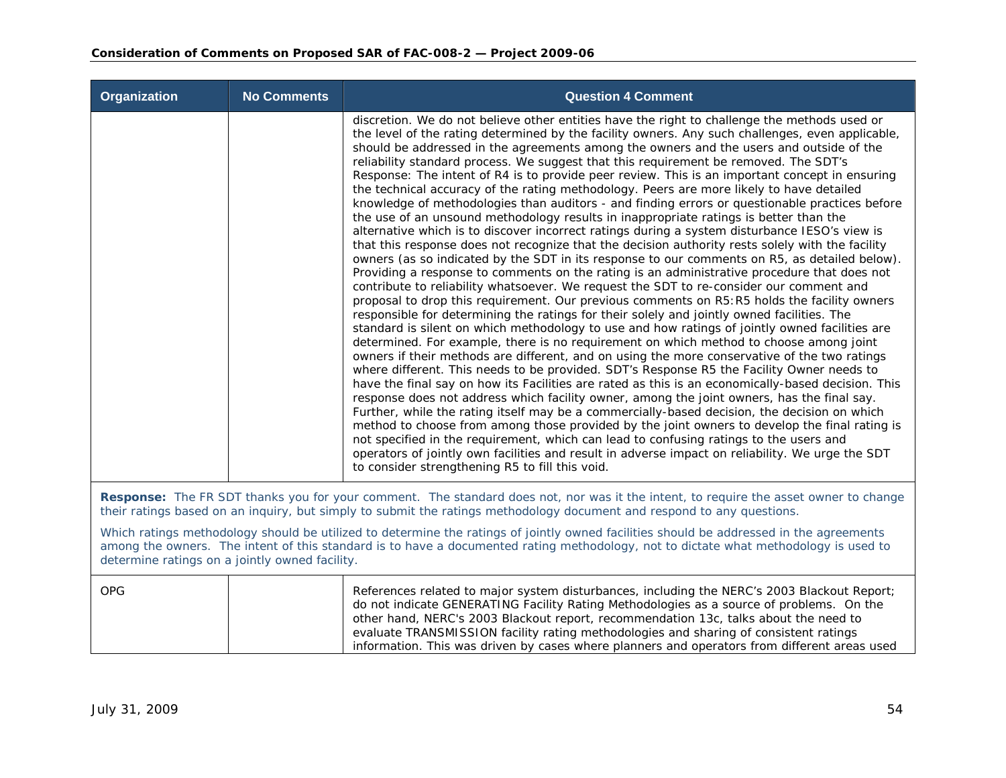| Organization                                   | <b>No Comments</b> | <b>Question 4 Comment</b>                                                                                                                                                                                                                                                                                                                                                                                                                                                                                                                                                                                                                                                                                                                                                                                                                                                                                                                                                                                                                                                                                                                                                                                                                                                                                                                                                                                                                                                                                                                                                                                                                                                                                                                                                                                                                                                                                                                                                                                                                                                                                                                                                                                                                                                                                                                                                                                                                                                                                                 |
|------------------------------------------------|--------------------|---------------------------------------------------------------------------------------------------------------------------------------------------------------------------------------------------------------------------------------------------------------------------------------------------------------------------------------------------------------------------------------------------------------------------------------------------------------------------------------------------------------------------------------------------------------------------------------------------------------------------------------------------------------------------------------------------------------------------------------------------------------------------------------------------------------------------------------------------------------------------------------------------------------------------------------------------------------------------------------------------------------------------------------------------------------------------------------------------------------------------------------------------------------------------------------------------------------------------------------------------------------------------------------------------------------------------------------------------------------------------------------------------------------------------------------------------------------------------------------------------------------------------------------------------------------------------------------------------------------------------------------------------------------------------------------------------------------------------------------------------------------------------------------------------------------------------------------------------------------------------------------------------------------------------------------------------------------------------------------------------------------------------------------------------------------------------------------------------------------------------------------------------------------------------------------------------------------------------------------------------------------------------------------------------------------------------------------------------------------------------------------------------------------------------------------------------------------------------------------------------------------------------|
|                                                |                    | discretion. We do not believe other entities have the right to challenge the methods used or<br>the level of the rating determined by the facility owners. Any such challenges, even applicable,<br>should be addressed in the agreements among the owners and the users and outside of the<br>reliability standard process. We suggest that this requirement be removed. The SDT's<br>Response: The intent of R4 is to provide peer review. This is an important concept in ensuring<br>the technical accuracy of the rating methodology. Peers are more likely to have detailed<br>knowledge of methodologies than auditors - and finding errors or questionable practices before<br>the use of an unsound methodology results in inappropriate ratings is better than the<br>alternative which is to discover incorrect ratings during a system disturbance IESO's view is<br>that this response does not recognize that the decision authority rests solely with the facility<br>owners (as so indicated by the SDT in its response to our comments on R5, as detailed below).<br>Providing a response to comments on the rating is an administrative procedure that does not<br>contribute to reliability whatsoever. We request the SDT to re-consider our comment and<br>proposal to drop this requirement. Our previous comments on R5: R5 holds the facility owners<br>responsible for determining the ratings for their solely and jointly owned facilities. The<br>standard is silent on which methodology to use and how ratings of jointly owned facilities are<br>determined. For example, there is no requirement on which method to choose among joint<br>owners if their methods are different, and on using the more conservative of the two ratings<br>where different. This needs to be provided. SDT's Response R5 the Facility Owner needs to<br>have the final say on how its Facilities are rated as this is an economically-based decision. This<br>response does not address which facility owner, among the joint owners, has the final say.<br>Further, while the rating itself may be a commercially-based decision, the decision on which<br>method to choose from among those provided by the joint owners to develop the final rating is<br>not specified in the requirement, which can lead to confusing ratings to the users and<br>operators of jointly own facilities and result in adverse impact on reliability. We urge the SDT<br>to consider strengthening R5 to fill this void. |
|                                                |                    | Response: The FR SDT thanks you for your comment. The standard does not, nor was it the intent, to require the asset owner to change<br>their ratings based on an inquiry, but simply to submit the ratings methodology document and respond to any questions.                                                                                                                                                                                                                                                                                                                                                                                                                                                                                                                                                                                                                                                                                                                                                                                                                                                                                                                                                                                                                                                                                                                                                                                                                                                                                                                                                                                                                                                                                                                                                                                                                                                                                                                                                                                                                                                                                                                                                                                                                                                                                                                                                                                                                                                            |
| determine ratings on a jointly owned facility. |                    | Which ratings methodology should be utilized to determine the ratings of jointly owned facilities should be addressed in the agreements<br>among the owners. The intent of this standard is to have a documented rating methodology, not to dictate what methodology is used to                                                                                                                                                                                                                                                                                                                                                                                                                                                                                                                                                                                                                                                                                                                                                                                                                                                                                                                                                                                                                                                                                                                                                                                                                                                                                                                                                                                                                                                                                                                                                                                                                                                                                                                                                                                                                                                                                                                                                                                                                                                                                                                                                                                                                                           |
| <b>OPG</b>                                     |                    | References related to major system disturbances, including the NERC's 2003 Blackout Report;<br>do not indicate GENERATING Facility Rating Methodologies as a source of problems. On the<br>other hand, NERC's 2003 Blackout report, recommendation 13c, talks about the need to<br>evaluate TRANSMISSION facility rating methodologies and sharing of consistent ratings<br>information. This was driven by cases where planners and operators from different areas used                                                                                                                                                                                                                                                                                                                                                                                                                                                                                                                                                                                                                                                                                                                                                                                                                                                                                                                                                                                                                                                                                                                                                                                                                                                                                                                                                                                                                                                                                                                                                                                                                                                                                                                                                                                                                                                                                                                                                                                                                                                  |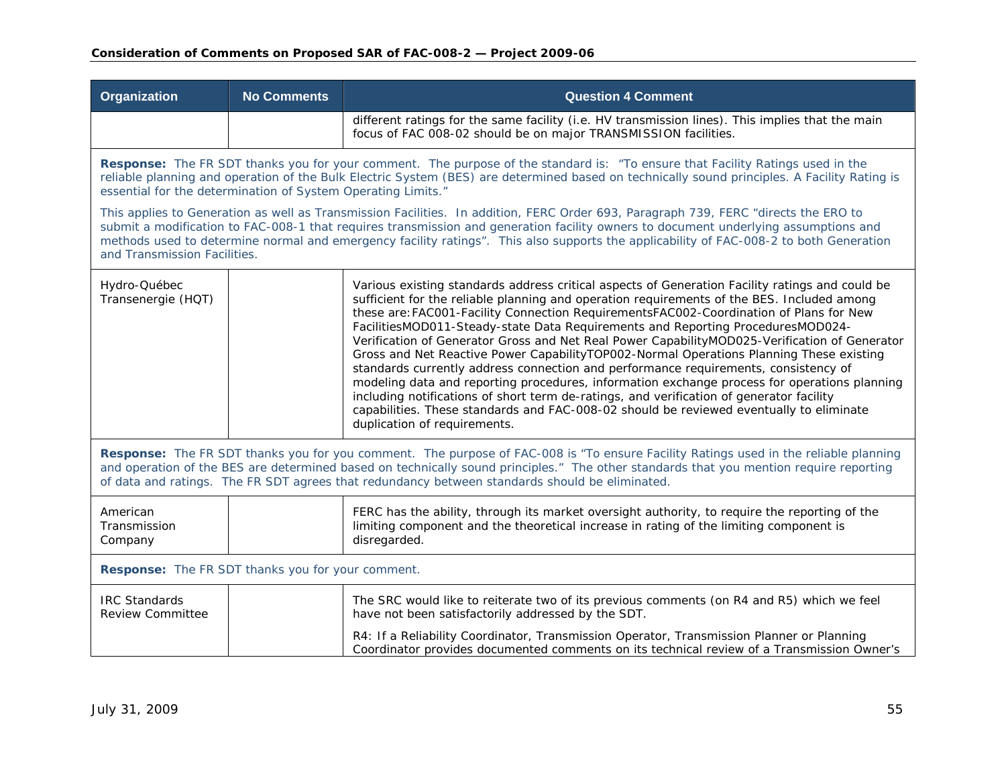| Organization                                                                                                                                                                                                                                                                                                                                                                                                                                         | <b>No Comments</b>                                                                                                                                                                                                                                                                                                                             | <b>Question 4 Comment</b>                                                                                                                                                                                                                                                                                                                                                                                                                                                                                                                                                                                                                                                                                                                                                                                                                                                                                                                                                            |  |  |
|------------------------------------------------------------------------------------------------------------------------------------------------------------------------------------------------------------------------------------------------------------------------------------------------------------------------------------------------------------------------------------------------------------------------------------------------------|------------------------------------------------------------------------------------------------------------------------------------------------------------------------------------------------------------------------------------------------------------------------------------------------------------------------------------------------|--------------------------------------------------------------------------------------------------------------------------------------------------------------------------------------------------------------------------------------------------------------------------------------------------------------------------------------------------------------------------------------------------------------------------------------------------------------------------------------------------------------------------------------------------------------------------------------------------------------------------------------------------------------------------------------------------------------------------------------------------------------------------------------------------------------------------------------------------------------------------------------------------------------------------------------------------------------------------------------|--|--|
|                                                                                                                                                                                                                                                                                                                                                                                                                                                      |                                                                                                                                                                                                                                                                                                                                                | different ratings for the same facility (i.e. HV transmission lines). This implies that the main<br>focus of FAC 008-02 should be on major TRANSMISSION facilities.                                                                                                                                                                                                                                                                                                                                                                                                                                                                                                                                                                                                                                                                                                                                                                                                                  |  |  |
|                                                                                                                                                                                                                                                                                                                                                                                                                                                      | Response: The FR SDT thanks you for your comment. The purpose of the standard is: "To ensure that Facility Ratings used in the<br>reliable planning and operation of the Bulk Electric System (BES) are determined based on technically sound principles. A Facility Rating is<br>essential for the determination of System Operating Limits." |                                                                                                                                                                                                                                                                                                                                                                                                                                                                                                                                                                                                                                                                                                                                                                                                                                                                                                                                                                                      |  |  |
| This applies to Generation as well as Transmission Facilities. In addition, FERC Order 693, Paragraph 739, FERC "directs the ERO to<br>submit a modification to FAC-008-1 that requires transmission and generation facility owners to document underlying assumptions and<br>methods used to determine normal and emergency facility ratings". This also supports the applicability of FAC-008-2 to both Generation<br>and Transmission Facilities. |                                                                                                                                                                                                                                                                                                                                                |                                                                                                                                                                                                                                                                                                                                                                                                                                                                                                                                                                                                                                                                                                                                                                                                                                                                                                                                                                                      |  |  |
| Hydro-Québec<br>Transenergie (HQT)                                                                                                                                                                                                                                                                                                                                                                                                                   |                                                                                                                                                                                                                                                                                                                                                | Various existing standards address critical aspects of Generation Facility ratings and could be<br>sufficient for the reliable planning and operation requirements of the BES. Included among<br>these are: FAC001-Facility Connection RequirementsFAC002-Coordination of Plans for New<br>FacilitiesMOD011-Steady-state Data Requirements and Reporting ProceduresMOD024-<br>Verification of Generator Gross and Net Real Power CapabilityMOD025-Verification of Generator<br>Gross and Net Reactive Power CapabilityTOP002-Normal Operations Planning These existing<br>standards currently address connection and performance requirements, consistency of<br>modeling data and reporting procedures, information exchange process for operations planning<br>including notifications of short term de-ratings, and verification of generator facility<br>capabilities. These standards and FAC-008-02 should be reviewed eventually to eliminate<br>duplication of requirements. |  |  |
| Response: The FR SDT thanks you for you comment. The purpose of FAC-008 is "To ensure Facility Ratings used in the reliable planning<br>and operation of the BES are determined based on technically sound principles." The other standards that you mention require reporting<br>of data and ratings. The FR SDT agrees that redundancy between standards should be eliminated.                                                                     |                                                                                                                                                                                                                                                                                                                                                |                                                                                                                                                                                                                                                                                                                                                                                                                                                                                                                                                                                                                                                                                                                                                                                                                                                                                                                                                                                      |  |  |
| American<br>Transmission<br>Company                                                                                                                                                                                                                                                                                                                                                                                                                  |                                                                                                                                                                                                                                                                                                                                                | FERC has the ability, through its market oversight authority, to require the reporting of the<br>limiting component and the theoretical increase in rating of the limiting component is<br>disregarded.                                                                                                                                                                                                                                                                                                                                                                                                                                                                                                                                                                                                                                                                                                                                                                              |  |  |
| Response: The FR SDT thanks you for your comment.                                                                                                                                                                                                                                                                                                                                                                                                    |                                                                                                                                                                                                                                                                                                                                                |                                                                                                                                                                                                                                                                                                                                                                                                                                                                                                                                                                                                                                                                                                                                                                                                                                                                                                                                                                                      |  |  |
| <b>IRC Standards</b><br><b>Review Committee</b>                                                                                                                                                                                                                                                                                                                                                                                                      |                                                                                                                                                                                                                                                                                                                                                | The SRC would like to reiterate two of its previous comments (on R4 and R5) which we feel<br>have not been satisfactorily addressed by the SDT.                                                                                                                                                                                                                                                                                                                                                                                                                                                                                                                                                                                                                                                                                                                                                                                                                                      |  |  |
|                                                                                                                                                                                                                                                                                                                                                                                                                                                      |                                                                                                                                                                                                                                                                                                                                                | R4: If a Reliability Coordinator, Transmission Operator, Transmission Planner or Planning<br>Coordinator provides documented comments on its technical review of a Transmission Owner's                                                                                                                                                                                                                                                                                                                                                                                                                                                                                                                                                                                                                                                                                                                                                                                              |  |  |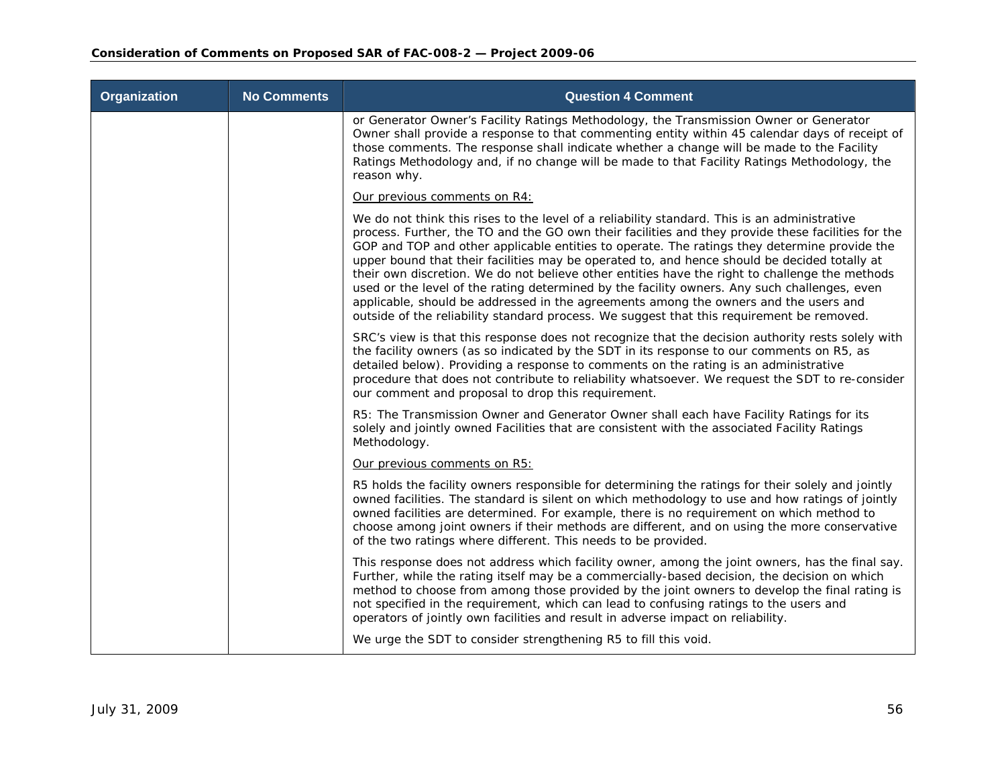| Organization | <b>No Comments</b> | <b>Question 4 Comment</b>                                                                                                                                                                                                                                                                                                                                                                                                                                                                                                                                                                                                                                                                                                                                                                 |
|--------------|--------------------|-------------------------------------------------------------------------------------------------------------------------------------------------------------------------------------------------------------------------------------------------------------------------------------------------------------------------------------------------------------------------------------------------------------------------------------------------------------------------------------------------------------------------------------------------------------------------------------------------------------------------------------------------------------------------------------------------------------------------------------------------------------------------------------------|
|              |                    | or Generator Owner's Facility Ratings Methodology, the Transmission Owner or Generator<br>Owner shall provide a response to that commenting entity within 45 calendar days of receipt of<br>those comments. The response shall indicate whether a change will be made to the Facility<br>Ratings Methodology and, if no change will be made to that Facility Ratings Methodology, the<br>reason why.                                                                                                                                                                                                                                                                                                                                                                                      |
|              |                    | Our previous comments on R4:                                                                                                                                                                                                                                                                                                                                                                                                                                                                                                                                                                                                                                                                                                                                                              |
|              |                    | We do not think this rises to the level of a reliability standard. This is an administrative<br>process. Further, the TO and the GO own their facilities and they provide these facilities for the<br>GOP and TOP and other applicable entities to operate. The ratings they determine provide the<br>upper bound that their facilities may be operated to, and hence should be decided totally at<br>their own discretion. We do not believe other entities have the right to challenge the methods<br>used or the level of the rating determined by the facility owners. Any such challenges, even<br>applicable, should be addressed in the agreements among the owners and the users and<br>outside of the reliability standard process. We suggest that this requirement be removed. |
|              |                    | SRC's view is that this response does not recognize that the decision authority rests solely with<br>the facility owners (as so indicated by the SDT in its response to our comments on R5, as<br>detailed below). Providing a response to comments on the rating is an administrative<br>procedure that does not contribute to reliability whatsoever. We request the SDT to re-consider<br>our comment and proposal to drop this requirement.                                                                                                                                                                                                                                                                                                                                           |
|              |                    | R5: The Transmission Owner and Generator Owner shall each have Facility Ratings for its<br>solely and jointly owned Facilities that are consistent with the associated Facility Ratings<br>Methodology.                                                                                                                                                                                                                                                                                                                                                                                                                                                                                                                                                                                   |
|              |                    | Our previous comments on R5:                                                                                                                                                                                                                                                                                                                                                                                                                                                                                                                                                                                                                                                                                                                                                              |
|              |                    | R5 holds the facility owners responsible for determining the ratings for their solely and jointly<br>owned facilities. The standard is silent on which methodology to use and how ratings of jointly<br>owned facilities are determined. For example, there is no requirement on which method to<br>choose among joint owners if their methods are different, and on using the more conservative<br>of the two ratings where different. This needs to be provided.                                                                                                                                                                                                                                                                                                                        |
|              |                    | This response does not address which facility owner, among the joint owners, has the final say.<br>Further, while the rating itself may be a commercially-based decision, the decision on which<br>method to choose from among those provided by the joint owners to develop the final rating is<br>not specified in the requirement, which can lead to confusing ratings to the users and<br>operators of jointly own facilities and result in adverse impact on reliability.                                                                                                                                                                                                                                                                                                            |
|              |                    | We urge the SDT to consider strengthening R5 to fill this void.                                                                                                                                                                                                                                                                                                                                                                                                                                                                                                                                                                                                                                                                                                                           |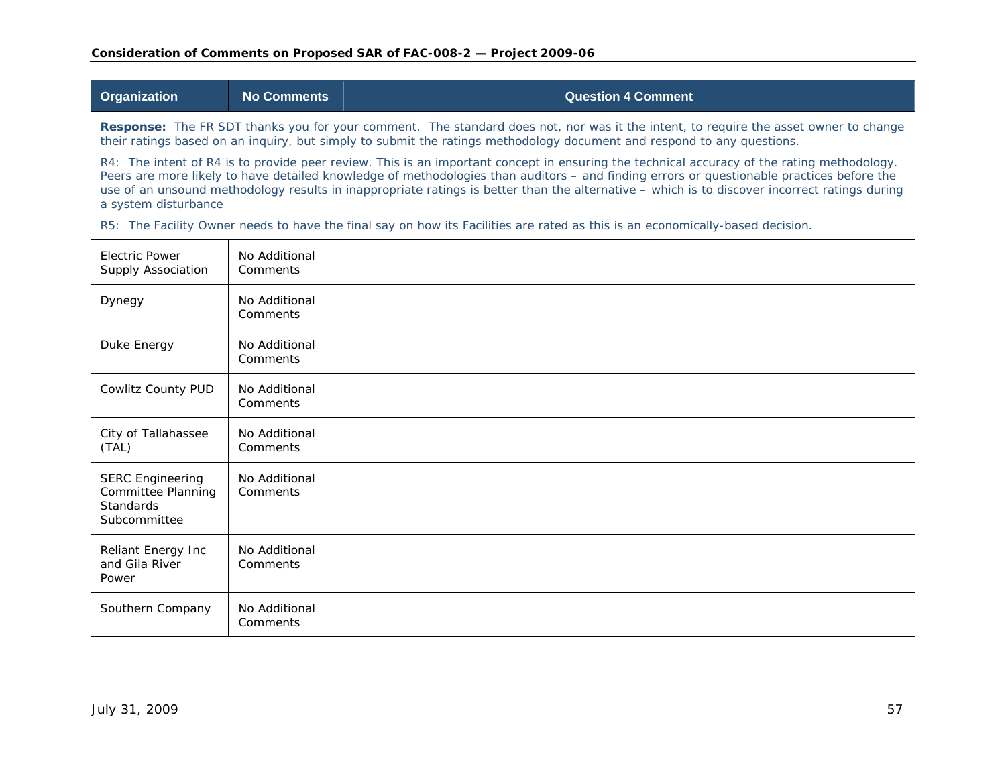| Organization                                                                                                                                                                                                                                                   | <b>No Comments</b>                                                                                                                                                                                                                                                                                                                                                                                                                       | <b>Question 4 Comment</b>                                                                                                     |  |
|----------------------------------------------------------------------------------------------------------------------------------------------------------------------------------------------------------------------------------------------------------------|------------------------------------------------------------------------------------------------------------------------------------------------------------------------------------------------------------------------------------------------------------------------------------------------------------------------------------------------------------------------------------------------------------------------------------------|-------------------------------------------------------------------------------------------------------------------------------|--|
| Response: The FR SDT thanks you for your comment. The standard does not, nor was it the intent, to require the asset owner to change<br>their ratings based on an inquiry, but simply to submit the ratings methodology document and respond to any questions. |                                                                                                                                                                                                                                                                                                                                                                                                                                          |                                                                                                                               |  |
| a system disturbance                                                                                                                                                                                                                                           | R4: The intent of R4 is to provide peer review. This is an important concept in ensuring the technical accuracy of the rating methodology.<br>Peers are more likely to have detailed knowledge of methodologies than auditors - and finding errors or questionable practices before the<br>use of an unsound methodology results in inappropriate ratings is better than the alternative – which is to discover incorrect ratings during |                                                                                                                               |  |
|                                                                                                                                                                                                                                                                |                                                                                                                                                                                                                                                                                                                                                                                                                                          | R5: The Facility Owner needs to have the final say on how its Facilities are rated as this is an economically-based decision. |  |
| <b>Electric Power</b><br><b>Supply Association</b>                                                                                                                                                                                                             | No Additional<br>Comments                                                                                                                                                                                                                                                                                                                                                                                                                |                                                                                                                               |  |
| Dynegy                                                                                                                                                                                                                                                         | No Additional<br>Comments                                                                                                                                                                                                                                                                                                                                                                                                                |                                                                                                                               |  |
| Duke Energy                                                                                                                                                                                                                                                    | No Additional<br>Comments                                                                                                                                                                                                                                                                                                                                                                                                                |                                                                                                                               |  |
| Cowlitz County PUD                                                                                                                                                                                                                                             | No Additional<br>Comments                                                                                                                                                                                                                                                                                                                                                                                                                |                                                                                                                               |  |
| City of Tallahassee<br>(TAL)                                                                                                                                                                                                                                   | No Additional<br>Comments                                                                                                                                                                                                                                                                                                                                                                                                                |                                                                                                                               |  |
| <b>SERC Engineering</b><br>Committee Planning<br>Standards<br>Subcommittee                                                                                                                                                                                     | No Additional<br>Comments                                                                                                                                                                                                                                                                                                                                                                                                                |                                                                                                                               |  |
| Reliant Energy Inc<br>and Gila River<br>Power                                                                                                                                                                                                                  | No Additional<br>Comments                                                                                                                                                                                                                                                                                                                                                                                                                |                                                                                                                               |  |
| Southern Company                                                                                                                                                                                                                                               | No Additional<br>Comments                                                                                                                                                                                                                                                                                                                                                                                                                |                                                                                                                               |  |